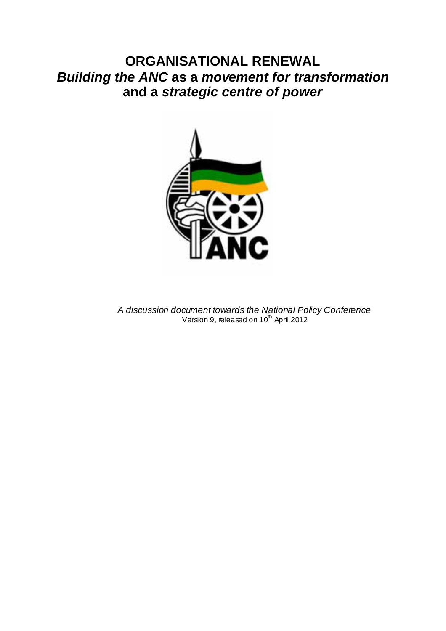# **ORGANISATIONAL RENEWAL**  *Building the ANC* **as a** *movement for transformation* **and a** *strategic centre of power*



*A discussion document towards the National Policy Conference*  Version 9, released on 10<sup>th</sup> April 2012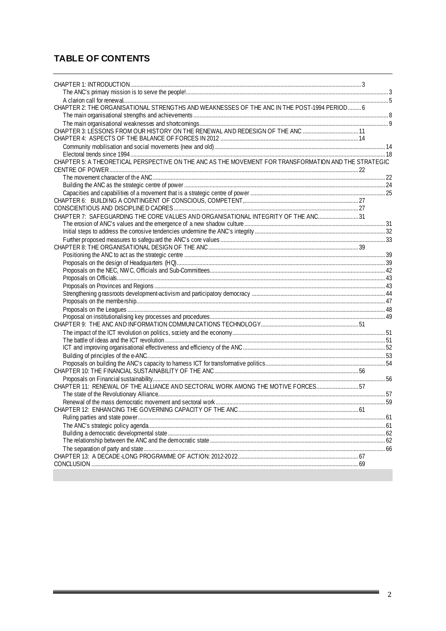# **TABLE OF CONTENTS**

| CHAPTER 2: THE ORGANISATIONAL STRENGTHS AND WEAKNESSES OF THE ANC IN THE POST-1994 PERIOD 6          |  |
|------------------------------------------------------------------------------------------------------|--|
|                                                                                                      |  |
| CHAPTER 3: LESSONS FROM OUR HISTORY ON THE RENEWAL AND REDESIGN OF THE ANC 11                        |  |
|                                                                                                      |  |
|                                                                                                      |  |
|                                                                                                      |  |
| CHAPTER 5: A THEORETICAL PERSPECTIVE ON THE ANC AS THE MOVEMENT FOR TRANSFORMATION AND THE STRATEGIC |  |
|                                                                                                      |  |
|                                                                                                      |  |
|                                                                                                      |  |
|                                                                                                      |  |
|                                                                                                      |  |
|                                                                                                      |  |
| CHAPTER 7: SAFEGUARDING THE CORE VALUES AND ORGANISATIONAL INTEGRITY OF THE ANC 31                   |  |
|                                                                                                      |  |
|                                                                                                      |  |
|                                                                                                      |  |
|                                                                                                      |  |
|                                                                                                      |  |
|                                                                                                      |  |
|                                                                                                      |  |
|                                                                                                      |  |
|                                                                                                      |  |
|                                                                                                      |  |
|                                                                                                      |  |
|                                                                                                      |  |
|                                                                                                      |  |
|                                                                                                      |  |
|                                                                                                      |  |
|                                                                                                      |  |
|                                                                                                      |  |
|                                                                                                      |  |
|                                                                                                      |  |
| CHAPTER 11: RENEWAL OF THE ALLIANCE AND SECTORAL WORK AMONG THE MOTIVE FORCES 57                     |  |
|                                                                                                      |  |
|                                                                                                      |  |
|                                                                                                      |  |
|                                                                                                      |  |
|                                                                                                      |  |
|                                                                                                      |  |
|                                                                                                      |  |
|                                                                                                      |  |
|                                                                                                      |  |
|                                                                                                      |  |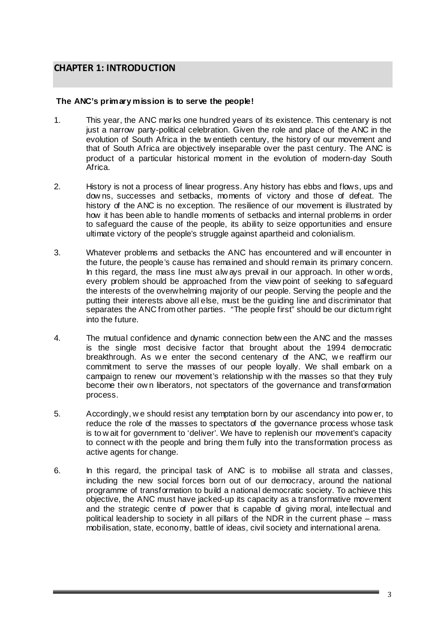# **CHAPTER 1: INTRODUCTION**

#### **The ANC's primary mission is to serve the people!**

- 1. This year, the ANC marks one hundred years of its existence. This centenary is not just a narrow party-political celebration. Given the role and place of the ANC in the evolution of South Africa in the tw entieth century, the history of our movement and that of South Africa are objectively inseparable over the past century. The ANC is product of a particular historical moment in the evolution of modern-day South Africa.
- 2. History is not a process of linear progress. Any history has ebbs and flows, ups and dow ns, successes and setbacks, moments of victory and those of defeat. The history of the ANC is no exception. The resilience of our movement is illustrated by how it has been able to handle moments of setbacks and internal problems in order to safeguard the cause of the people, its ability to seize opportunities and ensure ultimate victory of the people's struggle against apartheid and colonialism.
- 3. Whatever problems and setbacks the ANC has encountered and w ill encounter in the future, the people's cause has remained and should remain its primary concern. In this regard, the mass line must alw ays prevail in our approach. In other w ords, every problem should be approached from the view point of seeking to safeguard the interests of the overwhelming majority of our people. Serving the people and the putting their interests above all else, must be the guiding line and discriminator that separates the ANC from other parties. "The people first" should be our dictum right into the future.
- 4. The mutual confidence and dynamic connection betw een the ANC and the masses is the single most decisive factor that brought about the 1994 democratic breakthrough. As we enter the second centenary of the ANC, we reaffirm our commitment to serve the masses of our people loyally. We shall embark on a campaign to renew our movement's relationship w ith the masses so that they truly become their ow n liberators, not spectators of the governance and transformation process.
- 5. Accordingly, w e should resist any temptation born by our ascendancy into pow er, to reduce the role of the masses to spectators of the governance process whose task is to w ait for government to 'deliver'. We have to replenish our movement's capacity to connect w ith the people and bring them fully into the transformation process as active agents for change.
- 6. In this regard, the principal task of ANC is to mobilise all strata and classes, including the new social forces born out of our democracy, around the national programme of transformation to build a national democratic society. To achieve this objective, the ANC must have jacked-up its capacity as a transformative movement and the strategic centre of power that is capable of giving moral, intellectual and political leadership to society in all pillars of the NDR in the current phase – mass mobilisation, state, economy, battle of ideas, civil society and international arena.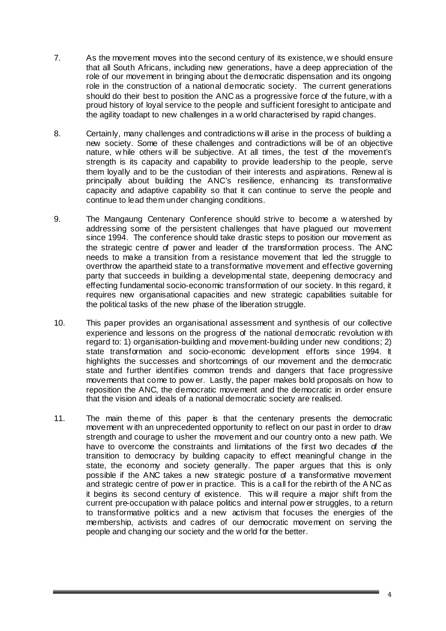- 7. As the movement moves into the second century of its existence, w e should ensure that all South Africans, including new generations, have a deep appreciation of the role of our movement in bringing about the democratic dispensation and its ongoing role in the construction of a national democratic society. The current generations should do their best to position the ANC as a progressive force of the future, w ith a proud history of loyal service to the people and sufficient foresight to anticipate and the agility toadapt to new challenges in a w orld characterised by rapid changes.
- 8. Certainly, many challenges and contradictions w ill arise in the process of building a new society. Some of these challenges and contradictions will be of an objective nature, w hile others w ill be subjective. At all times, the test of the movement's strength is its capacity and capability to provide leadership to the people, serve them loyally and to be the custodian of their interests and aspirations. Renew al is principally about building the ANC's resilience, enhancing its transformative capacity and adaptive capability so that it can continue to serve the people and continue to lead them under changing conditions.
- 9. The Mangaung Centenary Conference should strive to become a w atershed by addressing some of the persistent challenges that have plagued our movement since 1994. The conference should take drastic steps to position our movement as the strategic centre of power and leader of the transformation process. The ANC needs to make a transition from a resistance movement that led the struggle to overthrow the apartheid state to a transformative movement and effective governing party that succeeds in building a developmental state, deepening democracy and effecting fundamental socio-economic transformation of our society. In this regard, it requires new organisational capacities and new strategic capabilities suitable for the political tasks of the new phase of the liberation struggle.
- 10. This paper provides an organisational assessment and synthesis of our collective experience and lessons on the progress of the national democratic revolution w ith regard to: 1) organisation-building and movement-building under new conditions; 2) state transformation and socio-economic development efforts since 1994. It highlights the successes and shortcomings of our movement and the democratic state and further identifies common trends and dangers that face progressive movements that come to pow er. Lastly, the paper makes bold proposals on how to reposition the ANC, the democratic movement and the democratic in order ensure that the vision and ideals of a national democratic society are realised.
- 11. The main theme of this paper is that the centenary presents the democratic movement w ith an unprecedented opportunity to reflect on our past in order to draw strength and courage to usher the movement and our country onto a new path. We have to overcome the constraints and limitations of the first two decades of the transition to democracy by building capacity to effect meaningful change in the state, the economy and society generally. The paper argues that this is only possible if the ANC takes a new strategic posture of a transformative movement and strategic centre of pow er in practice. This is a call for the rebirth of the A NC as it begins its second century of existence. This w ill require a major shift from the current pre-occupation w ith palace politics and internal pow er struggles, to a return to transformative politics and a new activism that focuses the energies of the membership, activists and cadres of our democratic movement on serving the people and changing our society and the w orld for the better.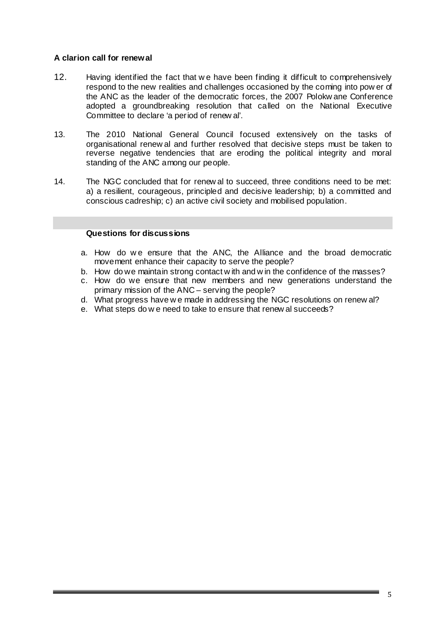# **A clarion call for renewal**

- 12. Having identified the fact that w e have been finding it difficult to comprehensively respond to the new realities and challenges occasioned by the coming into pow er of the ANC as the leader of the democratic forces, the 2007 Polokw ane Conference adopted a groundbreaking resolution that called on the National Executive Committee to declare 'a period of renew al'.
- 13. The 2010 National General Council focused extensively on the tasks of organisational renew al and further resolved that decisive steps must be taken to reverse negative tendencies that are eroding the political integrity and moral standing of the ANC among our people.
- 14. The NGC concluded that for renew al to succeed, three conditions need to be met: a) a resilient, courageous, principled and decisive leadership; b) a committed and conscious cadreship; c) an active civil society and mobilised population.

### **Questions for discussions**

- a. How do we ensure that the ANC, the Alliance and the broad democratic movement enhance their capacity to serve the people?
- b. How do we maintain strong contact w ith and w in the confidence of the masses?
- c. How do we ensure that new members and new generations understand the primary mission of the ANC – serving the people?
- d. What progress have w e made in addressing the NGC resolutions on renew al?
- e. What steps do w e need to take to ensure that renew al succeeds?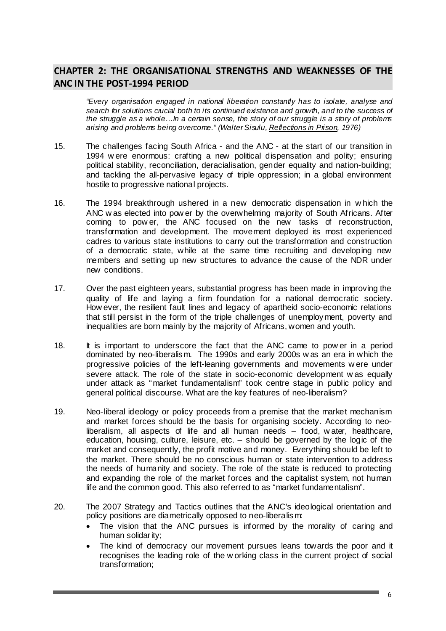# **CHAPTER 2: THE ORGANISATIONAL STRENGTHS AND WEAKNESSES OF THE ANC IN THE POST‐1994 PERIOD**

*"Every organisation engaged in national liberation constantly has to isolate, analyse and search for solutions crucial both to its continued existence and growth, and to the success of the struggle as a whole…In a certain sense, the story of our struggle is a story of problems arising and problems being overcome." (Walter Sisulu, Reflections in Prison, 1976)* 

- 15. The challenges facing South Africa and the ANC at the start of our transition in 1994 w ere enormous: crafting a new political dispensation and polity; ensuring political stability, reconciliation, deracialisation, gender equality and nation-building; and tackling the all-pervasive legacy of triple oppression; in a global environment hostile to progressive national projects.
- 16. The 1994 breakthrough ushered in a new democratic dispensation in w hich the ANC w as elected into pow er by the overwhelming majority of South Africans. After coming to pow er, the ANC focused on the new tasks of reconstruction, transformation and development. The movement deployed its most experienced cadres to various state institutions to carry out the transformation and construction of a democratic state, while at the same time recruiting and developing new members and setting up new structures to advance the cause of the NDR under new conditions.
- 17. Over the past eighteen years, substantial progress has been made in improving the quality of life and laying a firm foundation for a national democratic society. How ever, the resilient fault lines and legacy of apartheid socio-economic relations that still persist in the form of the triple challenges of unemployment, poverty and inequalities are born mainly by the majority of Africans, women and youth.
- 18. It is important to underscore the fact that the ANC came to pow er in a period dominated by neo-liberalism. The 1990s and early 2000s w as an era in which the progressive policies of the left-leaning governments and movements w ere under severe attack. The role of the state in socio-economic development w as equally under attack as "market fundamentalism" took centre stage in public policy and general political discourse. What are the key features of neo-liberalism?
- 19. Neo-liberal ideology or policy proceeds from a premise that the market mechanism and market forces should be the basis for organising society. According to neoliberalism, all aspects of life and all human needs – food, w ater, healthcare, education, housing, culture, leisure, etc. – should be governed by the logic of the market and consequently, the profit motive and money. Everything should be left to the market. There should be no conscious human or state intervention to address the needs of humanity and society. The role of the state is reduced to protecting and expanding the role of the market forces and the capitalist system, not human life and the common good. This also referred to as "market fundamentalism".
- 20. The 2007 Strategy and Tactics outlines that the ANC's ideological orientation and policy positions are diametrically opposed to neo-liberalism:
	- The vision that the ANC pursues is informed by the morality of caring and human solidarity;
	- The kind of democracy our movement pursues leans towards the poor and it recognises the leading role of the w orking class in the current project of social transformation;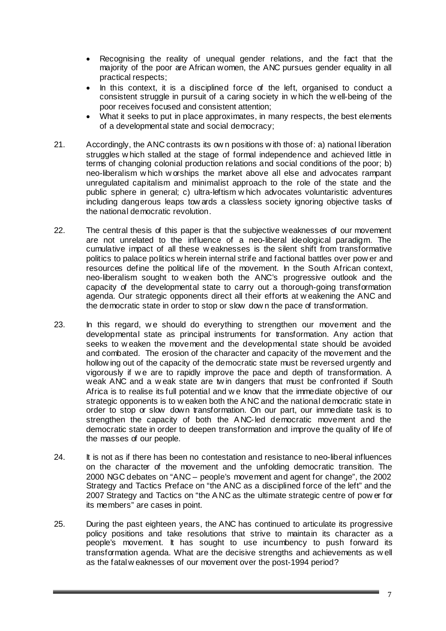- Recognising the reality of unequal gender relations, and the fact that the majority of the poor are African women, the ANC pursues gender equality in all practical respects;
- In this context, it is a disciplined force of the left, organised to conduct a consistent struggle in pursuit of a caring society in w hich the w ell-being of the poor receives focused and consistent attention;
- What it seeks to put in place approximates, in many respects, the best elements of a developmental state and social democracy;
- 21. Accordingly, the ANC contrasts its ow n positions w ith those of: a) national liberation struggles w hich stalled at the stage of formal independence and achieved little in terms of changing colonial production relations and social conditions of the poor; b) neo-liberalism w hich w orships the market above all else and advocates rampant unregulated capitalism and minimalist approach to the role of the state and the public sphere in general; c) ultra-leftism w hich advocates voluntaristic adventures including dangerous leaps tow ards a classless society ignoring objective tasks of the national democratic revolution.
- 22. The central thesis of this paper is that the subjective weaknesses of our movement are not unrelated to the influence of a neo-liberal ideological paradigm. The cumulative impact of all these w eaknesses is the silent shift from transformative politics to palace politics w herein internal strife and factional battles over pow er and resources define the political life of the movement. In the South African context, neo-liberalism sought to w eaken both the ANC's progressive outlook and the capacity of the developmental state to carry out a thorough-going transformation agenda. Our strategic opponents direct all their efforts at w eakening the ANC and the democratic state in order to stop or slow dow n the pace of transformation.
- 23. In this regard, we should do everything to strengthen our movement and the developmental state as principal instruments for transformation. Any action that seeks to w eaken the movement and the developmental state should be avoided and combated. The erosion of the character and capacity of the movement and the hollow ing out of the capacity of the democratic state must be reversed urgently and vigorously if w e are to rapidly improve the pace and depth of transformation. A weak ANC and a w eak state are tw in dangers that must be confronted if South Africa is to realise its full potential and w e know that the immediate objective of our strategic opponents is to w eaken both the A NC and the national democratic state in order to stop or slow down transformation. On our part, our immediate task is to strengthen the capacity of both the A NC-led democratic movement and the democratic state in order to deepen transformation and improve the quality of life of the masses of our people.
- 24. It is not as if there has been no contestation and resistance to neo-liberal influences on the character of the movement and the unfolding democratic transition. The 2000 NGC debates on "ANC – people's movement and agent for change", the 2002 Strategy and Tactics Preface on "the ANC as a disciplined force of the left" and the 2007 Strategy and Tactics on "the A NC as the ultimate strategic centre of pow er for its members" are cases in point.
- 25. During the past eighteen years, the ANC has continued to articulate its progressive policy positions and take resolutions that strive to maintain its character as a people's movement. It has sought to use incumbency to push forward its transformation agenda. What are the decisive strengths and achievements as w ell as the fatal w eaknesses of our movement over the post-1994 period?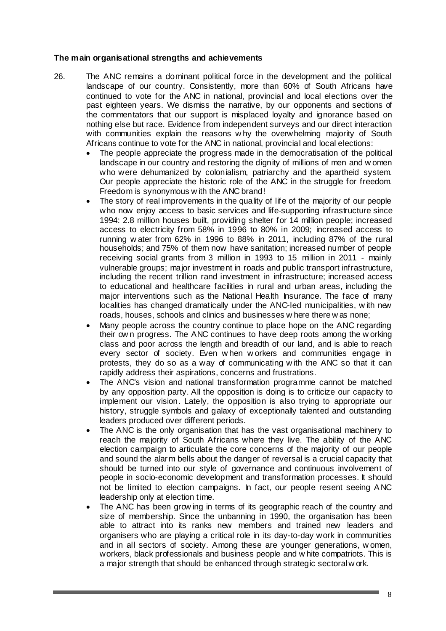### **The main organisational strengths and achievements**

- 26. The ANC remains a dominant political force in the development and the political landscape of our country. Consistently, more than 60% of South Africans have continued to vote for the ANC in national, provincial and local elections over the past eighteen years. We dismiss the narrative, by our opponents and sections of the commentators that our support is misplaced loyalty and ignorance based on nothing else but race. Evidence from independent surveys and our direct interaction with communities explain the reasons w hy the overwhelming majority of South Africans continue to vote for the ANC in national, provincial and local elections:
	- The people appreciate the progress made in the democratisation of the political landscape in our country and restoring the dignity of millions of men and w omen who were dehumanized by colonialism, patriarchy and the apartheid system. Our people appreciate the historic role of the ANC in the struggle for freedom. Freedom is synonymous w ith the ANC brand!
	- The story of real improvements in the quality of life of the majority of our people who now enjoy access to basic services and life-supporting infrastructure since 1994: 2.8 million houses built, providing shelter for 14 million people; increased access to electricity from 58% in 1996 to 80% in 2009; increased access to running w ater from 62% in 1996 to 88% in 2011, including 87% of the rural households; and 75% of them now have sanitation; increased number of people receiving social grants from 3 million in 1993 to 15 million in 2011 - mainly vulnerable groups; major investment in roads and public transport infrastructure, including the recent trillion rand investment in infrastructure; increased access to educational and healthcare facilities in rural and urban areas, including the major interventions such as the National Health Insurance. The face of many localities has changed dramatically under the ANC-led municipalities, w ith new roads, houses, schools and clinics and businesses w here there w as none;
	- Many people across the country continue to place hope on the ANC regarding their ow n progress. The ANC continues to have deep roots among the w orking class and poor across the length and breadth of our land, and is able to reach every sector of society. Even w hen w orkers and communities engage in protests, they do so as a way of communicating w ith the ANC so that it can rapidly address their aspirations, concerns and frustrations.
	- The ANC's vision and national transformation programme cannot be matched by any opposition party. All the opposition is doing is to criticize our capacity to implement our vision. Lately, the opposition is also trying to appropriate our history, struggle symbols and galaxy of exceptionally talented and outstanding leaders produced over different periods.
	- The ANC is the only organisation that has the vast organisational machinery to reach the majority of South Africans where they live. The ability of the ANC election campaign to articulate the core concerns of the majority of our people and sound the alarm bells about the danger of reversal is a crucial capacity that should be turned into our style of governance and continuous involvement of people in socio-economic development and transformation processes. It should not be limited to election campaigns. In fact, our people resent seeing A NC leadership only at election time.
	- The ANC has been grow ing in terms of its geographic reach of the country and size of membership. Since the unbanning in 1990, the organisation has been able to attract into its ranks new members and trained new leaders and organisers who are playing a critical role in its day-to-day work in communities and in all sectors of society. Among these are younger generations, w omen, workers, black professionals and business people and w hite compatriots. This is a major strength that should be enhanced through strategic sectoral w ork.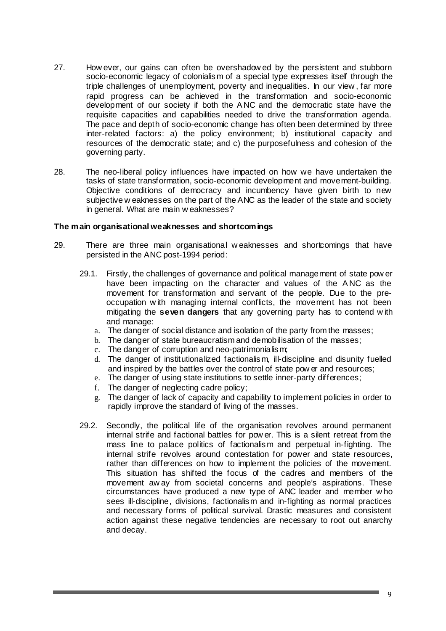- 27. How ever, our gains can often be overshadow ed by the persistent and stubborn socio-economic legacy of colonialism of a special type expresses itself through the triple challenges of unemployment, poverty and inequalities. In our view , far more rapid progress can be achieved in the transformation and socio-economic development of our society if both the A NC and the democratic state have the requisite capacities and capabilities needed to drive the transformation agenda. The pace and depth of socio-economic change has often been determined by three inter-related factors: a) the policy environment; b) institutional capacity and resources of the democratic state; and c) the purposefulness and cohesion of the governing party.
- 28. The neo-liberal policy influences have impacted on how we have undertaken the tasks of state transformation, socio-economic development and movement-building. Objective conditions of democracy and incumbency have given birth to new subjective w eaknesses on the part of the ANC as the leader of the state and society in general. What are main w eaknesses?

#### **The main organisational weaknesses and shortcomings**

- 29. There are three main organisational w eaknesses and shortcomings that have persisted in the ANC post-1994 period:
	- 29.1. Firstly, the challenges of governance and political management of state pow er have been impacting on the character and values of the ANC as the movement for transformation and servant of the people. Due to the preoccupation w ith managing internal conflicts, the movement has not been mitigating the **seven dangers** that any governing party has to contend w ith and manage:
		- a. The danger of social distance and isolation of the party from the masses;
		- b. The danger of state bureaucratism and demobilisation of the masses;
		- c. The danger of corruption and neo-patrimonialism;
		- d. The danger of institutionalized factionalism, ill-discipline and disunity fuelled and inspired by the battles over the control of state pow er and resources;
		- e. The danger of using state institutions to settle inner-party differences;
		- f. The danger of neglecting cadre policy;
		- g. The danger of lack of capacity and capability to implement policies in order to rapidly improve the standard of living of the masses.
	- 29.2. Secondly, the political life of the organisation revolves around permanent internal strife and factional battles for pow er. This is a silent retreat from the mass line to palace politics of factionalism and perpetual in-fighting. The internal strife revolves around contestation for power and state resources, rather than differences on how to implement the policies of the movement. This situation has shifted the focus of the cadres and members of the movement aw ay from societal concerns and people's aspirations. These circumstances have produced a new type of ANC leader and member w ho sees ill-discipline, divisions, factionalism and in-fighting as normal practices and necessary forms of political survival. Drastic measures and consistent action against these negative tendencies are necessary to root out anarchy and decay.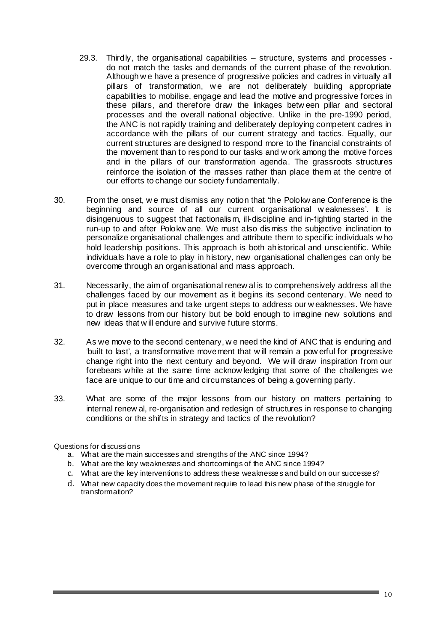- 29.3. Thirdly, the organisational capabilities structure, systems and processes do not match the tasks and demands of the current phase of the revolution. Although w e have a presence of progressive policies and cadres in virtually all pillars of transformation, w e are not deliberately building appropriate capabilities to mobilise, engage and lead the motive and progressive forces in these pillars, and therefore draw the linkages betw een pillar and sectoral processes and the overall national objective. Unlike in the pre-1990 period, the ANC is not rapidly training and deliberately deploying competent cadres in accordance with the pillars of our current strategy and tactics. Equally, our current structures are designed to respond more to the financial constraints of the movement than to respond to our tasks and w ork among the motive forces and in the pillars of our transformation agenda. The grassroots structures reinforce the isolation of the masses rather than place them at the centre of our efforts to change our society fundamentally.
- 30. From the onset, w e must dismiss any notion that 'the Polokw ane Conference is the beginning and source of all our current organisational w eaknesses'. It is disingenuous to suggest that factionalism, ill-discipline and in-fighting started in the run-up to and after Polokw ane. We must also dismiss the subjective inclination to personalize organisational challenges and attribute them to specific individuals w ho hold leadership positions. This approach is both ahistorical and unscientific. While individuals have a role to play in history, new organisational challenges can only be overcome through an organisational and mass approach.
- 31. Necessarily, the aim of organisational renew al is to comprehensively address all the challenges faced by our movement as it begins its second centenary. We need to put in place measures and take urgent steps to address our w eaknesses. We have to draw lessons from our history but be bold enough to imagine new solutions and new ideas that w ill endure and survive future storms.
- 32. As we move to the second centenary, w e need the kind of ANC that is enduring and 'built to last', a transformative movement that w ill remain a pow erful for progressive change right into the next century and beyond. We w ill draw inspiration from our forebears while at the same time acknow ledging that some of the challenges we face are unique to our time and circumstances of being a governing party.
- 33. What are some of the major lessons from our history on matters pertaining to internal renew al, re-organisation and redesign of structures in response to changing conditions or the shifts in strategy and tactics of the revolution?

#### Questions for discussions

- a. What are the main successes and strengths of the ANC since 1994?
- b. What are the key weaknesses and shortcomings of the ANC since 1994?
- c. What are the key interventions to address these weaknesse s and build on our successe s?
- d. What new capacity does the movement require to lead this new phase of the struggle for transformation?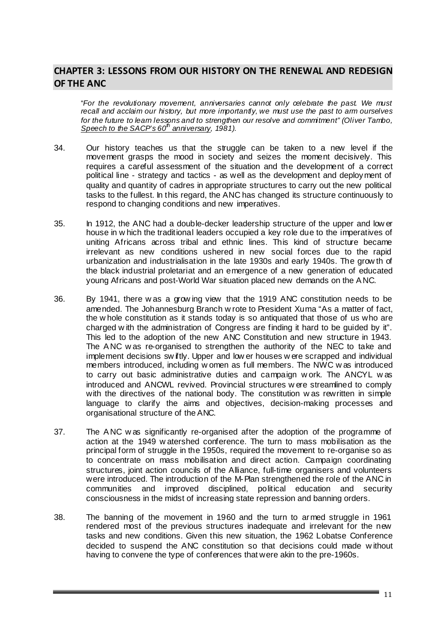# **CHAPTER 3: LESSONS FROM OUR HISTORY ON THE RENEWAL AND REDESIGN OF THE ANC**

"*For the revolutionary movement, anniversaries cannot only celebrate the past. We must recall and acclaim our history, but more importantly, we must use the past to arm ourselves for the future to learn lessons and to strengthen our resolve and commitment" (Oliver Tambo, Speech to the SACP's 60th anniversary, 1981).* 

- 34. Our history teaches us that the struggle can be taken to a new level if the movement grasps the mood in society and seizes the moment decisively. This requires a careful assessment of the situation and the development of a correct political line - strategy and tactics - as well as the development and deployment of quality and quantity of cadres in appropriate structures to carry out the new political tasks to the fullest. In this regard, the ANC has changed its structure continuously to respond to changing conditions and new imperatives.
- 35. In 1912, the ANC had a double-decker leadership structure of the upper and low er house in w hich the traditional leaders occupied a key role due to the imperatives of uniting Africans across tribal and ethnic lines. This kind of structure became irrelevant as new conditions ushered in new social forces due to the rapid urbanization and industrialisation in the late 1930s and early 1940s. The grow th of the black industrial proletariat and an emergence of a new generation of educated young Africans and post-World War situation placed new demands on the A NC.
- 36. By 1941, there w as a grow ing view that the 1919 ANC constitution needs to be amended. The Johannesburg Branch w rote to President Xuma "As a matter of fact, the w hole constitution as it stands today is so antiquated that those of us who are charged w ith the administration of Congress are finding it hard to be guided by it". This led to the adoption of the new ANC Constitution and new structure in 1943. The A NC w as re-organised to strengthen the authority of the NEC to take and implement decisions sw iftly. Upper and low er houses w ere scrapped and individual members introduced, including w omen as full members. The NWC w as introduced to carry out basic administrative duties and campaign w ork. The ANCYL w as introduced and ANCWL revived. Provincial structures w ere streamlined to comply with the directives of the national body. The constitution w as rewritten in simple language to clarify the aims and objectives, decision-making processes and organisational structure of the ANC.
- 37. The A NC w as significantly re-organised after the adoption of the programme of action at the 1949 w atershed conference. The turn to mass mobilisation as the principal form of struggle in the 1950s, required the movement to re-organise so as to concentrate on mass mobilisation and direct action. Campaign coordinating structures, joint action councils of the Alliance, full-time organisers and volunteers were introduced. The introduction of the M-Plan strengthened the role of the ANC in communities and improved disciplined, political education and security consciousness in the midst of increasing state repression and banning orders.
- 38. The banning of the movement in 1960 and the turn to armed struggle in 1961 rendered most of the previous structures inadequate and irrelevant for the new tasks and new conditions. Given this new situation, the 1962 Lobatse Conference decided to suspend the ANC constitution so that decisions could made w ithout having to convene the type of conferences that were akin to the pre-1960s.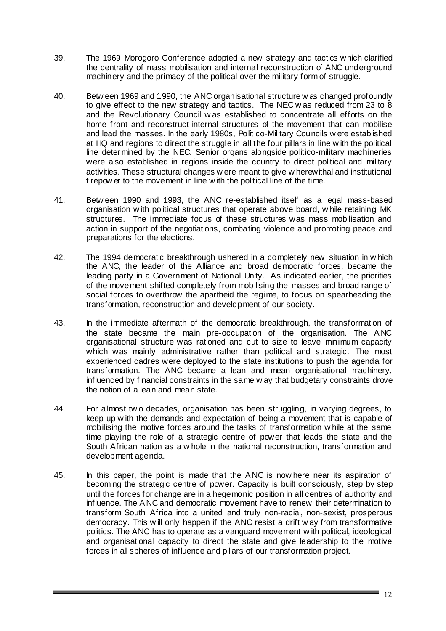- 39. The 1969 Morogoro Conference adopted a new strategy and tactics which clarified the centrality of mass mobilisation and internal reconstruction of ANC underground machinery and the primacy of the political over the military form of struggle.
- 40. Betw een 1969 and 1990, the ANC organisational structure w as changed profoundly to give effect to the new strategy and tactics. The NEC w as reduced from 23 to 8 and the Revolutionary Council w as established to concentrate all efforts on the home front and reconstruct internal structures of the movement that can mobilise and lead the masses. In the early 1980s, Politico-Military Councils w ere established at HQ and regions to direct the struggle in all the four pillars in line w ith the political line determined by the NEC. Senior organs alongside politico-military machineries were also established in regions inside the country to direct political and military activities. These structural changes w ere meant to give w herewithal and institutional firepow er to the movement in line w ith the political line of the time.
- 41. Betw een 1990 and 1993, the ANC re-established itself as a legal mass-based organisation w ith political structures that operate above board, w hile retaining MK structures. The immediate focus of these structures was mass mobilisation and action in support of the negotiations, combating violence and promoting peace and preparations for the elections.
- 42. The 1994 democratic breakthrough ushered in a completely new situation in w hich the ANC, the leader of the Alliance and broad democratic forces, became the leading party in a Government of National Unity. As indicated earlier, the priorities of the movement shifted completely from mobilising the masses and broad range of social forces to overthrow the apartheid the regime, to focus on spearheading the transformation, reconstruction and development of our society.
- 43. In the immediate aftermath of the democratic breakthrough, the transformation of the state became the main pre-occupation of the organisation. The A NC organisational structure was rationed and cut to size to leave minimum capacity which was mainly administrative rather than political and strategic. The most experienced cadres were deployed to the state institutions to push the agenda for transformation. The ANC became a lean and mean organisational machinery, influenced by financial constraints in the same w ay that budgetary constraints drove the notion of a lean and mean state.
- 44. For almost tw o decades, organisation has been struggling, in varying degrees, to keep up w ith the demands and expectation of being a movement that is capable of mobilising the motive forces around the tasks of transformation w hile at the same time playing the role of a strategic centre of power that leads the state and the South African nation as a w hole in the national reconstruction, transformation and development agenda.
- 45. In this paper, the point is made that the A NC is now here near its aspiration of becoming the strategic centre of power. Capacity is built consciously, step by step until the forces for change are in a hegemonic position in all centres of authority and influence. The A NC and democratic movement have to renew their determination to transform South Africa into a united and truly non-racial, non-sexist, prosperous democracy. This w ill only happen if the ANC resist a drift w ay from transformative politics. The ANC has to operate as a vanguard movement w ith political, ideological and organisational capacity to direct the state and give leadership to the motive forces in all spheres of influence and pillars of our transformation project.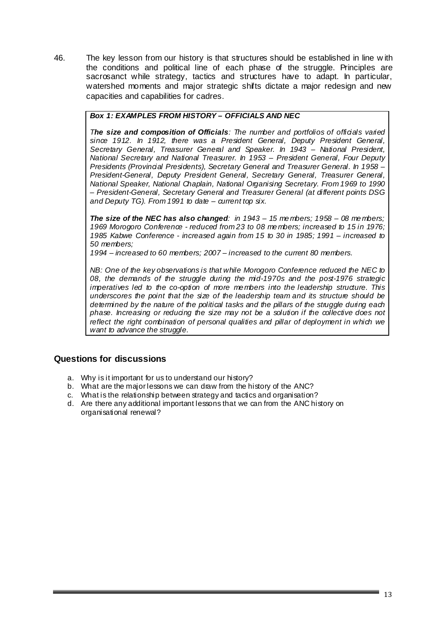46. The key lesson from our history is that structures should be established in line w ith the conditions and political line of each phase of the struggle. Principles are sacrosanct while strategy, tactics and structures have to adapt. In particular, watershed moments and major strategic shifts dictate a major redesign and new capacities and capabilities for cadres.

# *Box 1: EXAMPLES FROM HISTORY – OFFICIALS AND NEC*

*The size and composition of Officials: The number and portfolios of officials varied since 1912. In 1912, there was a President General, Deputy President General, Secretary General, Treasurer General and Speaker. In 1943 – National President, National Secretary and National Treasurer. In 1953 – President General, Four Deputy Presidents (Provincial Presidents), Secretary General and Treasurer General. In 1958 – President-General, Deputy President General, Secretary General, Treasurer General, National Speaker, National Chaplain, National Organising Secretary. From 1969 to 1990 – President-General, Secretary General and Treasurer General (at different points DSG and Deputy TG). From 1991 to date – current top six.* 

*The size of the NEC has also changed: in 1943 – 15 me mbers; 1958 – 08 me mbers; 1969 Morogoro Conference - reduced from 23 to 08 me mbers; increased to 15 in 1976; 1985 Kabwe Conference - increased again from 15 to 30 in 1985; 1991 – increased to 50 members;* 

*1994 – increased to 60 members; 2007 – increased to the current 80 members.* 

*NB: One of the key observations is that while Morogoro Conference reduced the NEC to 08, the demands of the struggle during the mid-1970s and the post-1976 strategic imperatives led to the co-option of more me mbers into the leadership structure. This underscores the point that the size of the leadership team and its structure should be determined by the nature of the political tasks and the pillars of the struggle during each phase. Increasing or reducing the size may not be a solution if the collective does not reflect the right combination of personal qualities and pillar of deployment in which we want to advance the struggle.* 

# **Questions for discussions**

- a. Why is it important for us to understand our history?
- b. What are the major lessons we can draw from the history of the ANC?
- c. What is the relationship between strategy and tactics and organisation?
- d. Are there any additional important lessons that we can from the ANC history on organisational renewal?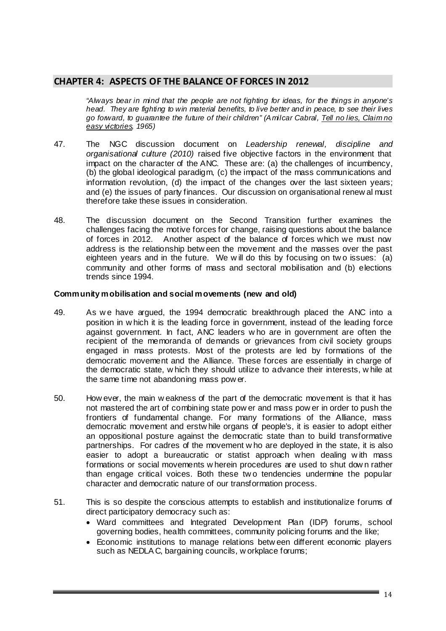# **CHAPTER 4: ASPECTS OF THE BALANCE OF FORCES IN 2012**

*"Always bear in mind that the people are not fighting for ideas, for the things in anyone's head. They are fighting to win material benefits, to live better and in peace, to see their lives go forward, to guarantee the future of their children" (Amilcar Cabral, Tell no lies, Claim no easy victories, 1965)* 

- 47. The NGC discussion document on *Leadership renewal, discipline and organisational culture (2010)* raised five objective factors in the environment that impact on the character of the ANC. These are: (a) the challenges of incumbency, (b) the global ideological paradigm, (c) the impact of the mass communications and information revolution, (d) the impact of the changes over the last sixteen years; and (e) the issues of party finances. Our discussion on organisational renew al must therefore take these issues in consideration.
- 48. The discussion document on the Second Transition further examines the challenges facing the motive forces for change, raising questions about the balance of forces in 2012. Another aspect of the balance of forces which we must now address is the relationship betw een the movement and the masses over the past eighteen years and in the future. We w ill do this by focusing on tw o issues: (a) community and other forms of mass and sectoral mobilisation and (b) elections trends since 1994.

#### **Community mobilisation and social movements (new and old)**

- 49. As w e have argued, the 1994 democratic breakthrough placed the ANC into a position in w hich it is the leading force in government, instead of the leading force against government. In fact, ANC leaders w ho are in government are often the recipient of the memoranda of demands or grievances from civil society groups engaged in mass protests. Most of the protests are led by formations of the democratic movement and the Alliance. These forces are essentially in charge of the democratic state, w hich they should utilize to advance their interests, w hile at the same time not abandoning mass pow er.
- 50. How ever, the main w eakness of the part of the democratic movement is that it has not mastered the art of combining state pow er and mass pow er in order to push the frontiers of fundamental change. For many formations of the Alliance, mass democratic movement and erstw hile organs of people's, it is easier to adopt either an oppositional posture against the democratic state than to build transformative partnerships. For cadres of the movement w ho are deployed in the state, it is also easier to adopt a bureaucratic or statist approach when dealing w ith mass formations or social movements w herein procedures are used to shut dow n rather than engage critical voices. Both these tw o tendencies undermine the popular character and democratic nature of our transformation process.
- 51. This is so despite the conscious attempts to establish and institutionalize forums of direct participatory democracy such as:
	- Ward committees and Integrated Development Plan (IDP) forums, school governing bodies, health committees, community policing forums and the like;
	- Economic institutions to manage relations betw een different economic players such as NEDLA C, bargaining councils, w orkplace forums;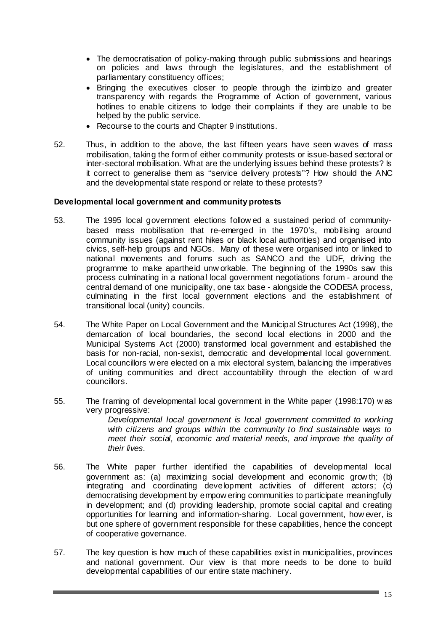- The democratisation of policy-making through public submissions and hearings on policies and laws through the legislatures, and the establishment of parliamentary constituency offices;
- Bringing the executives closer to people through the izimbizo and greater transparency with regards the Programme of Action of government, various hotlines to enable citizens to lodge their complaints if they are unable to be helped by the public service.
- Recourse to the courts and Chapter 9 institutions.
- 52. Thus, in addition to the above, the last fifteen years have seen waves of mass mobilisation, taking the form of either community protests or issue-based sectoral or inter-sectoral mobilisation. What are the underlying issues behind these protests? Is it correct to generalise them as "service delivery protests"? How should the ANC and the developmental state respond or relate to these protests?

# **Developmental local government and community protests**

- 53. The 1995 local government elections follow ed a sustained period of communitybased mass mobilisation that re-emerged in the 1970's, mobilising around community issues (against rent hikes or black local authorities) and organised into civics, self-help groups and NGOs. Many of these were organised into or linked to national movements and forums such as SANCO and the UDF, driving the programme to make apartheid unw orkable. The beginning of the 1990s saw this process culminating in a national local government negotiations forum - around the central demand of one municipality, one tax base - alongside the CODESA process, culminating in the first local government elections and the establishment of transitional local (unity) councils.
- 54. The White Paper on Local Government and the Municipal Structures Act (1998), the demarcation of local boundaries, the second local elections in 2000 and the Municipal Systems Act (2000) transformed local government and established the basis for non-racial, non-sexist, democratic and developmental local government. Local councillors w ere elected on a mix electoral system, balancing the imperatives of uniting communities and direct accountability through the election of w ard councillors.
- 55. The framing of developmental local government in the White paper (1998:170) w as very progressive:

*Developmental local government is local government committed to working with citizens and groups within the community to find sustainable ways to meet their social, economic and material needs, and improve the quality of their lives.* 

- 56. The White paper further identified the capabilities of developmental local government as: (a) maximizing social development and economic grow th; (b) integrating and coordinating development activities of different actors; (c) democratising development by empow ering communities to participate meaningfully in development; and (d) providing leadership, promote social capital and creating opportunities for learning and information-sharing. Local government, how ever, is but one sphere of government responsible for these capabilities, hence the concept of cooperative governance.
- 57. The key question is how much of these capabilities exist in municipalities, provinces and national government. Our view is that more needs to be done to build developmental capabilities of our entire state machinery.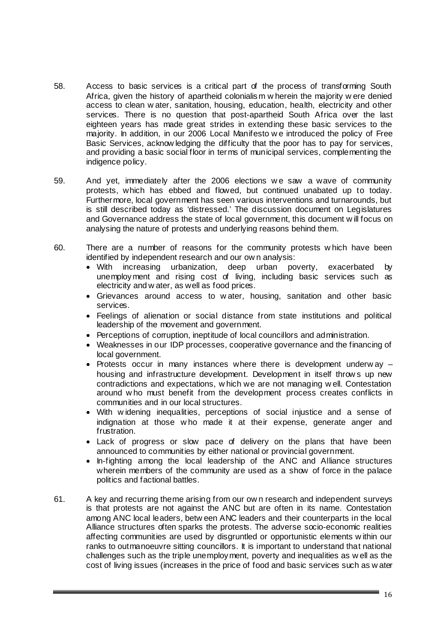- 58. Access to basic services is a critical part of the process of transforming South Africa, given the history of apartheid colonialism w herein the majority w ere denied access to clean w ater, sanitation, housing, education, health, electricity and other services. There is no question that post-apartheid South Africa over the last eighteen years has made great strides in extending these basic services to the majority. In addition, in our 2006 Local Manifesto w e introduced the policy of Free Basic Services, acknow ledging the difficulty that the poor has to pay for services, and providing a basic social floor in terms of municipal services, complementing the indigence policy.
- 59. And yet, immediately after the 2006 elections we saw a wave of community protests, which has ebbed and flowed, but continued unabated up to today. Furthermore, local government has seen various interventions and turnarounds, but is still described today as 'distressed.' The discussion document on Legislatures and Governance address the state of local government, this document w ill focus on analysing the nature of protests and underlying reasons behind them.
- 60. There are a number of reasons for the community protests w hich have been identified by independent research and our ow n analysis:
	- With increasing urbanization, deep urban poverty, exacerbated by unemployment and rising cost of living, including basic services such as electricity and w ater, as well as food prices.
	- Grievances around access to w ater, housing, sanitation and other basic services.
	- Feelings of alienation or social distance from state institutions and political leadership of the movement and government.
	- Perceptions of corruption, ineptitude of local councillors and administration.
	- Weaknesses in our IDP processes, cooperative governance and the financing of local government.
	- Protests occur in many instances where there is development underw ay housing and infrastructure development. Development in itself throw s up new contradictions and expectations, w hich we are not managing w ell. Contestation around w ho must benefit from the development process creates conflicts in communities and in our local structures.
	- With w idening inequalities, perceptions of social injustice and a sense of indignation at those w ho made it at their expense, generate anger and frustration.
	- Lack of progress or slow pace of delivery on the plans that have been announced to communities by either national or provincial government.
	- In-fighting among the local leadership of the ANC and Alliance structures wherein members of the community are used as a show of force in the palace politics and factional battles.
- 61. A key and recurring theme arising from our ow n research and independent surveys is that protests are not against the ANC but are often in its name. Contestation among ANC local leaders, betw een ANC leaders and their counterparts in the local Alliance structures often sparks the protests. The adverse socio-economic realities affecting communities are used by disgruntled or opportunistic elements w ithin our ranks to outmanoeuvre sitting councillors. It is important to understand that national challenges such as the triple unemployment, poverty and inequalities as w ell as the cost of living issues (increases in the price of food and basic services such as w ater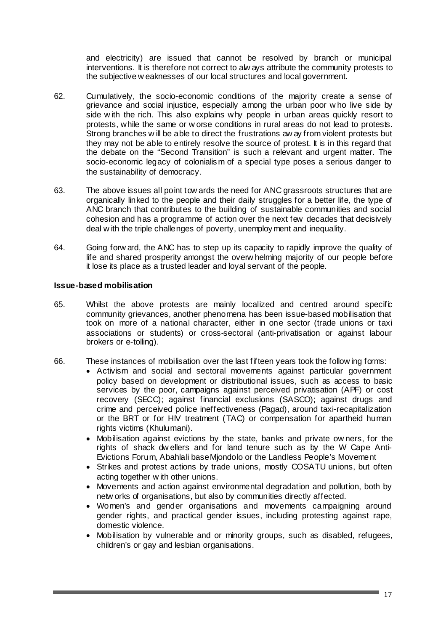and electricity) are issued that cannot be resolved by branch or municipal interventions. It is therefore not correct to alw ays attribute the community protests to the subjective w eaknesses of our local structures and local government.

- 62. Cumulatively, the socio-economic conditions of the majority create a sense of grievance and social injustice, especially among the urban poor w ho live side by side w ith the rich. This also explains why people in urban areas quickly resort to protests, while the same or w orse conditions in rural areas do not lead to protests. Strong branches w ill be able to direct the frustrations aw ay from violent protests but they may not be able to entirely resolve the source of protest. It is in this regard that the debate on the "Second Transition" is such a relevant and urgent matter. The socio-economic legacy of colonialism of a special type poses a serious danger to the sustainability of democracy.
- 63. The above issues all point tow ards the need for ANC grassroots structures that are organically linked to the people and their daily struggles for a better life, the type of ANC branch that contributes to the building of sustainable communities and social cohesion and has a programme of action over the next few decades that decisively deal w ith the triple challenges of poverty, unemployment and inequality.
- 64. Going forw ard, the ANC has to step up its capacity to rapidly improve the quality of life and shared prosperity amongst the overw helming majority of our people before it lose its place as a trusted leader and loyal servant of the people.

# **Issue-based mobilisation**

- 65. Whilst the above protests are mainly localized and centred around specific community grievances, another phenomena has been issue-based mobilisation that took on more of a national character, either in one sector (trade unions or taxi associations or students) or cross-sectoral (anti-privatisation or against labour brokers or e-tolling).
- 66. These instances of mobilisation over the last fifteen years took the follow ing forms:
	- Activism and social and sectoral movements against particular government policy based on development or distributional issues, such as access to basic services by the poor, campaigns against perceived privatisation (APF) or cost recovery (SECC); against financial exclusions (SASCO); against drugs and crime and perceived police ineffectiveness (Pagad), around taxi-recapitalization or the BRT or for HIV treatment (TAC) or compensation for apartheid human rights victims (Khulumani).
	- Mobilisation against evictions by the state, banks and private ow ners, for the rights of shack dw ellers and for land tenure such as by the W Cape Anti-Evictions Forum, Abahlali baseMjondolo or the Landless People's Movement
	- Strikes and protest actions by trade unions, mostly COSATU unions, but often acting together w ith other unions.
	- Movements and action against environmental degradation and pollution, both by netw orks of organisations, but also by communities directly affected.
	- Women's and gender organisations and movements campaigning around gender rights, and practical gender issues, including protesting against rape, domestic violence.
	- Mobilisation by vulnerable and or minority groups, such as disabled, refugees, children's or gay and lesbian organisations.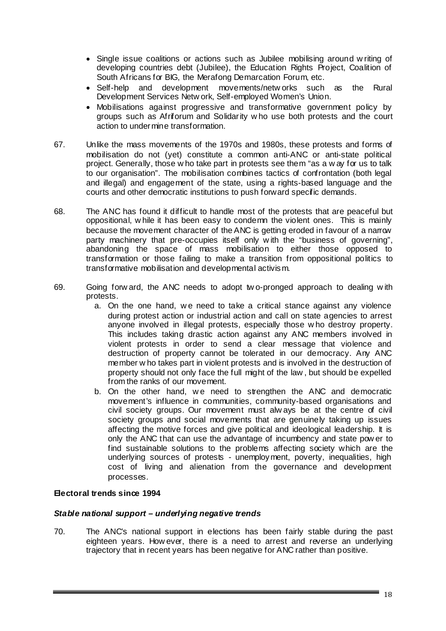- Single issue coalitions or actions such as Jubilee mobilising around w riting of developing countries debt (Jubilee), the Education Rights Project, Coalition of South Africans for BIG, the Merafong Demarcation Forum, etc.
- Self-help and development movements/netw orks such as the Rural Development Services Netw ork, Self-employed Women's Union.
- Mobilisations against progressive and transformative government policy by groups such as Afriforum and Solidarity w ho use both protests and the court action to undermine transformation.
- 67. Unlike the mass movements of the 1970s and 1980s, these protests and forms of mobilisation do not (yet) constitute a common anti-ANC or anti-state political project. Generally, those w ho take part in protests see them "as a w ay for us to talk to our organisation". The mobilisation combines tactics of confrontation (both legal and illegal) and engagement of the state, using a rights-based language and the courts and other democratic institutions to push forward specific demands.
- 68. The ANC has found it difficult to handle most of the protests that are peaceful but oppositional, w hile it has been easy to condemn the violent ones. This is mainly because the movement character of the ANC is getting eroded in favour of a narrow party machinery that pre-occupies itself only w ith the "business of governing", abandoning the space of mass mobilisation to either those opposed to transformation or those failing to make a transition from oppositional politics to transformative mobilisation and developmental activism.
- 69. Going forw ard, the ANC needs to adopt tw o-pronged approach to dealing w ith protests.
	- a. On the one hand, w e need to take a critical stance against any violence during protest action or industrial action and call on state agencies to arrest anyone involved in illegal protests, especially those w ho destroy property. This includes taking drastic action against any ANC members involved in violent protests in order to send a clear message that violence and destruction of property cannot be tolerated in our democracy. Any ANC member w ho takes part in violent protests and is involved in the destruction of property should not only face the full might of the law , but should be expelled from the ranks of our movement.
	- b. On the other hand, we need to strengthen the ANC and democratic movement's influence in communities, community-based organisations and civil society groups. Our movement must alw ays be at the centre of civil society groups and social movements that are genuinely taking up issues affecting the motive forces and give political and ideological leadership. It is only the ANC that can use the advantage of incumbency and state pow er to find sustainable solutions to the problems affecting society which are the underlying sources of protests - unemployment, poverty, inequalities, high cost of living and alienation from the governance and development processes.

# **Electoral trends since 1994**

# *Stable national support – underlying negative trends*

70. The ANC's national support in elections has been fairly stable during the past eighteen years. How ever, there is a need to arrest and reverse an underlying trajectory that in recent years has been negative for ANC rather than positive.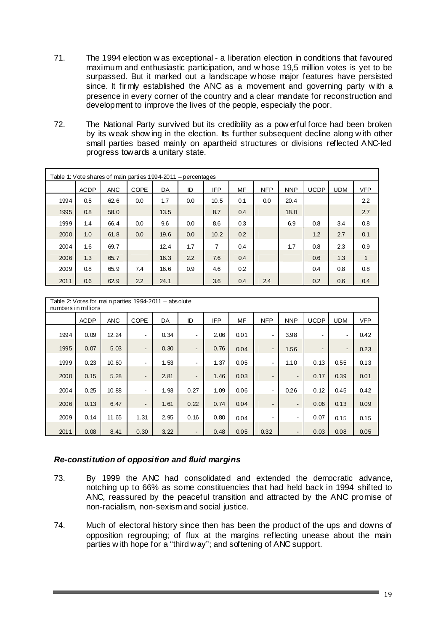- 71. The 1994 election w as exceptional a liberation election in conditions that favoured maximum and enthusiastic participation, and w hose 19,5 million votes is yet to be surpassed. But it marked out a landscape w hose major features have persisted since. It firmly established the ANC as a movement and governing party w ith a presence in every corner of the country and a clear mandate for reconstruction and development to improve the lives of the people, especially the poor.
- 72. The National Party survived but its credibility as a pow erful force had been broken by its weak show ing in the election. Its further subsequent decline along w ith other small parties based mainly on apartheid structures or divisions reflected ANC-led progress towards a unitary state.

| Table 1: Vote shares of main parties 1994-2011 – percentages |             |            |             |      |     |            |     |            |            |             |            |            |
|--------------------------------------------------------------|-------------|------------|-------------|------|-----|------------|-----|------------|------------|-------------|------------|------------|
|                                                              | <b>ACDP</b> | <b>ANC</b> | <b>COPE</b> | DA   | ID  | <b>IFP</b> | MF  | <b>NFP</b> | <b>NNP</b> | <b>UCDP</b> | <b>UDM</b> | <b>VFP</b> |
| 1994                                                         | 0.5         | 62.6       | 0.0         | 1.7  | 0.0 | 10.5       | 0.1 | 0.0        | 20.4       |             |            | 2.2        |
| 1995                                                         | 0.8         | 58.0       |             | 13.5 |     | 8.7        | 0.4 |            | 18.0       |             |            | 2.7        |
| 1999                                                         | 1.4         | 66.4       | 0.0         | 9.6  | 0.0 | 8.6        | 0.3 |            | 6.9        | 0.8         | 3.4        | 0.8        |
| 2000                                                         | 1.0         | 61.8       | 0.0         | 19.6 | 0.0 | 10.2       | 0.2 |            |            | 1.2         | 2.7        | 0.1        |
| 2004                                                         | 1.6         | 69.7       |             | 12.4 | 1.7 | 7          | 0.4 |            | 1.7        | 0.8         | 2.3        | 0.9        |
| 2006                                                         | 1.3         | 65.7       |             | 16.3 | 2.2 | 7.6        | 0.4 |            |            | 0.6         | 1.3        | 1          |
| 2009                                                         | 0.8         | 65.9       | 7.4         | 16.6 | 0.9 | 4.6        | 0.2 |            |            | 0.4         | 0.8        | 0.8        |
| 2011                                                         | 0.6         | 62.9       | 2.2         | 24.1 |     | 3.6        | 0.4 | 2.4        |            | 0.2         | 0.6        | 0.4        |

| Table 2: Votes for main parties 1994-2011 - absolute<br>numbers in millions |             |            |                |      |                          |            |      |                          |                          |                |                          |            |
|-----------------------------------------------------------------------------|-------------|------------|----------------|------|--------------------------|------------|------|--------------------------|--------------------------|----------------|--------------------------|------------|
|                                                                             | <b>ACDP</b> | <b>ANC</b> | <b>COPE</b>    | DA   | ID                       | <b>IFP</b> | MF   | <b>NFP</b>               | <b>NNP</b>               | <b>UCDP</b>    | <b>UDM</b>               | <b>VFP</b> |
| 1994                                                                        | 0.09        | 12.24      | $\blacksquare$ | 0.34 | $\overline{\phantom{a}}$ | 2.06       | 0.01 | $\blacksquare$           | 3.98                     | $\blacksquare$ | $\overline{\phantom{a}}$ | 0.42       |
| 1995                                                                        | 0.07        | 5.03       | $\blacksquare$ | 0.30 | $\blacksquare$           | 0.76       | 0.04 | $\overline{\phantom{a}}$ | 1.56                     | $\blacksquare$ | $\overline{\phantom{0}}$ | 0.23       |
| 1999                                                                        | 0.23        | 10.60      | $\blacksquare$ | 1.53 | $\blacksquare$           | 1.37       | 0.05 | $\blacksquare$           | 1.10                     | 0.13           | 0.55                     | 0.13       |
| 2000                                                                        | 0.15        | 5.28       | $\blacksquare$ | 2.81 | $\overline{\phantom{a}}$ | 1.46       | 0.03 | $\overline{\phantom{a}}$ | $\blacksquare$           | 0.17           | 0.39                     | 0.01       |
| 2004                                                                        | 0.25        | 10.88      | ٠              | 1.93 | 0.27                     | 1.09       | 0.06 | $\blacksquare$           | 0.26                     | 0.12           | 0.45                     | 0.42       |
| 2006                                                                        | 0.13        | 6.47       | $\blacksquare$ | 1.61 | 0.22                     | 0.74       | 0.04 | $\blacksquare$           | $\overline{\phantom{a}}$ | 0.06           | 0.13                     | 0.09       |
| 2009                                                                        | 0.14        | 11.65      | 1.31           | 2.95 | 0.16                     | 0.80       | 0.04 | $\blacksquare$           | $\blacksquare$           | 0.07           | 0.15                     | 0.15       |
| 2011                                                                        | 0.08        | 8.41       | 0.30           | 3.22 | $\blacksquare$           | 0.48       | 0.05 | 0.32                     |                          | 0.03           | 0.08                     | 0.05       |

# *Re-constitution of opposition and fluid margins*

- 73. By 1999 the ANC had consolidated and extended the democratic advance, notching up to 66% as some constituencies that had held back in 1994 shifted to ANC, reassured by the peaceful transition and attracted by the ANC promise of non-racialism, non-sexism and social justice.
- 74. Much of electoral history since then has been the product of the ups and downs of opposition regrouping; of flux at the margins reflecting unease about the main parties w ith hope for a "third way"; and softening of ANC support.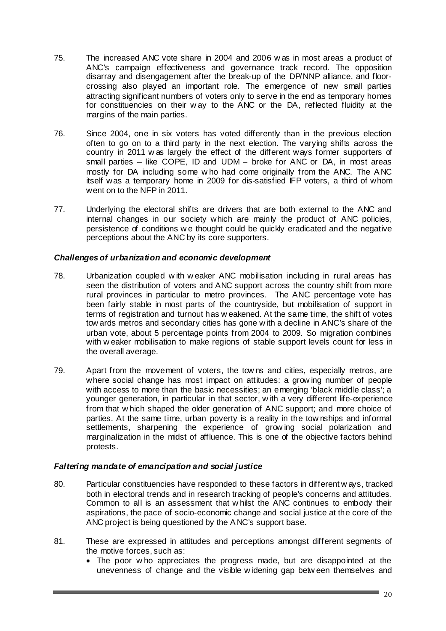- 75. The increased ANC vote share in 2004 and 2006 w as in most areas a product of ANC's campaign effectiveness and governance track record. The opposition disarray and disengagement after the break-up of the DP/NNP alliance, and floorcrossing also played an important role. The emergence of new small parties attracting significant numbers of voters only to serve in the end as temporary homes for constituencies on their w ay to the ANC or the DA, reflected fluidity at the margins of the main parties.
- 76. Since 2004, one in six voters has voted differently than in the previous election often to go on to a third party in the next election. The varying shifts across the country in 2011 w as largely the effect of the different ways former supporters of small parties – like COPE, ID and UDM – broke for ANC or DA, in most areas mostly for DA including some w ho had come originally from the ANC. The A NC itself was a temporary home in 2009 for dis-satisfied IFP voters, a third of whom went on to the NFP in 2011.
- 77. Underlying the electoral shifts are drivers that are both external to the ANC and internal changes in our society which are mainly the product of ANC policies, persistence of conditions w e thought could be quickly eradicated and the negative perceptions about the ANC by its core supporters.

# *Challenges of urbanization and economic development*

- 78. Urbanization coupled w ith w eaker ANC mobilisation including in rural areas has seen the distribution of voters and ANC support across the country shift from more rural provinces in particular to metro provinces. The ANC percentage vote has been fairly stable in most parts of the countryside, but mobilisation of support in terms of registration and turnout has w eakened. At the same time, the shift of votes tow ards metros and secondary cities has gone w ith a decline in ANC's share of the urban vote, about 5 percentage points from 2004 to 2009. So migration combines with w eaker mobilisation to make regions of stable support levels count for less in the overall average.
- 79. Apart from the movement of voters, the tow ns and cities, especially metros, are where social change has most impact on attitudes: a grow ing number of people with access to more than the basic necessities; an emerging 'black middle class'; a younger generation, in particular in that sector, w ith a very different life-experience from that w hich shaped the older generation of ANC support; and more choice of parties. At the same time, urban poverty is a reality in the tow nships and informal settlements, sharpening the experience of grow ing social polarization and marginalization in the midst of affluence. This is one of the objective factors behind protests.

# *Faltering mandate of emancipation and social justice*

- 80. Particular constituencies have responded to these factors in different w ays, tracked both in electoral trends and in research tracking of people's concerns and attitudes. Common to all is an assessment that w hilst the ANC continues to embody their aspirations, the pace of socio-economic change and social justice at the core of the ANC project is being questioned by the A NC's support base.
- 81. These are expressed in attitudes and perceptions amongst different segments of the motive forces, such as:
	- The poor w ho appreciates the progress made, but are disappointed at the unevenness of change and the visible w idening gap betw een themselves and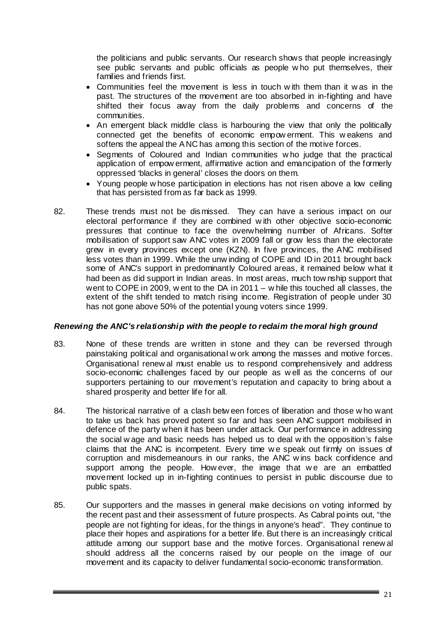the politicians and public servants. Our research shows that people increasingly see public servants and public officials as people w ho put themselves, their families and friends first.

- Communities feel the movement is less in touch w ith them than it w as in the past. The structures of the movement are too absorbed in in-fighting and have shifted their focus away from the daily problems and concerns of the communities.
- An emergent black middle class is harbouring the view that only the politically connected get the benefits of economic empow erment. This w eakens and softens the appeal the ANC has among this section of the motive forces.
- Segments of Coloured and Indian communities w ho judge that the practical application of empow erment, affirmative action and emancipation of the formerly oppressed 'blacks in general' closes the doors on them.
- Young people w hose participation in elections has not risen above a low ceiling that has persisted from as far back as 1999.
- 82. These trends must not be dismissed. They can have a serious impact on our electoral performance if they are combined w ith other objective socio-economic pressures that continue to face the overwhelming number of Africans. Softer mobilisation of support saw ANC votes in 2009 fall or grow less than the electorate grew in every provinces except one (KZN). In five provinces, the ANC mobilised less votes than in 1999. While the unw inding of COPE and ID in 2011 brought back some of ANC's support in predominantly Coloured areas, it remained below what it had been as did support in Indian areas. In most areas, much tow nship support that went to COPE in 2009, w ent to the DA in 2011 – w hile this touched all classes, the extent of the shift tended to match rising income. Registration of people under 30 has not gone above 50% of the potential young voters since 1999.

# *Renewing the ANC's relationship with the people to reclaim the moral high ground*

- 83. None of these trends are written in stone and they can be reversed through painstaking political and organisational w ork among the masses and motive forces. Organisational renew al must enable us to respond comprehensively and address socio-economic challenges faced by our people as w ell as the concerns of our supporters pertaining to our movement's reputation and capacity to bring about a shared prosperity and better life for all.
- 84. The historical narrative of a clash betw een forces of liberation and those w ho want to take us back has proved potent so far and has seen ANC support mobilised in defence of the party when it has been under attack. Our performance in addressing the social w age and basic needs has helped us to deal w ith the opposition's false claims that the ANC is incompetent. Every time w e speak out firmly on issues of corruption and misdemeanours in our ranks, the ANC w ins back confidence and support among the people. How ever, the image that we are an embattled movement locked up in in-fighting continues to persist in public discourse due to public spats.
- 85. Our supporters and the masses in general make decisions on voting informed by the recent past and their assessment of future prospects. As Cabral points out, "the people are not fighting for ideas, for the things in anyone's head". They continue to place their hopes and aspirations for a better life. But there is an increasingly critical attitude among our support base and the motive forces. Organisational renew al should address all the concerns raised by our people on the image of our movement and its capacity to deliver fundamental socio-economic transformation.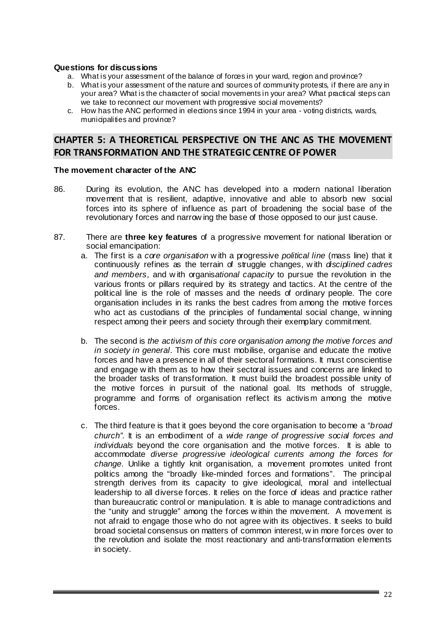### **Questions for discussions**

- a. What is your assessment of the balance of forces in your ward, region and province?
- b. What is your assessment of the nature and sources of community protests, if there are any in your area? What is the character of social movements in your area? What practical steps can we take to reconnect our movement with progressive social movements?
- c. How has the ANC performed in elections since 1994 in your area voting districts, wards, municipalities and province?

# **CHAPTER 5: A THEORETICAL PERSPECTIVE ON THE ANC AS THE MOVEMENT FOR TRANSFORMATION AND THE STRATEGIC CENTRE OF POWER**

#### **The movement character of the ANC**

- 86. During its evolution, the ANC has developed into a modern national liberation movement that is resilient, adaptive, innovative and able to absorb new social forces into its sphere of influence as part of broadening the social base of the revolutionary forces and narrow ing the base of those opposed to our just cause.
- 87. There are **three key features** of a progressive movement for national liberation or social emancipation:
	- a. The first is a *core organisation* w ith a progressive *political line* (mass line) that it continuously refines as the terrain of struggle changes, w ith *disciplined cadres and members*, and w ith organis*ational capacity* to pursue the revolution in the various fronts or pillars required by its strategy and tactics. At the centre of the political line is the role of masses and the needs of ordinary people. The core organisation includes in its ranks the best cadres from among the motive forces who act as custodians of the principles of fundamental social change, winning respect among their peers and society through their exemplary commitment.
	- b. The second is *the activism of this core organisation among the motive forces and in society in general*. This core must mobilise, organise and educate the motive forces and have a presence in all of their sectoral formations. It must conscientise and engage w ith them as to how their sectoral issues and concerns are linked to the broader tasks of transformation. It must build the broadest possible unity of the motive forces in pursuit of the national goal. Its methods of struggle, programme and forms of organisation reflect its activism among the motive forces.
	- c. The third feature is that it goes beyond the core organisation to become a *"broad church"*. It is an embodiment of a *wide range of progressive social forces and individuals* beyond the core organisation and the motive forces. It is able to accommodate *diverse progressive ideological currents among the forces for change*. Unlike a tightly knit organisation, a movement promotes united front politics among the "broadly like-minded forces and formations". The principal strength derives from its capacity to give ideological, moral and intellectual leadership to all diverse forces. It relies on the force of ideas and practice rather than bureaucratic control or manipulation. It is able to manage contradictions and the "unity and struggle" among the forces w ithin the movement. A movement is not afraid to engage those who do not agree with its objectives. It seeks to build broad societal consensus on matters of common interest, w in more forces over to the revolution and isolate the most reactionary and anti-transformation elements in society.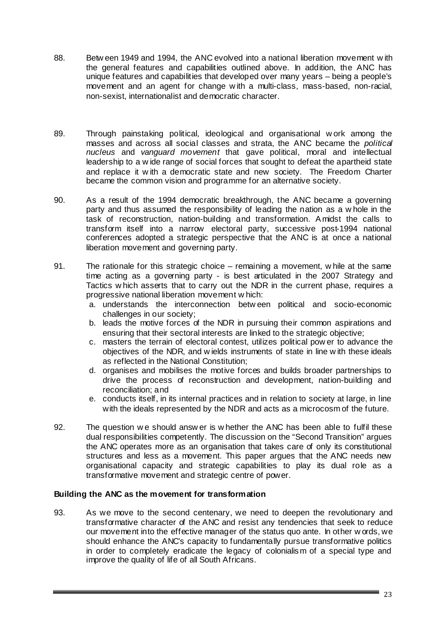- 88. Betw een 1949 and 1994, the ANC evolved into a national liberation movement w ith the general features and capabilities outlined above. In addition, the ANC has unique features and capabilities that developed over many years – being a people's movement and an agent for change w ith a multi-class, mass-based, non-racial, non-sexist, internationalist and democratic character.
- 89. Through painstaking political, ideological and organisational w ork among the masses and across all social classes and strata, the ANC became the *political nucleus* and *vanguard movement* that gave political, moral and intellectual leadership to a w ide range of social forces that sought to defeat the apartheid state and replace it w ith a democratic state and new society. The Freedom Charter became the common vision and programme for an alternative society.
- 90. As a result of the 1994 democratic breakthrough, the ANC became a governing party and thus assumed the responsibility of leading the nation as a w hole in the task of reconstruction, nation-building and transformation. A midst the calls to transform itself into a narrow electoral party, successive post-1994 national conferences adopted a strategic perspective that the ANC is at once a national liberation movement and governing party.
- 91. The rationale for this strategic choice remaining a movement, w hile at the same time acting as a governing party - is best articulated in the 2007 Strategy and Tactics w hich asserts that to carry out the NDR in the current phase, requires a progressive national liberation movement w hich:
	- a. understands the interconnection betw een political and socio-economic challenges in our society;
	- b. leads the motive forces of the NDR in pursuing their common aspirations and ensuring that their sectoral interests are linked to the strategic objective;
	- c. masters the terrain of electoral contest, utilizes political pow er to advance the objectives of the NDR, and w ields instruments of state in line w ith these ideals as reflected in the National Constitution;
	- d. organises and mobilises the motive forces and builds broader partnerships to drive the process of reconstruction and development, nation-building and reconciliation; and
	- e. conducts itself, in its internal practices and in relation to society at large, in line with the ideals represented by the NDR and acts as a microcosm of the future.
- 92. The question w e should answ er is w hether the ANC has been able to fulfil these dual responsibilities competently. The discussion on the "Second Transition" argues the ANC operates more as an organisation that takes care of only its constitutional structures and less as a movement. This paper argues that the ANC needs new organisational capacity and strategic capabilities to play its dual role as a transformative movement and strategic centre of power.

# **Building the ANC as the movement for transformation**

93. As we move to the second centenary, we need to deepen the revolutionary and transformative character of the ANC and resist any tendencies that seek to reduce our movement into the effective manager of the status quo ante. In other w ords, we should enhance the ANC's capacity to fundamentally pursue transformative politics in order to completely eradicate the legacy of colonialism of a special type and improve the quality of life of all South Africans.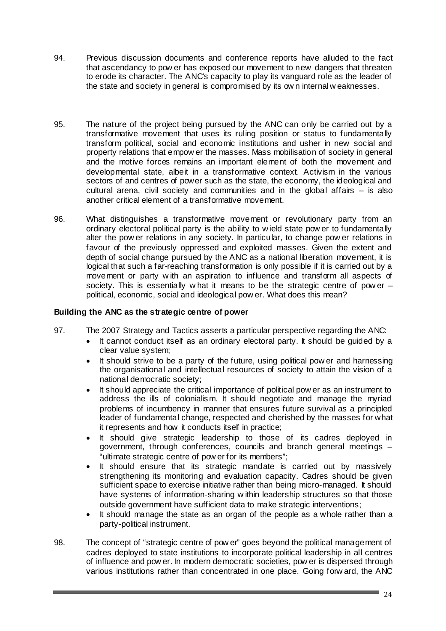- 94. Previous discussion documents and conference reports have alluded to the fact that ascendancy to pow er has exposed our movement to new dangers that threaten to erode its character. The ANC's capacity to play its vanguard role as the leader of the state and society in general is compromised by its ow n internal w eaknesses.
- 95. The nature of the project being pursued by the ANC can only be carried out by a transformative movement that uses its ruling position or status to fundamentally transform political, social and economic institutions and usher in new social and property relations that empow er the masses. Mass mobilisation of society in general and the motive forces remains an important element of both the movement and developmental state, albeit in a transformative context. Activism in the various sectors of and centres of power such as the state, the economy, the ideological and cultural arena, civil society and communities and in the global affairs – is also another critical element of a transformative movement.
- 96. What distinguishes a transformative movement or revolutionary party from an ordinary electoral political party is the ability to w ield state pow er to fundamentally alter the pow er relations in any society. In particular, to change pow er relations in favour of the previously oppressed and exploited masses. Given the extent and depth of social change pursued by the ANC as a national liberation movement, it is logical that such a far-reaching transformation is only possible if it is carried out by a movement or party w ith an aspiration to influence and transform all aspects of society. This is essentially w hat it means to be the strategic centre of power  $$ political, economic, social and ideological pow er. What does this mean?

# **Building the ANC as the strategic centre of power**

- 97. The 2007 Strategy and Tactics asserts a particular perspective regarding the ANC:
	- It cannot conduct itself as an ordinary electoral party. It should be guided by a clear value system;
	- It should strive to be a party of the future, using political pow er and harnessing the organisational and intellectual resources of society to attain the vision of a national democratic society;
	- It should appreciate the critical importance of political pow er as an instrument to address the ills of colonialism. It should negotiate and manage the myriad problems of incumbency in manner that ensures future survival as a principled leader of fundamental change, respected and cherished by the masses for what it represents and how it conducts itself in practice;
	- It should give strategic leadership to those of its cadres deployed in government, through conferences, councils and branch general meetings – "ultimate strategic centre of pow er for its members";
	- It should ensure that its strategic mandate is carried out by massively strengthening its monitoring and evaluation capacity. Cadres should be given sufficient space to exercise initiative rather than being micro-managed. It should have systems of information-sharing w ithin leadership structures so that those outside government have sufficient data to make strategic interventions;
	- It should manage the state as an organ of the people as a whole rather than a party-political instrument.
- 98. The concept of "strategic centre of pow er" goes beyond the political management of cadres deployed to state institutions to incorporate political leadership in all centres of influence and pow er. In modern democratic societies, pow er is dispersed through various institutions rather than concentrated in one place. Going forw ard, the ANC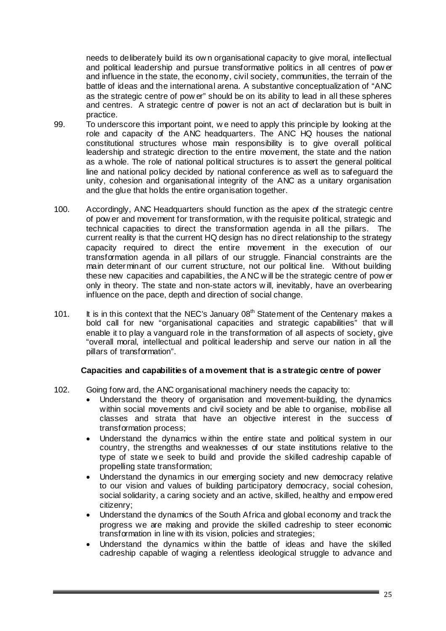needs to deliberately build its ow n organisational capacity to give moral, intellectual and political leadership and pursue transformative politics in all centres of pow er and influence in the state, the economy, civil society, communities, the terrain of the battle of ideas and the international arena. A substantive conceptualization of "ANC as the strategic centre of pow er" should be on its ability to lead in all these spheres and centres. A strategic centre of power is not an act of declaration but is built in practice.

- 99. To underscore this important point, w e need to apply this principle by looking at the role and capacity of the ANC headquarters. The ANC HQ houses the national constitutional structures whose main responsibility is to give overall political leadership and strategic direction to the entire movement, the state and the nation as a whole. The role of national political structures is to assert the general political line and national policy decided by national conference as well as to safeguard the unity, cohesion and organisational integrity of the ANC as a unitary organisation and the glue that holds the entire organisation together.
- 100. Accordingly, ANC Headquarters should function as the apex of the strategic centre of pow er and movement for transformation, w ith the requisite political, strategic and technical capacities to direct the transformation agenda in all the pillars. The current reality is that the current HQ design has no direct relationship to the strategy capacity required to direct the entire movement in the execution of our transformation agenda in all pillars of our struggle. Financial constraints are the main determinant of our current structure, not our political line. Without building these new capacities and capabilities, the A NC w ill be the strategic centre of pow er only in theory. The state and non-state actors w ill, inevitably, have an overbearing influence on the pace, depth and direction of social change.
- 101. It is in this context that the NEC's January  $08<sup>th</sup>$  Statement of the Centenary makes a bold call for new "organisational capacities and strategic capabilities" that w ill enable it to play a vanguard role in the transformation of all aspects of society, give "overall moral, intellectual and political leadership and serve our nation in all the pillars of transformation".

# **Capacities and capabilities of a movement that is a strategic centre of power**

- 102. Going forw ard, the ANC organisational machinery needs the capacity to:
	- Understand the theory of organisation and movement-building, the dynamics within social movements and civil society and be able to organise, mobilise all classes and strata that have an objective interest in the success of transformation process;
	- Understand the dynamics w ithin the entire state and political system in our country, the strengths and weaknesses of our state institutions relative to the type of state w e seek to build and provide the skilled cadreship capable of propelling state transformation;
	- Understand the dynamics in our emerging society and new democracy relative to our vision and values of building participatory democracy, social cohesion, social solidarity, a caring society and an active, skilled, healthy and empow ered citizenry;
	- Understand the dynamics of the South Africa and global economy and track the progress we are making and provide the skilled cadreship to steer economic transformation in line w ith its vision, policies and strategies;
	- Understand the dynamics within the battle of ideas and have the skilled cadreship capable of waging a relentless ideological struggle to advance and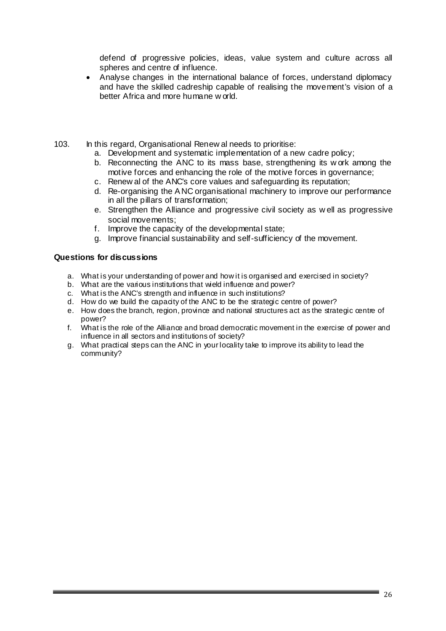defend of progressive policies, ideas, value system and culture across all spheres and centre of influence.

- Analyse changes in the international balance of forces, understand diplomacy and have the skilled cadreship capable of realising the movement's vision of a better Africa and more humane w orld.
- 103. In this regard, Organisational Renew al needs to prioritise:
	- a. Development and systematic implementation of a new cadre policy;
	- b. Reconnecting the ANC to its mass base, strengthening its w ork among the motive forces and enhancing the role of the motive forces in governance;
	- c. Renew al of the ANC's core values and safeguarding its reputation;
	- d. Re-organising the A NC organisational machinery to improve our performance in all the pillars of transformation;
	- e. Strengthen the Alliance and progressive civil society as w ell as progressive social movements;
	- f. Improve the capacity of the developmental state;
	- g. Improve financial sustainability and self-sufficiency of the movement.

#### **Questions for discussions**

- a. What is your understanding of power and how it is organised and exercised in society?
- b. What are the various institutions that wield influence and power?
- c. What is the ANC's strength and influence in such institutions?
- d. How do we build the capacity of the ANC to be the strategic centre of power?
- e. How does the branch, region, province and national structures act as the strategic centre of power?
- f. What is the role of the Alliance and broad democratic movement in the exercise of power and influence in all sectors and institutions of society?
- g. What practical steps can the ANC in your locality take to improve its ability to lead the community?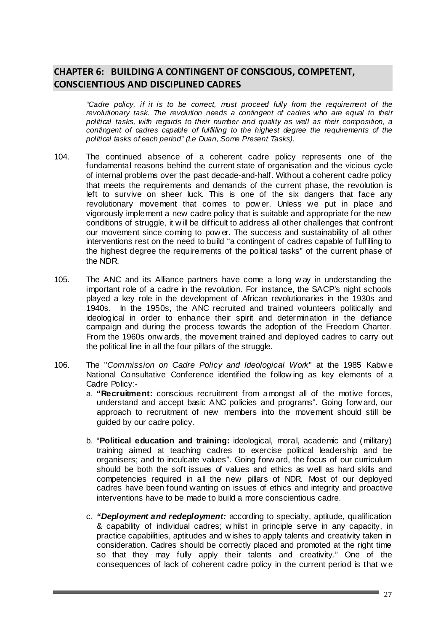# **CHAPTER 6: BUILDING A CONTINGENT OF CONSCIOUS, COMPETENT, CONSCIENTIOUS AND DISCIPLINED CADRES**

*"Cadre policy, if it is to be correct, must proceed fully from the requirement of the revolutionary task. The revolution needs a contingent of cadres who are equal to their political tasks, with regards to their number and quality as well as their composition, a contingent of cadres capable of fulfilling to the highest degree the requirements of the political tasks of each period*" *(Le Duan, Some Present Tasks)*.

- 104. The continued absence of a coherent cadre policy represents one of the fundamental reasons behind the current state of organisation and the vicious cycle of internal problems over the past decade-and-half. Without a coherent cadre policy that meets the requirements and demands of the current phase, the revolution is left to survive on sheer luck. This is one of the six dangers that face any revolutionary movement that comes to pow er. Unless we put in place and vigorously implement a new cadre policy that is suitable and appropriate for the new conditions of struggle, it w ill be difficult to address all other challenges that confront our movement since coming to pow er. The success and sustainability of all other interventions rest on the need to build "a contingent of cadres capable of fulfilling to the highest degree the requirements of the political tasks" of the current phase of the NDR.
- 105. The ANC and its Alliance partners have come a long w ay in understanding the important role of a cadre in the revolution. For instance, the SACP's night schools played a key role in the development of African revolutionaries in the 1930s and 1940s. In the 1950s, the ANC recruited and trained volunteers politically and ideological in order to enhance their spirit and determination in the defiance campaign and during the process towards the adoption of the Freedom Charter. From the 1960s onw ards, the movement trained and deployed cadres to carry out the political line in all the four pillars of the struggle.
- 106. The "*Commission on Cadre Policy and Ideological Work*" at the 1985 Kabw e National Consultative Conference identified the follow ing as key elements of a Cadre Policy:
	- a. **"Recruitment:** conscious recruitment from amongst all of the motive forces, understand and accept basic ANC policies and programs". Going forw ard, our approach to recruitment of new members into the movement should still be guided by our cadre policy.
	- b. "**Political education and training:** ideological, moral, academic and (military) training aimed at teaching cadres to exercise political leadership and be organisers; and to inculcate values". Going forw ard, the focus of our curriculum should be both the soft issues of values and ethics as well as hard skills and competencies required in all the new pillars of NDR. Most of our deployed cadres have been found wanting on issues of ethics and integrity and proactive interventions have to be made to build a more conscientious cadre.
	- c. *"Deployment and redeployment:* according to specialty, aptitude, qualification & capability of individual cadres; w hilst in principle serve in any capacity, in practice capabilities, aptitudes and w ishes to apply talents and creativity taken in consideration. Cadres should be correctly placed and promoted at the right time so that they may fully apply their talents and creativity." One of the consequences of lack of coherent cadre policy in the current period is that w e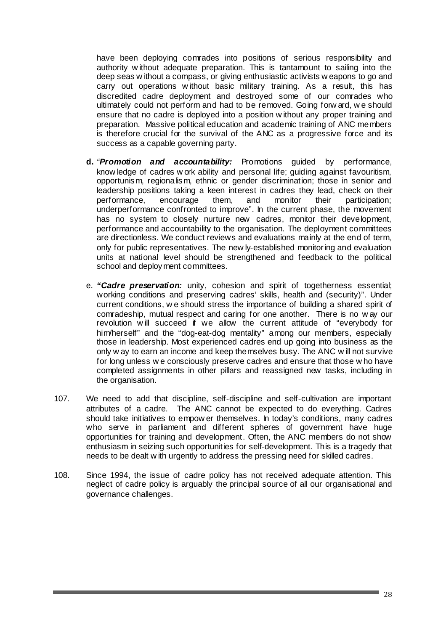have been deploying comrades into positions of serious responsibility and authority w ithout adequate preparation. This is tantamount to sailing into the deep seas w ithout a compass, or giving enthusiastic activists w eapons to go and carry out operations w ithout basic military training. As a result, this has discredited cadre deployment and destroyed some of our comrades who ultimately could not perform and had to be removed. Going forw ard, w e should ensure that no cadre is deployed into a position w ithout any proper training and preparation. Massive political education and academic training of ANC members is therefore crucial for the survival of the ANC as a progressive force and its success as a capable governing party.

- **d.** *"Promotion and accountability:* Promotions guided by performance, know ledge of cadres w ork ability and personal life; guiding against favouritism, opportunism, regionalism, ethnic or gender discrimination; those in senior and leadership positions taking a keen interest in cadres they lead, check on their performance, encourage them, and monitor their participation; underperformance confronted to improve". In the current phase, the movement has no system to closely nurture new cadres, monitor their development, performance and accountability to the organisation. The deployment committees are directionless. We conduct reviews and evaluations mainly at the end of term, only for public representatives. The new ly-established monitoring and evaluation units at national level should be strengthened and feedback to the political school and deploy ment committees.
- e. *"Cadre preservation:* unity, cohesion and spirit of togetherness essential; working conditions and preserving cadres' skills, health and (security)". Under current conditions, w e should stress the importance of building a shared spirit of comradeship, mutual respect and caring for one another. There is no w ay our revolution w ill succeed if we allow the current attitude of "everybody for him/herself" and the "dog-eat-dog mentality" among our members, especially those in leadership. Most experienced cadres end up going into business as the only w ay to earn an income and keep themselves busy. The ANC w ill not survive for long unless w e consciously preserve cadres and ensure that those w ho have completed assignments in other pillars and reassigned new tasks, including in the organisation.
- 107. We need to add that discipline, self-discipline and self-cultivation are important attributes of a cadre. The ANC cannot be expected to do everything. Cadres should take initiatives to empow er themselves. In today's conditions, many cadres who serve in parliament and different spheres of government have huge opportunities for training and development. Often, the ANC members do not show enthusiasm in seizing such opportunities for self-development. This is a tragedy that needs to be dealt w ith urgently to address the pressing need for skilled cadres.
- 108. Since 1994, the issue of cadre policy has not received adequate attention. This neglect of cadre policy is arguably the principal source of all our organisational and governance challenges.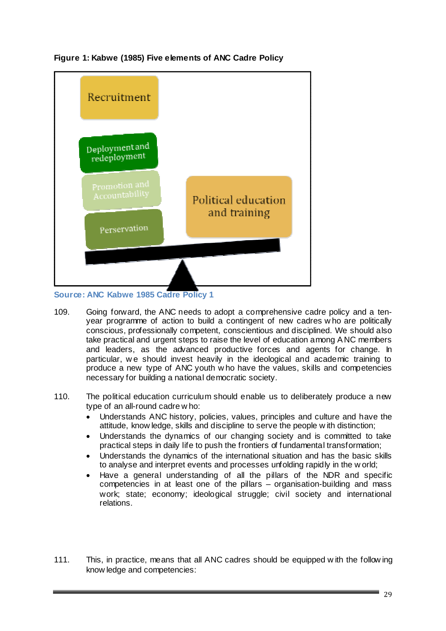

**Figure 1: Kabwe (1985) Five elements of ANC Cadre Policy** 

**Source: ANC Kabwe 1985 Cadre Policy 1** 

- 109. Going forward, the ANC needs to adopt a comprehensive cadre policy and a tenyear programme of action to build a contingent of new cadres w ho are politically conscious, professionally competent, conscientious and disciplined. We should also take practical and urgent steps to raise the level of education among A NC members and leaders, as the advanced productive forces and agents for change. In particular, w e should invest heavily in the ideological and academic training to produce a new type of ANC youth w ho have the values, skills and competencies necessary for building a national democratic society.
- 110. The political education curriculum should enable us to deliberately produce a new type of an all-round cadre w ho:
	- Understands ANC history, policies, values, principles and culture and have the attitude, know ledge, skills and discipline to serve the people w ith distinction;
	- Understands the dynamics of our changing society and is committed to take practical steps in daily life to push the frontiers of fundamental transformation;
	- Understands the dynamics of the international situation and has the basic skills to analyse and interpret events and processes unfolding rapidly in the w orld;
	- Have a general understanding of all the pillars of the NDR and specific competencies in at least one of the pillars – organisation-building and mass work; state; economy; ideological struggle; civil society and international relations.
- 111. This, in practice, means that all ANC cadres should be equipped w ith the follow ing know ledge and competencies: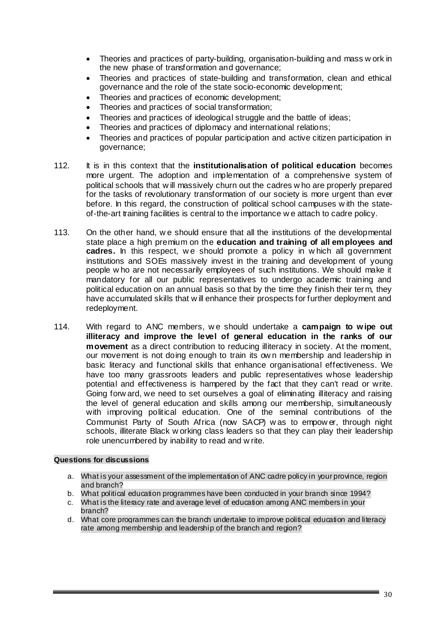- Theories and practices of party-building, organisation-building and mass w ork in the new phase of transformation and governance;
- Theories and practices of state-building and transformation, clean and ethical governance and the role of the state socio-economic development;
- Theories and practices of economic development;
- Theories and practices of social transformation;
- Theories and practices of ideological struggle and the battle of ideas;
- Theories and practices of diplomacy and international relations;
- Theories and practices of popular participation and active citizen participation in governance;
- 112. It is in this context that the **institutionalisation of political education** becomes more urgent. The adoption and implementation of a comprehensive system of political schools that w ill massively churn out the cadres w ho are properly prepared for the tasks of revolutionary transformation of our society is more urgent than ever before. In this regard, the construction of political school campuses w ith the stateof-the-art training facilities is central to the importance w e attach to cadre policy.
- 113. On the other hand, w e should ensure that all the institutions of the developmental state place a high premium on the **education and training of all employees and cadres.** In this respect, w e should promote a policy in w hich all government institutions and SOEs massively invest in the training and development of young people w ho are not necessarily employees of such institutions. We should make it mandatory for all our public representatives to undergo academic training and political education on an annual basis so that by the time they finish their term, they have accumulated skills that w ill enhance their prospects for further deployment and redeployment.
- 114. With regard to ANC members, w e should undertake a **campaign to wipe out illiteracy and improve the level of general education in the ranks of our movement** as a direct contribution to reducing illiteracy in society. At the moment, our movement is not doing enough to train its ow n membership and leadership in basic literacy and functional skills that enhance organisational effectiveness. We have too many grassroots leaders and public representatives whose leadership potential and effectiveness is hampered by the fact that they can't read or write. Going forw ard, we need to set ourselves a goal of eliminating illiteracy and raising the level of general education and skills among our membership, simultaneously with improving political education. One of the seminal contributions of the Communist Party of South Africa (now SACP) w as to empow er, through night schools, illiterate Black w orking class leaders so that they can play their leadership role unencumbered by inability to read and w rite.

# **Questions for discussions**

- a. What is your assessment of the implementation of ANC cadre policy in your province, region and branch?
- b. What political education programmes have been conducted in your branch since 1994?
- c. What is the literacy rate and average level of education among ANC members in your branch?
- d. What core programmes can the branch undertake to improve political education and literacy rate among membership and leadership of the branch and region?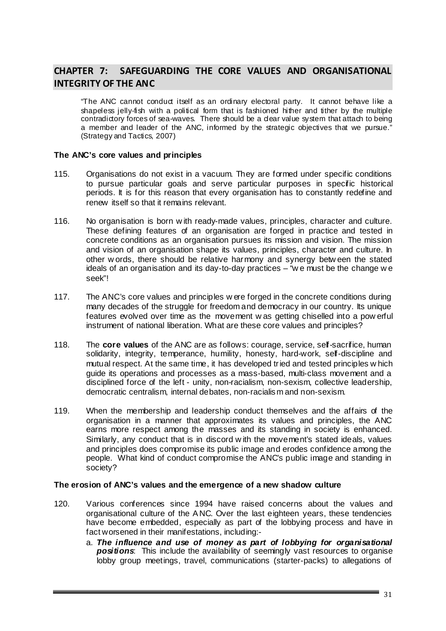# **CHAPTER 7: SAFEGUARDING THE CORE VALUES AND ORGANISATIONAL INTEGRITY OF THE ANC**

"The ANC cannot conduct itself as an ordinary electoral party. It cannot behave like a shapeless jelly-fish with a political form that is fashioned hither and tither by the multiple contradictory forces of sea-waves. There should be a dear value system that attach to being a member and leader of the ANC, informed by the strategic objectives that we pursue." (Strategy and Tactics, 2007)

#### **The ANC's core values and principles**

- 115. Organisations do not exist in a vacuum. They are formed under specific conditions to pursue particular goals and serve particular purposes in specific historical periods. It is for this reason that every organisation has to constantly redefine and renew itself so that it remains relevant.
- 116. No organisation is born w ith ready-made values, principles, character and culture. These defining features of an organisation are forged in practice and tested in concrete conditions as an organisation pursues its mission and vision. The mission and vision of an organisation shape its values, principles, character and culture. In other w ords, there should be relative harmony and synergy betw een the stated ideals of an organisation and its day-to-day practices  $-$  "we must be the change we seek"!
- 117. The ANC's core values and principles w ere forged in the concrete conditions during many decades of the struggle for freedom and democracy in our country. Its unique features evolved over time as the movement w as getting chiselled into a pow erful instrument of national liberation. What are these core values and principles?
- 118. The **core values** of the ANC are as follows: courage, service, self-sacrifice, human solidarity, integrity, temperance, humility, honesty, hard-work, self-discipline and mutual respect. At the same time, it has developed tried and tested principles w hich guide its operations and processes as a mass-based, multi-class movement and a disciplined force of the left - unity, non-racialism, non-sexism, collective leadership, democratic centralism, internal debates, non-racialism and non-sexism.
- 119. When the membership and leadership conduct themselves and the affairs of the organisation in a manner that approximates its values and principles, the ANC earns more respect among the masses and its standing in society is enhanced. Similarly, any conduct that is in discord w ith the movement's stated ideals, values and principles does compromise its public image and erodes confidence among the people. What kind of conduct compromise the ANC's public image and standing in society?

#### **The erosion of ANC's values and the emergence of a new shadow culture**

- 120. Various conferences since 1994 have raised concerns about the values and organisational culture of the A NC. Over the last eighteen years, these tendencies have become embedded, especially as part of the lobbying process and have in fact worsened in their manifestations, including:
	- a. *The influence and use of money as part of lobbying for organisational positions*: This include the availability of seemingly vast resources to organise lobby group meetings, travel, communications (starter-packs) to allegations of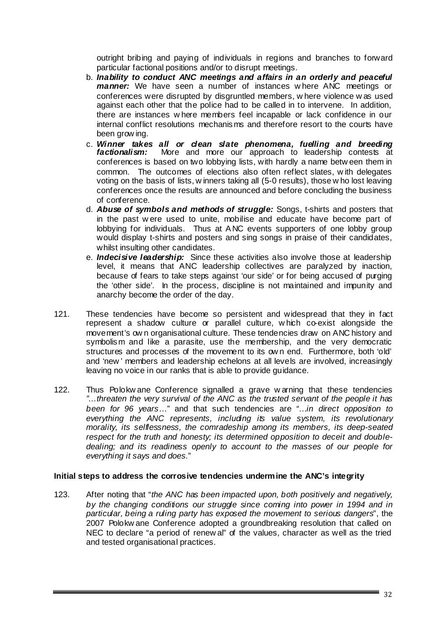outright bribing and paying of individuals in regions and branches to forward particular factional positions and/or to disrupt meetings.

- b. *Inability to conduct ANC meetings and affairs in an orderly and peaceful manner:* We have seen a number of instances w here ANC meetings or conferences were disrupted by disgruntled members, w here violence w as used against each other that the police had to be called in to intervene. In addition, there are instances w here members feel incapable or lack confidence in our internal conflict resolutions mechanisms and therefore resort to the courts have been grow ing.
- c. *Winner takes all or clean slate phenomena, fuelling and breeding factionalism:* More and more our approach to leadership contests at conferences is based on two lobbying lists, with hardly a name betw een them in common. The outcomes of elections also often reflect slates, w ith delegates voting on the basis of lists, w inners taking all (5-0 results), those w ho lost leaving conferences once the results are announced and before concluding the business of conference.
- d. *Abuse of symbols and methods of struggle:* Songs, t-shirts and posters that in the past w ere used to unite, mobilise and educate have become part of lobbying for individuals. Thus at A NC events supporters of one lobby group would display t-shirts and posters and sing songs in praise of their candidates, whilst insulting other candidates.
- e. *Indecisive leadership:* Since these activities also involve those at leadership level, it means that ANC leadership collectives are paralyzed by inaction, because of fears to take steps against 'our side' or for being accused of purging the 'other side'. In the process, discipline is not maintained and impunity and anarchy become the order of the day.
- 121. These tendencies have become so persistent and widespread that they in fact represent a shadow culture or parallel culture, w hich co-exist alongside the movement's ow n organisational culture. These tendencies draw on ANC history and symbolism and like a parasite, use the membership, and the very democratic structures and processes of the movement to its ow n end. Furthermore, both 'old' and 'new ' members and leadership echelons at all levels are involved, increasingly leaving no voice in our ranks that is able to provide guidance.
- 122. Thus Polokw ane Conference signalled a grave w arning that these tendencies *"…threaten the very survival of the ANC as the trusted servant of the people it has been for 96 years*…" and that such tendencies are *"…in direct opposition to everything the ANC represents, including its value system, its revolutionary morality, its selflessness, the comradeship among its members, its deep-seated respect for the truth and honesty; its determined opposition to deceit and doubledealing; and its readiness openly to account to the masses of our people for everything it says and does.*"

#### **Initial steps to address the corrosive tendencies undermine the ANC's integrity**

123. After noting that "*the ANC has been impacted upon, both positively and negatively, by the changing conditions our struggle since coming into power in 1994 and in particular, being a ruling party has exposed the movement to serious dangers*", the 2007 Polokw ane Conference adopted a groundbreaking resolution that called on NEC to declare "a period of renew al" of the values, character as well as the tried and tested organisational practices.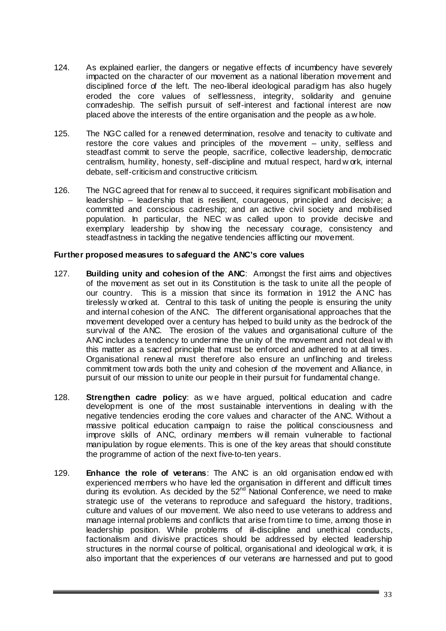- 124. As explained earlier, the dangers or negative effects of incumbency have severely impacted on the character of our movement as a national liberation movement and disciplined force of the left. The neo-liberal ideological paradigm has also hugely eroded the core values of selflessness, integrity, solidarity and genuine comradeship. The selfish pursuit of self-interest and factional interest are now placed above the interests of the entire organisation and the people as a w hole.
- 125. The NGC called for a renewed determination, resolve and tenacity to cultivate and restore the core values and principles of the movement – unity, selfless and steadfast commit to serve the people, sacrifice, collective leadership, democratic centralism, humility, honesty, self-discipline and mutual respect, hard w ork, internal debate, self-criticism and constructive criticism.
- 126. The NGC agreed that for renew al to succeed, it requires significant mobilisation and leadership – leadership that is resilient, courageous, principled and decisive; a committed and conscious cadreship; and an active civil society and mobilised population. In particular, the NEC w as called upon to provide decisive and exemplary leadership by show ing the necessary courage, consistency and steadfastness in tackling the negative tendencies afflicting our movement.

#### **Further proposed measures to safeguard the ANC's core values**

- 127. **Building unity and cohesion of the ANC**: Amongst the first aims and objectives of the movement as set out in its Constitution is the task to unite all the people of our country. This is a mission that since its formation in 1912 the A NC has tirelessly w orked at. Central to this task of uniting the people is ensuring the unity and internal cohesion of the ANC. The different organisational approaches that the movement developed over a century has helped to build unity as the bedrock of the survival of the ANC. The erosion of the values and organisational culture of the ANC includes a tendency to undermine the unity of the movement and not deal w ith this matter as a sacred principle that must be enforced and adhered to at all times. Organisational renew al must therefore also ensure an unflinching and tireless commitment tow ards both the unity and cohesion of the movement and Alliance, in pursuit of our mission to unite our people in their pursuit for fundamental change.
- 128. **Strengthen cadre policy**: as w e have argued, political education and cadre development is one of the most sustainable interventions in dealing w ith the negative tendencies eroding the core values and character of the ANC. Without a massive political education campaign to raise the political consciousness and improve skills of ANC, ordinary members w ill remain vulnerable to factional manipulation by rogue elements. This is one of the key areas that should constitute the programme of action of the next five-to-ten years.
- 129. **Enhance the role of veterans**: The ANC is an old organisation endow ed with experienced members w ho have led the organisation in different and difficult times during its evolution. As decided by the 52<sup>nd</sup> National Conference, we need to make strategic use of the veterans to reproduce and safeguard the history, traditions, culture and values of our movement. We also need to use veterans to address and manage internal problems and conflicts that arise from time to time, among those in leadership position. While problems of ill-discipline and unethical conducts, factionalism and divisive practices should be addressed by elected leadership structures in the normal course of political, organisational and ideological w ork, it is also important that the experiences of our veterans are harnessed and put to good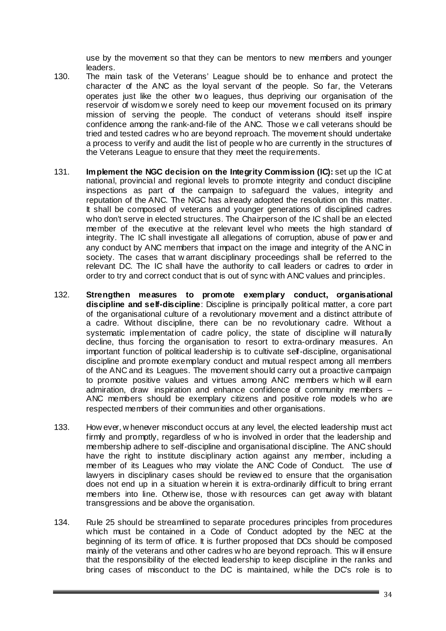use by the movement so that they can be mentors to new members and younger leaders.

- 130. The main task of the Veterans' League should be to enhance and protect the character of the ANC as the loyal servant of the people. So far, the Veterans operates just like the other tw o leagues, thus depriving our organisation of the reservoir of wisdom w e sorely need to keep our movement focused on its primary mission of serving the people. The conduct of veterans should itself inspire confidence among the rank-and-file of the ANC. Those w e call veterans should be tried and tested cadres w ho are beyond reproach. The movement should undertake a process to verify and audit the list of people w ho are currently in the structures of the Veterans League to ensure that they meet the requirements.
- 131. **Implement the NGC decision on the Integrity Commission (IC):** set up the IC at national, provincial and regional levels to promote integrity and conduct discipline inspections as part of the campaign to safeguard the values, integrity and reputation of the ANC. The NGC has already adopted the resolution on this matter. It shall be composed of veterans and younger generations of disciplined cadres who don't serve in elected structures. The Chairperson of the IC shall be an elected member of the executive at the relevant level who meets the high standard of integrity. The IC shall investigate all allegations of corruption, abuse of pow er and any conduct by ANC members that impact on the image and integrity of the A NC in society. The cases that w arrant disciplinary proceedings shall be referred to the relevant DC. The IC shall have the authority to call leaders or cadres to order in order to try and correct conduct that is out of sync with ANC values and principles.
- 132. **Strengthen measures to promote exemplary conduct, organisational discipline and self-discipline**: Discipline is principally political matter, a core part of the organisational culture of a revolutionary movement and a distinct attribute of a cadre. Without discipline, there can be no revolutionary cadre. Without a systematic implementation of cadre policy, the state of discipline w ill naturally decline, thus forcing the organisation to resort to extra-ordinary measures. An important function of political leadership is to cultivate self-discipline, organisational discipline and promote exemplary conduct and mutual respect among all members of the ANC and its Leagues. The movement should carry out a proactive campaign to promote positive values and virtues among ANC members w hich w ill earn admiration, draw inspiration and enhance confidence of community members – ANC members should be exemplary citizens and positive role models w ho are respected members of their communities and other organisations.
- 133. How ever, w henever misconduct occurs at any level, the elected leadership must act firmly and promptly, regardless of w ho is involved in order that the leadership and membership adhere to self-discipline and organisational discipline. The ANC should have the right to institute disciplinary action against any member, including a member of its Leagues who may violate the ANC Code of Conduct. The use of lawyers in disciplinary cases should be review ed to ensure that the organisation does not end up in a situation w herein it is extra-ordinarily difficult to bring errant members into line. Otherw ise, those w ith resources can get away with blatant transgressions and be above the organisation.
- 134. Rule 25 should be streamlined to separate procedures principles from procedures which must be contained in a Code of Conduct adopted by the NEC at the beginning of its term of office. It is further proposed that DCs should be composed mainly of the veterans and other cadres w ho are beyond reproach. This w ill ensure that the responsibility of the elected leadership to keep discipline in the ranks and bring cases of misconduct to the DC is maintained, w hile the DC's role is to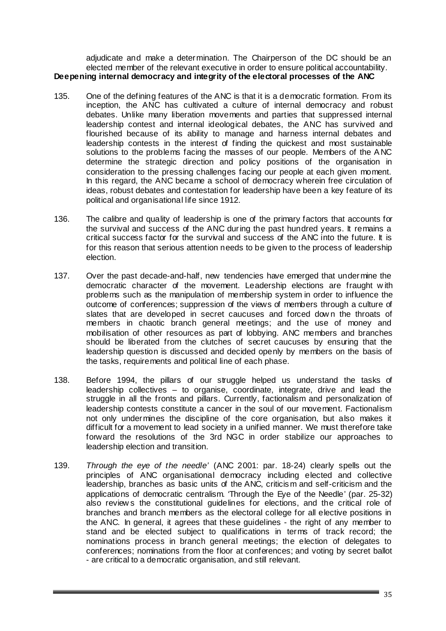adjudicate and make a determination. The Chairperson of the DC should be an elected member of the relevant executive in order to ensure political accountability. **Deepening internal democracy and integrity of the electoral processes of the ANC**

- 135. One of the defining features of the ANC is that it is a democratic formation. From its inception, the ANC has cultivated a culture of internal democracy and robust debates. Unlike many liberation movements and parties that suppressed internal leadership contest and internal ideological debates, the ANC has survived and flourished because of its ability to manage and harness internal debates and leadership contests in the interest of finding the quickest and most sustainable solutions to the problems facing the masses of our people. Members of the A NC determine the strategic direction and policy positions of the organisation in consideration to the pressing challenges facing our people at each given moment. In this regard, the ANC became a school of democracy wherein free circulation of ideas, robust debates and contestation for leadership have been a key feature of its political and organisational life since 1912.
- 136. The calibre and quality of leadership is one of the primary factors that accounts for the survival and success of the ANC during the past hundred years. It remains a critical success factor for the survival and success of the ANC into the future. It is for this reason that serious attention needs to be given to the process of leadership election.
- 137. Over the past decade-and-half, new tendencies have emerged that undermine the democratic character of the movement. Leadership elections are fraught w ith problems such as the manipulation of membership system in order to influence the outcome of conferences; suppression of the views of members through a culture of slates that are developed in secret caucuses and forced dow n the throats of members in chaotic branch general meetings; and the use of money and mobilisation of other resources as part of lobbying. ANC members and branches should be liberated from the clutches of secret caucuses by ensuring that the leadership question is discussed and decided openly by members on the basis of the tasks, requirements and political line of each phase.
- 138. Before 1994, the pillars of our struggle helped us understand the tasks of leadership collectives – to organise, coordinate, integrate, drive and lead the struggle in all the fronts and pillars. Currently, factionalism and personalization of leadership contests constitute a cancer in the soul of our movement. Factionalism not only undermines the discipline of the core organisation, but also makes it difficult for a movement to lead society in a unified manner. We must therefore take forward the resolutions of the 3rd NGC in order stabilize our approaches to leadership election and transition.
- 139. *Through the eye of the needle'* (ANC 2001: par. 18-24) clearly spells out the principles of ANC organisational democracy including elected and collective leadership, branches as basic units of the ANC, criticism and self-criticism and the applications of democratic centralism. 'Through the Eye of the Needle' (par. 25-32) also review s the constitutional guidelines for elections, and the critical role of branches and branch members as the electoral college for all elective positions in the ANC. In general, it agrees that these guidelines - the right of any member to stand and be elected subject to qualifications in terms of track record; the nominations process in branch general meetings; the election of delegates to conferences; nominations from the floor at conferences; and voting by secret ballot - are critical to a democratic organisation, and still relevant.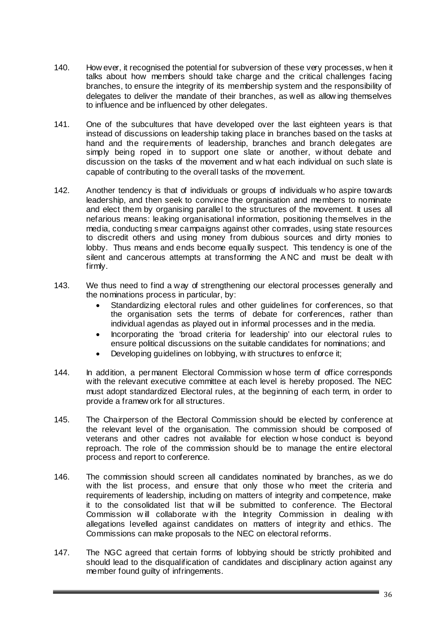- 140. How ever, it recognised the potential for subversion of these very processes, w hen it talks about how members should take charge and the critical challenges facing branches, to ensure the integrity of its membership system and the responsibility of delegates to deliver the mandate of their branches, as well as allow ing themselves to influence and be influenced by other delegates.
- 141. One of the subcultures that have developed over the last eighteen years is that instead of discussions on leadership taking place in branches based on the tasks at hand and the requirements of leadership, branches and branch delegates are simply being roped in to support one slate or another, w ithout debate and discussion on the tasks of the movement and w hat each individual on such slate is capable of contributing to the overall tasks of the movement.
- 142. Another tendency is that of individuals or groups of individuals w ho aspire towards leadership, and then seek to convince the organisation and members to nominate and elect them by organising parallel to the structures of the movement. It uses all nefarious means: leaking organisational information, positioning themselves in the media, conducting smear campaigns against other comrades, using state resources to discredit others and using money from dubious sources and dirty monies to lobby. Thus means and ends become equally suspect. This tendency is one of the silent and cancerous attempts at transforming the A NC and must be dealt w ith firmly.
- 143. We thus need to find a way of strengthening our electoral processes generally and the nominations process in particular, by:
	- Standardizing electoral rules and other guidelines for conferences, so that the organisation sets the terms of debate for conferences, rather than individual agendas as played out in informal processes and in the media.
	- Incorporating the 'broad criteria for leadership' into our electoral rules to ensure political discussions on the suitable candidates for nominations; and
	- Developing guidelines on lobbying, with structures to enforce it;
- 144. In addition, a permanent Electoral Commission w hose term of office corresponds with the relevant executive committee at each level is hereby proposed. The NEC must adopt standardized Electoral rules, at the beginning of each term, in order to provide a framew ork for all structures.
- 145. The Chairperson of the Electoral Commission should be elected by conference at the relevant level of the organisation. The commission should be composed of veterans and other cadres not available for election w hose conduct is beyond reproach. The role of the commission should be to manage the entire electoral process and report to conference.
- 146. The commission should screen all candidates nominated by branches, as we do with the list process, and ensure that only those w ho meet the criteria and requirements of leadership, including on matters of integrity and competence, make it to the consolidated list that w ill be submitted to conference. The Electoral Commission w ill collaborate w ith the Integrity Commission in dealing w ith allegations levelled against candidates on matters of integrity and ethics. The Commissions can make proposals to the NEC on electoral reforms.
- 147. The NGC agreed that certain forms of lobbying should be strictly prohibited and should lead to the disqualification of candidates and disciplinary action against any member found guilty of infringements.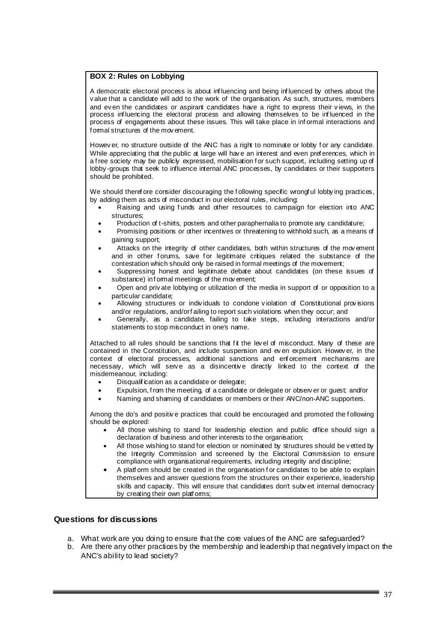#### **BOX 2: Rules on Lobbying**

A democratic electoral process is about inf luencing and being inf luenced by others about the v alue that a candidate will add to the work of the organisation. As such, structures, members and ev en the candidates or aspirant candidates have a right to express their v iews, in the process inf luencing the electoral process and allowing themselves to be inf luenced in the process of engagements about these issues. This will take place in inf ormal interactions and formal structures of the movement.

Howev er, no structure outside of the ANC has a right to nominate or lobby for any candidate. While appreciating that the public at large will hav e an interest and even pref erences, which in a free society may be publicly expressed, mobilisation for such support, including setting up of lobby -groups that seek to influence internal ANC processes, by candidates or their supporters should be prohibited.

We should theref ore consider discouraging the following specific wrongful lobby ing practices, by adding them as acts of misconduct in our electoral rules, including:

- Raising and using f unds and other resources to campaign for election into ANC structures;
- Production of t-shirts, posters and other paraphernalia to promote any candidature;
- Promising positions or other incentives or threatening to withhold such, as a means of gaining support;
- Attacks on the integrity of other candidates, both within structures of the mov ement and in other forums, save for legitimate critiques related the substance of the contestation which should only be raised in formal meetings of the movement;
- Suppressing honest and legitimate debate about candidates (on these issues of substance) in formal meetings of the movement;
- Open and priv ate lobbying or utilization of the media in support of or opposition to a particular candidate;
- Allowing structures or indiv iduals to condone v iolation of Constitutional prov isions and/or regulations, and/or f ailing to report such violations when they occur; and
- Generally, as a candidate, failing to take steps, including interactions and/or statements to stop misconduct in one's name.

Attached to all rules should be sanctions that fit the level of misconduct. Many of these are contained in the Constitution, and include suspension and ev en expulsion. Howev er, in the context of electoral processes, additional sanctions and enf orcement mechanisms are necessary, which will serve as a disincentive directly linked to the context of the misdemeanour, including:

- Disqualif ication as a candidate or delegate;
- Expulsion, f rom the meeting, of a candidate or delegate or observer or quest; and/or
- Naming and shaming of candidates or members or their ANC/non-ANC supporters.

Among the do's and positiv e practices that could be encouraged and promoted the f ollowing should be explored:

- All those wishing to stand for leadership election and public office should sign a declaration of business and other interests to the organisation;
- All those wishing to stand for election or nominated by structures should be vetted by the Integrity Commission and screened by the Electoral Commission to ensure compliance with organisational requirements, including integrity and discipline;
- A platf orm should be created in the organisation f or candidates to be able to explain themselves and answer questions from the structures on their experience, leadership skills and capacity. This will ensure that candidates don't subvert internal democracy by creating their own platforms;

#### **Questions for discussions**

- a. What work are you doing to ensure that the core values of the ANC are safeguarded?
- b. Are there any other practices by the membership and leadership that negatively impact on the ANC's ability to lead society?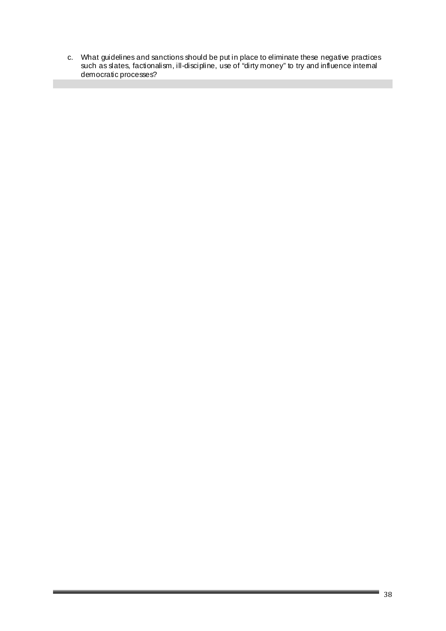c. What guidelines and sanctions should be put in place to eliminate these negative practices such as slates, factionalism, ill-discipline, use of "dirty money" to try and influence internal democratic processes?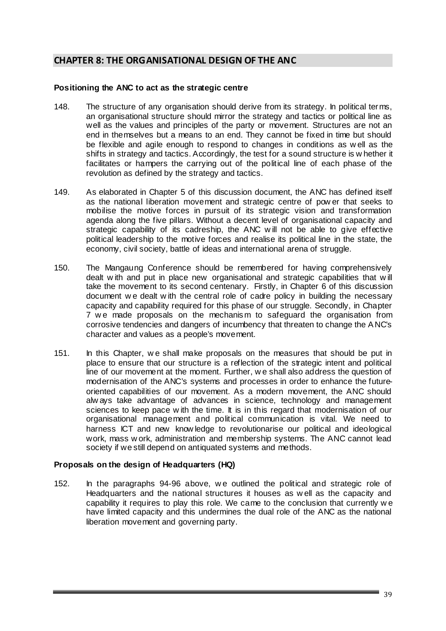# **CHAPTER 8: THE ORGANISATIONAL DESIGN OF THE ANC**

#### **Positioning the ANC to act as the strategic centre**

- 148. The structure of any organisation should derive from its strategy. In political terms, an organisational structure should mirror the strategy and tactics or political line as well as the values and principles of the party or movement. Structures are not an end in themselves but a means to an end. They cannot be fixed in time but should be flexible and agile enough to respond to changes in conditions as w ell as the shifts in strategy and tactics. Accordingly, the test for a sound structure is w hether it facilitates or hampers the carrying out of the political line of each phase of the revolution as defined by the strategy and tactics.
- 149. As elaborated in Chapter 5 of this discussion document, the ANC has defined itself as the national liberation movement and strategic centre of pow er that seeks to mobilise the motive forces in pursuit of its strategic vision and transformation agenda along the five pillars. Without a decent level of organisational capacity and strategic capability of its cadreship, the ANC w ill not be able to give effective political leadership to the motive forces and realise its political line in the state, the economy, civil society, battle of ideas and international arena of struggle.
- 150. The Mangaung Conference should be remembered for having comprehensively dealt w ith and put in place new organisational and strategic capabilities that w ill take the movement to its second centenary. Firstly, in Chapter 6 of this discussion document w e dealt w ith the central role of cadre policy in building the necessary capacity and capability required for this phase of our struggle. Secondly, in Chapter 7 we made proposals on the mechanism to safeguard the organisation from corrosive tendencies and dangers of incumbency that threaten to change the A NC's character and values as a people's movement.
- 151. In this Chapter, w e shall make proposals on the measures that should be put in place to ensure that our structure is a reflection of the strategic intent and political line of our movement at the moment. Further, w e shall also address the question of modernisation of the ANC's systems and processes in order to enhance the futureoriented capabilities of our movement. As a modern movement, the ANC should alw ays take advantage of advances in science, technology and management sciences to keep pace w ith the time. It is in this regard that modernisation of our organisational management and political communication is vital. We need to harness ICT and new know ledge to revolutionarise our political and ideological work, mass w ork, administration and membership systems. The ANC cannot lead society if we still depend on antiquated systems and methods.

# **Proposals on the design of Headquarters (HQ)**

152. In the paragraphs 94-96 above, we outlined the political and strategic role of Headquarters and the national structures it houses as w ell as the capacity and capability it requires to play this role. We came to the conclusion that currently w e have limited capacity and this undermines the dual role of the ANC as the national liberation movement and governing party.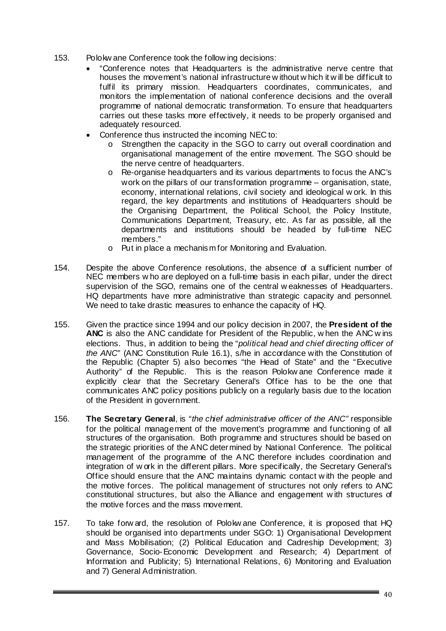- 153. Polokw ane Conference took the follow ing decisions:
	- "Conference notes that Headquarters is the administrative nerve centre that houses the movement's national infrastructure w ithout w hich it w ill be difficult to fulfil its primary mission. Headquarters coordinates, communicates, and monitors the implementation of national conference decisions and the overall programme of national democratic transformation. To ensure that headquarters carries out these tasks more effectively, it needs to be properly organised and adequately resourced.
	- Conference thus instructed the incoming NEC to:
		- $\circ$  Strengthen the capacity in the SGO to carry out overall coordination and organisational management of the entire movement. The SGO should be the nerve centre of headquarters.
		- o Re-organise headquarters and its various departments to focus the ANC's work on the pillars of our transformation programme – organisation, state, economy, international relations, civil society and ideological w ork. In this regard, the key departments and institutions of Headquarters should be the Organising Department, the Political School, the Policy Institute, Communications Department, Treasury, etc. As far as possible, all the departments and institutions should be headed by full-time NEC members."
		- o Put in place a mechanism for Monitoring and Evaluation.
- 154. Despite the above Conference resolutions, the absence of a sufficient number of NEC members w ho are deployed on a full-time basis in each pillar, under the direct supervision of the SGO, remains one of the central w eaknesses of Headquarters. HQ departments have more administrative than strategic capacity and personnel. We need to take drastic measures to enhance the capacity of HQ.
- 155. Given the practice since 1994 and our policy decision in 2007, the **President of the ANC** is also the ANC candidate for President of the Republic, w hen the ANC w ins elections. Thus, in addition to being the "*political head and chief directing officer of the ANC*" (ANC Constitution Rule 16.1), s/he in accordance with the Constitution of the Republic (Chapter 5) also becomes "the Head of State" and the "Executive Authority" of the Republic. This is the reason Polokw ane Conference made it explicitly clear that the Secretary General's Office has to be the one that communicates ANC policy positions publicly on a regularly basis due to the location of the President in government.
- 156. **The Secretary General**, is "*the chief administrative officer of the ANC"* responsible for the political management of the movement's programme and functioning of all structures of the organisation. Both programme and structures should be based on the strategic priorities of the ANC determined by National Conference. The political management of the programme of the A NC therefore includes coordination and integration of w ork in the different pillars. More specifically, the Secretary General's Office should ensure that the ANC maintains dynamic contact w ith the people and the motive forces. The political management of structures not only refers to ANC constitutional structures, but also the Alliance and engagement w ith structures of the motive forces and the mass movement.
- 157. To take forw ard, the resolution of Polokw ane Conference, it is proposed that HQ should be organised into departments under SGO: 1) Organisational Development and Mass Mobilisation; (2) Political Education and Cadreship Development; 3) Governance, Socio-Economic Development and Research; 4) Department of Information and Publicity; 5) International Relations, 6) Monitoring and Evaluation and 7) General Administration.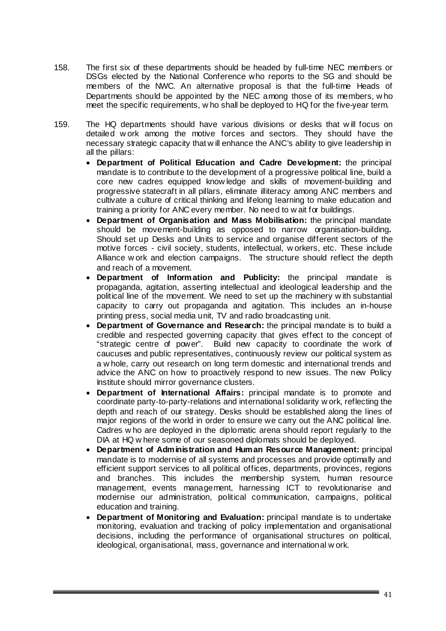- 158. The first six of these departments should be headed by full-time NEC members or DSGs elected by the National Conference who reports to the SG and should be members of the NWC. An alternative proposal is that the full-time Heads of Departments should be appointed by the NEC among those of its members, w ho meet the specific requirements, w ho shall be deployed to HQ for the five-year term.
- 159. The HQ departments should have various divisions or desks that w ill focus on detailed w ork among the motive forces and sectors. They should have the necessary strategic capacity that w ill enhance the ANC's ability to give leadership in all the pillars:
	- **Department of Political Education and Cadre Development:** the principal mandate is to contribute to the development of a progressive political line, build a core new cadres equipped know ledge and skills of movement-building and progressive statecraft in all pillars, eliminate illiteracy among ANC members and cultivate a culture of critical thinking and lifelong learning to make education and training a priority for ANC every member. No need to w ait for buildings.
	- **Department of Organisation and Mass Mobilisation:** the principal mandate should be movement-building as opposed to narrow organisation-building**.**  Should set up Desks and Units to service and organise different sectors of the motive forces - civil society, students, intellectual, w orkers, etc. These include Alliance w ork and election campaigns. The structure should reflect the depth and reach of a movement.
	- **Department of Information and Publicity:** the principal mandate is propaganda, agitation, asserting intellectual and ideological leadership and the political line of the movement. We need to set up the machinery w ith substantial capacity to carry out propaganda and agitation. This includes an in-house printing press, social media unit, TV and radio broadcasting unit.
	- **Department of Governance and Research:** the principal mandate is to build a credible and respected governing capacity that gives effect to the concept of "strategic centre of power". Build new capacity to coordinate the work of caucuses and public representatives, continuously review our political system as a w hole, carry out research on long term domestic and international trends and advice the ANC on how to proactively respond to new issues. The new Policy Institute should mirror governance clusters.
	- **Department of International Affairs:** principal mandate is to promote and coordinate party-to-party-relations and international solidarity w ork, reflecting the depth and reach of our strategy. Desks should be established along the lines of major regions of the world in order to ensure we carry out the ANC political line. Cadres w ho are deployed in the diplomatic arena should report regularly to the DIA at HQ w here some of our seasoned diplomats should be deployed.
	- **Department of Administration and Human Resource Management:** principal mandate is to modernise of all systems and processes and provide optimally and efficient support services to all political offices, departments, provinces, regions and branches. This includes the membership system, human resource management, events management, harnessing ICT to revolutionarise and modernise our administration, political communication, campaigns, political education and training.
	- **Department of Monitoring and Evaluation:** principal mandate is to undertake monitoring, evaluation and tracking of policy implementation and organisational decisions, including the performance of organisational structures on political, ideological, organisational, mass, governance and international w ork.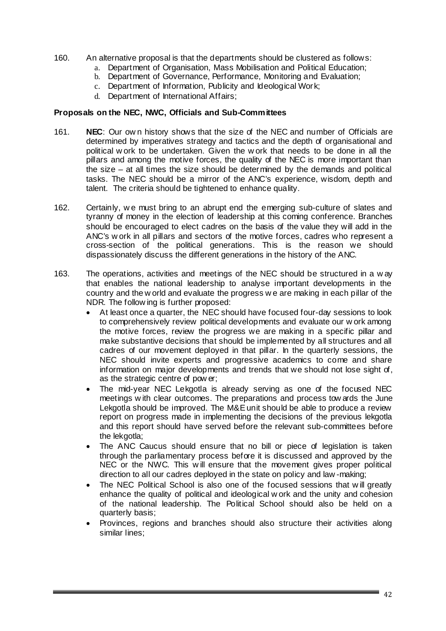- 160. An alternative proposal is that the departments should be clustered as follows:
	- a. Department of Organisation, Mass Mobilisation and Political Education;
	- b. Department of Governance, Performance, Monitoring and Evaluation;
	- c. Department of Information, Publicity and Ideological Work;
	- d. Department of International Affairs;

#### **Proposals on the NEC, NWC, Officials and Sub-Committees**

- 161. **NEC**: Our ow n history shows that the size of the NEC and number of Officials are determined by imperatives strategy and tactics and the depth of organisational and political w ork to be undertaken. Given the w ork that needs to be done in all the pillars and among the motive forces, the quality of the NEC is more important than the size – at all times the size should be determined by the demands and political tasks. The NEC should be a mirror of the ANC's experience, wisdom, depth and talent. The criteria should be tightened to enhance quality.
- 162. Certainly, we must bring to an abrupt end the emerging sub-culture of slates and tyranny of money in the election of leadership at this coming conference. Branches should be encouraged to elect cadres on the basis of the value they will add in the ANC's w ork in all pillars and sectors of the motive forces, cadres who represent a cross-section of the political generations. This is the reason we should dispassionately discuss the different generations in the history of the ANC.
- 163. The operations, activities and meetings of the NEC should be structured in a w ay that enables the national leadership to analyse important developments in the country and the w orld and evaluate the progress w e are making in each pillar of the NDR. The follow ing is further proposed:
	- At least once a quarter, the NEC should have focused four-day sessions to look to comprehensively review political developments and evaluate our w ork among the motive forces, review the progress we are making in a specific pillar and make substantive decisions that should be implemented by all structures and all cadres of our movement deployed in that pillar. In the quarterly sessions, the NEC should invite experts and progressive academics to come and share information on major developments and trends that we should not lose sight of, as the strategic centre of pow er;
	- The mid-year NEC Lekgotla is already serving as one of the focused NEC meetings w ith clear outcomes. The preparations and process tow ards the June Lekgotla should be improved. The M&E unit should be able to produce a review report on progress made in implementing the decisions of the previous lekgotla and this report should have served before the relevant sub-committees before the lekgotla;
	- The ANC Caucus should ensure that no bill or piece of legislation is taken through the parliamentary process before it is discussed and approved by the NEC or the NWC. This w ill ensure that the movement gives proper political direction to all our cadres deployed in the state on policy and law -making;
	- The NEC Political School is also one of the focused sessions that will greatly enhance the quality of political and ideological w ork and the unity and cohesion of the national leadership. The Political School should also be held on a quarterly basis;
	- Provinces, regions and branches should also structure their activities along similar lines;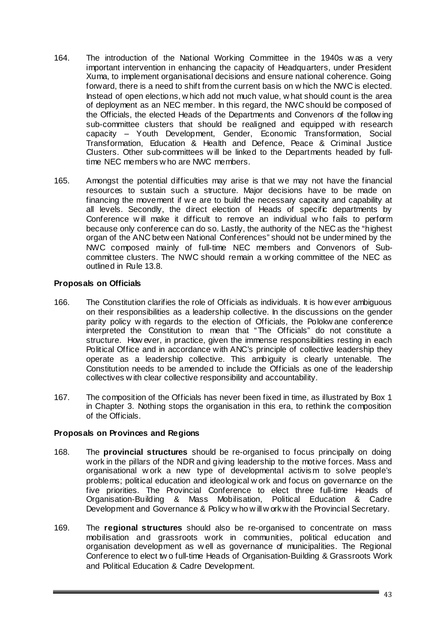- 164. The introduction of the National Working Committee in the 1940s w as a very important intervention in enhancing the capacity of Headquarters, under President Xuma, to implement organisational decisions and ensure national coherence. Going forward, there is a need to shift from the current basis on w hich the NWC is elected. Instead of open elections, w hich add not much value, w hat should count is the area of deployment as an NEC member. In this regard, the NWC should be composed of the Officials, the elected Heads of the Departments and Convenors of the follow ing sub-committee clusters that should be realigned and equipped w ith research capacity – Youth Development, Gender, Economic Transformation, Social Transformation, Education & Health and Defence, Peace & Criminal Justice Clusters. Other sub-committees w ill be linked to the Departments headed by fulltime NEC members w ho are NWC members.
- 165. Amongst the potential difficulties may arise is that we may not have the financial resources to sustain such a structure. Major decisions have to be made on financing the movement if w e are to build the necessary capacity and capability at all levels. Secondly, the direct election of Heads of specific departments by Conference w ill make it difficult to remove an individual w ho fails to perform because only conference can do so. Lastly, the authority of the NEC as the "highest organ of the ANC betw een National Conferences" should not be undermined by the NWC composed mainly of full-time NEC members and Convenors of Subcommittee clusters. The NWC should remain a w orking committee of the NEC as outlined in Rule 13.8.

# **Proposals on Officials**

- 166. The Constitution clarifies the role of Officials as individuals. It is how ever ambiguous on their responsibilities as a leadership collective. In the discussions on the gender parity policy w ith regards to the election of Officials, the Polokw ane conference interpreted the Constitution to mean that "The Officials" do not constitute a structure. How ever, in practice, given the immense responsibilities resting in each Political Office and in accordance with ANC's principle of collective leadership they operate as a leadership collective. This ambiguity is clearly untenable. The Constitution needs to be amended to include the Officials as one of the leadership collectives w ith clear collective responsibility and accountability.
- 167. The composition of the Officials has never been fixed in time, as illustrated by Box 1 in Chapter 3. Nothing stops the organisation in this era, to rethink the composition of the Officials.

# **Proposals on Provinces and Regions**

- 168. The **provincial structures** should be re-organised to focus principally on doing work in the pillars of the NDR and giving leadership to the motive forces. Mass and organisational w ork a new type of developmental activism to solve people's problems; political education and ideological w ork and focus on governance on the five priorities. The Provincial Conference to elect three full-time Heads of Organisation-Building & Mass Mobilisation, Political Education & Cadre Development and Governance & Policy w ho w ill w ork w ith the Provincial Secretary.
- 169. The **regional structures** should also be re-organised to concentrate on mass mobilisation and grassroots work in communities, political education and organisation development as w ell as governance of municipalities. The Regional Conference to elect tw o full-time Heads of Organisation-Building & Grassroots Work and Political Education & Cadre Development.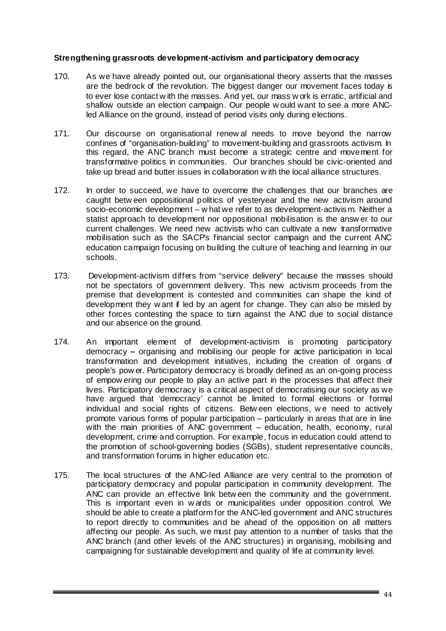#### **Strengthening grassroots development-activism and participatory democracy**

- 170. As we have already pointed out, our organisational theory asserts that the masses are the bedrock of the revolution. The biggest danger our movement faces today is to ever lose contact w ith the masses. And yet, our mass w ork is erratic, artificial and shallow outside an election campaign. Our people w ould want to see a more ANCled Alliance on the ground, instead of period visits only during elections.
- 171. Our discourse on organisational renew al needs to move beyond the narrow confines of "organisation-building" to movement-building and grassroots activism. In this regard, the ANC branch must become a strategic centre and movement for transformative politics in communities. Our branches should be civic-oriented and take up bread and butter issues in collaboration w ith the local alliance structures.
- 172. In order to succeed, we have to overcome the challenges that our branches are caught betw een oppositional politics of yesteryear and the new activism around socio-economic development – w hat we refer to as development-activism. Neither a statist approach to development nor oppositional mobilisation is the answ er to our current challenges. We need new activists who can cultivate a new transformative mobilisation such as the SACP's financial sector campaign and the current ANC education campaign focusing on building the culture of teaching and learning in our schools.
- 173. Development-activism differs from "service delivery" because the masses should not be spectators of government delivery. This new activism proceeds from the premise that development is contested and communities can shape the kind of development they w ant if led by an agent for change. They can also be misled by other forces contesting the space to turn against the ANC due to social distance and our absence on the ground.
- 174. An important element of development-activism is promoting participatory democracy **–** organising and mobilising our people for active participation in local transformation and development initiatives, including the creation of organs of people's pow er. Participatory democracy is broadly defined as an on-going process of empow ering our people to play an active part in the processes that affect their lives. Participatory democracy is a critical aspect of democratising our society as we have argued that 'democracy' cannot be limited to formal elections or formal individual and social rights of citizens. Betw een elections, w e need to actively promote various forms of popular participation – particularly in areas that are in line with the main priorities of ANC government – education, health, economy, rural development, crime and corruption. For example, focus in education could attend to the promotion of school-governing bodies (SGBs), student representative councils, and transformation forums in higher education etc.
- 175. The local structures of the ANC-led Alliance are very central to the promotion of participatory democracy and popular participation in community development. The ANC can provide an effective link betw een the community and the government. This is important even in w ards or municipalities under opposition control. We should be able to create a platform for the ANC-led government and ANC structures to report directly to communities and be ahead of the opposition on all matters affecting our people. As such, we must pay attention to a number of tasks that the ANC branch (and other levels of the ANC structures) in organising, mobilising and campaigning for sustainable development and quality of life at community level.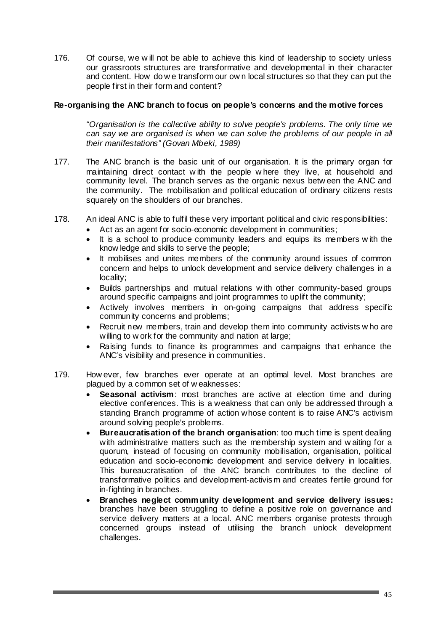176. Of course, we w ill not be able to achieve this kind of leadership to society unless our grassroots structures are transformative and developmental in their character and content. How do w e transform our ow n local structures so that they can put the people first in their form and content?

# **Re-organising the ANC branch to focus on people's concerns and the motive forces**

*"Organisation is the collective ability to solve people's problems. The only time we can say we are organised is when we can solve the problems of our people in all their manifestations" (Govan Mbeki, 1989)* 

- 177. The ANC branch is the basic unit of our organisation. It is the primary organ for maintaining direct contact w ith the people w here they live, at household and community level. The branch serves as the organic nexus betw een the ANC and the community. The mobilisation and political education of ordinary citizens rests squarely on the shoulders of our branches.
- 178. An ideal ANC is able to fulfil these very important political and civic responsibilities:
	- Act as an agent for socio-economic development in communities;
	- It is a school to produce community leaders and equips its members w ith the know ledge and skills to serve the people;
	- It mobilises and unites members of the community around issues of common concern and helps to unlock development and service delivery challenges in a locality;
	- Builds partnerships and mutual relations w ith other community-based groups around specific campaigns and joint programmes to uplift the community;
	- Actively involves members in on-going campaigns that address specific community concerns and problems;
	- Recruit new members, train and develop them into community activists w ho are willing to w ork for the community and nation at large;
	- Raising funds to finance its programmes and campaigns that enhance the ANC's visibility and presence in communities.
- 179. How ever, few branches ever operate at an optimal level. Most branches are plagued by a common set of w eaknesses:
	- **Seasonal activism**: most branches are active at election time and during elective conferences. This is a weakness that can only be addressed through a standing Branch programme of action whose content is to raise ANC's activism around solving people's problems.
	- **Bureaucratisation of the branch organisation**: too much time is spent dealing with administrative matters such as the membership system and w aiting for a quorum, instead of focusing on community mobilisation, organisation, political education and socio-economic development and service delivery in localities. This bureaucratisation of the ANC branch contributes to the decline of transformative politics and development-activism and creates fertile ground for in-fighting in branches.
	- **Branches neglect community development and service delivery issues:**  branches have been struggling to define a positive role on governance and service delivery matters at a local. ANC members organise protests through concerned groups instead of utilising the branch unlock development challenges.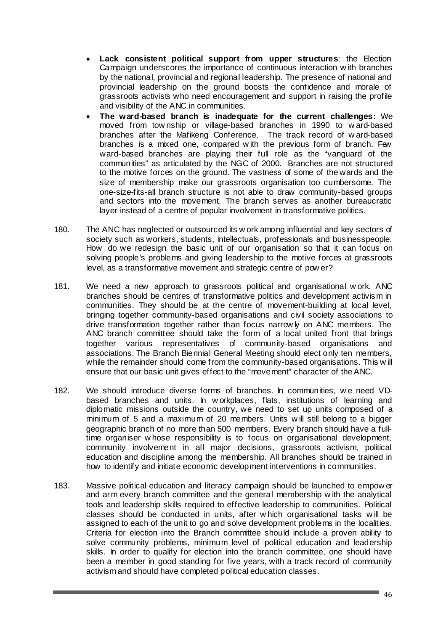- **Lack consistent political support from upper structures**: the Election Campaign underscores the importance of continuous interaction w ith branches by the national, provincial and regional leadership. The presence of national and provincial leadership on the ground boosts the confidence and morale of grassroots activists who need encouragement and support in raising the profile and visibility of the ANC in communities.
- **The ward-based branch is inadequate for the current challenges:** We moved from tow nship or village-based branches in 1990 to w ard-based branches after the Mafikeng Conference. The track record of w ard-based branches is a mixed one, compared w ith the previous form of branch. Few ward-based branches are playing their full role as the "vanguard of the communities" as articulated by the NGC of 2000. Branches are not structured to the motive forces on the ground. The vastness of some of the wards and the size of membership make our grassroots organisation too cumbersome. The one-size-fits-all branch structure is not able to draw community-based groups and sectors into the movement. The branch serves as another bureaucratic layer instead of a centre of popular involvement in transformative politics.
- 180. The ANC has neglected or outsourced its w ork among influential and key sectors of society such as workers, students, intellectuals, professionals and businesspeople. How do we redesign the basic unit of our organisation so that it can focus on solving people's problems and giving leadership to the motive forces at grassroots level, as a transformative movement and strategic centre of pow er?
- 181. We need a new approach to grassroots political and organisational w ork. ANC branches should be centres of transformative politics and development activism in communities. They should be at the centre of movement-building at local level, bringing together community-based organisations and civil society associations to drive transformation together rather than focus narrow ly on ANC members. The ANC branch committee should take the form of a local united front that brings together various representatives of community-based organisations and associations. The Branch Biennial General Meeting should elect only ten members, while the remainder should come from the community-based organisations. This w ill ensure that our basic unit gives effect to the "movement" character of the ANC.
- 182. We should introduce diverse forms of branches. In communities, we need VDbased branches and units. In w orkplaces, flats, institutions of learning and diplomatic missions outside the country, we need to set up units composed of a minimum of 5 and a maximum of 20 members. Units w ill still belong to a bigger geographic branch of no more than 500 members. Every branch should have a fulltime organiser w hose responsibility is to focus on organisational development, community involvement in all major decisions, grassroots activism, political education and discipline among the membership. All branches should be trained in how to identify and initiate economic development interventions in communities.
- 183. Massive political education and literacy campaign should be launched to empow er and arm every branch committee and the general membership w ith the analytical tools and leadership skills required to effective leadership to communities. Political classes should be conducted in units, after w hich organisational tasks w ill be assigned to each of the unit to go and solve development problems in the localities. Criteria for election into the Branch committee should include a proven ability to solve community problems, minimum level of political education and leadership skills. In order to qualify for election into the branch committee, one should have been a member in good standing for five years, with a track record of community activism and should have completed political education classes.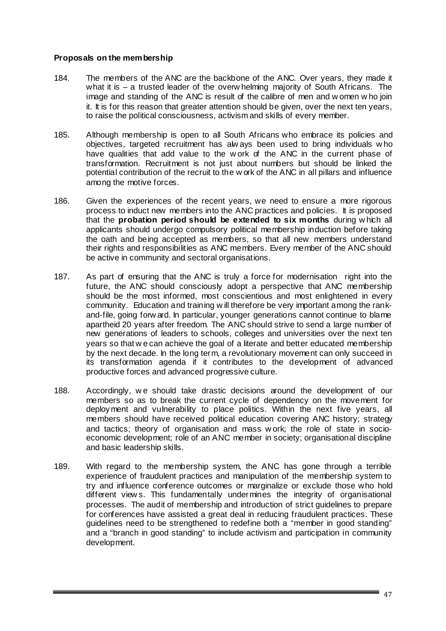### **Proposals on the membership**

- 184. The members of the ANC are the backbone of the ANC. Over years, they made it what it is – a trusted leader of the overw helming majority of South Africans. The image and standing of the ANC is result of the calibre of men and w omen w ho join it. It is for this reason that greater attention should be given, over the next ten years, to raise the political consciousness, activism and skills of every member.
- 185. Although membership is open to all South Africans who embrace its policies and objectives, targeted recruitment has alw ays been used to bring individuals w ho have qualities that add value to the w ork of the ANC in the current phase of transformation. Recruitment is not just about numbers but should be linked the potential contribution of the recruit to the w ork of the ANC in all pillars and influence among the motive forces.
- 186. Given the experiences of the recent years, we need to ensure a more rigorous process to induct new members into the ANC practices and policies. It is proposed that the **probation period should be extended to six months** during w hich all applicants should undergo compulsory political membership induction before taking the oath and being accepted as members, so that all new members understand their rights and responsibilities as ANC members. Every member of the ANC should be active in community and sectoral organisations.
- 187. As part of ensuring that the ANC is truly a force for modernisation right into the future, the ANC should consciously adopt a perspective that ANC membership should be the most informed, most conscientious and most enlightened in every community. Education and training w ill therefore be very important among the rankand-file, going forw ard. In particular, younger generations cannot continue to blame apartheid 20 years after freedom. The ANC should strive to send a large number of new generations of leaders to schools, colleges and universities over the next ten years so that w e can achieve the goal of a literate and better educated membership by the next decade. In the long term, a revolutionary movement can only succeed in its transformation agenda if it contributes to the development of advanced productive forces and advanced progressive culture.
- 188. Accordingly, w e should take drastic decisions around the development of our members so as to break the current cycle of dependency on the movement for deployment and vulnerability to place politics. Within the next five years, all members should have received political education covering ANC history; strategy and tactics; theory of organisation and mass w ork; the role of state in socioeconomic development; role of an ANC member in society; organisational discipline and basic leadership skills.
- 189. With regard to the membership system, the ANC has gone through a terrible experience of fraudulent practices and manipulation of the membership system to try and influence conference outcomes or marginalize or exclude those who hold different view s. This fundamentally undermines the integrity of organisational processes. The audit of membership and introduction of strict guidelines to prepare for conferences have assisted a great deal in reducing fraudulent practices. These guidelines need to be strengthened to redefine both a "member in good standing" and a "branch in good standing" to include activism and participation in community development.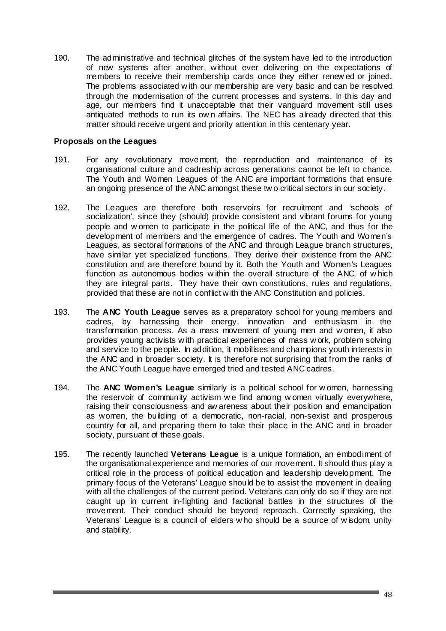190. The administrative and technical glitches of the system have led to the introduction of new systems after another, without ever delivering on the expectations of members to receive their membership cards once they either renew ed or joined. The problems associated w ith our membership are very basic and can be resolved through the modernisation of the current processes and systems. In this day and age, our members find it unacceptable that their vanguard movement still uses antiquated methods to run its ow n affairs. The NEC has already directed that this matter should receive urgent and priority attention in this centenary year.

### **Proposals on the Leagues**

- 191. For any revolutionary movement, the reproduction and maintenance of its organisational culture and cadreship across generations cannot be left to chance. The Youth and Women Leagues of the ANC are important formations that ensure an ongoing presence of the ANC amongst these tw o critical sectors in our society.
- 192. The Leagues are therefore both reservoirs for recruitment and 'schools of socialization', since they (should) provide consistent and vibrant forums for young people and w omen to participate in the political life of the ANC, and thus for the development of members and the emergence of cadres. The Youth and Women's Leagues, as sectoral formations of the ANC and through League branch structures, have similar yet specialized functions. They derive their existence from the ANC constitution and are therefore bound by it. Both the Youth and Women's Leagues function as autonomous bodies w ithin the overall structure of the ANC, of w hich they are integral parts. They have their own constitutions, rules and regulations, provided that these are not in conflict w ith the ANC Constitution and policies.
- 193. The **ANC Youth League** serves as a preparatory school for young members and cadres, by harnessing their energy, innovation and enthusiasm in the transformation process. As a mass movement of young men and w omen, it also provides young activists w ith practical experiences of mass w ork, problem solving and service to the people. In addition, it mobilises and champions youth interests in the ANC and in broader society. It is therefore not surprising that from the ranks of the ANC Youth League have emerged tried and tested ANC cadres.
- 194. The **ANC Women's League** similarly is a political school for w omen, harnessing the reservoir of community activism w e find among w omen virtually everywhere, raising their consciousness and aw areness about their position and emancipation as women, the building of a democratic, non-racial, non-sexist and prosperous country for all, and preparing them to take their place in the ANC and in broader society, pursuant of these goals.
- 195. The recently launched **Veterans League** is a unique formation, an embodiment of the organisational experience and memories of our movement. It should thus play a critical role in the process of political education and leadership development. The primary focus of the Veterans' League should be to assist the movement in dealing with all the challenges of the current period. Veterans can only do so if they are not caught up in current in-fighting and factional battles in the structures of the movement. Their conduct should be beyond reproach. Correctly speaking, the Veterans' League is a council of elders w ho should be a source of w isdom, unity and stability.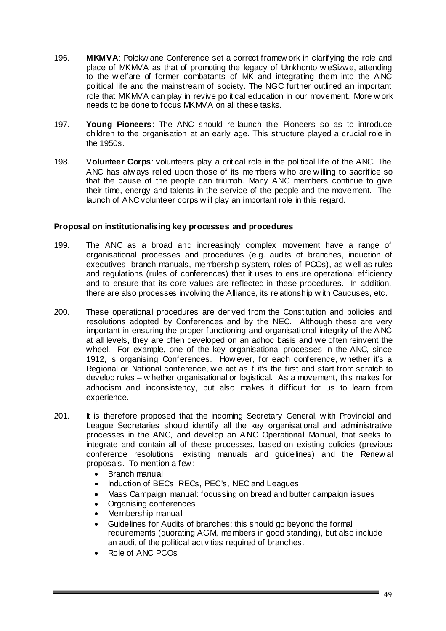- 196. **MKMVA**: Polokw ane Conference set a correct framew ork in clarifying the role and place of MKMVA as that of promoting the legacy of Umkhonto w eSizwe, attending to the w elfare of former combatants of MK and integrating them into the A NC political life and the mainstream of society. The NGC further outlined an important role that MKMVA can play in revive political education in our movement. More w ork needs to be done to focus MKMVA on all these tasks.
- 197. **Young Pioneers**: The ANC should re-launch the Pioneers so as to introduce children to the organisation at an early age. This structure played a crucial role in the 1950s.
- 198. V**olunteer Corps**: volunteers play a critical role in the political life of the ANC. The ANC has alw ays relied upon those of its members w ho are w illing to sacrifice so that the cause of the people can triumph. Many ANC members continue to give their time, energy and talents in the service of the people and the movement. The launch of ANC volunteer corps w ill play an important role in this regard.

# **Proposal on institutionalising key processes and procedures**

- 199. The ANC as a broad and increasingly complex movement have a range of organisational processes and procedures (e.g. audits of branches, induction of executives, branch manuals, membership system, roles of PCOs), as w ell as rules and regulations (rules of conferences) that it uses to ensure operational efficiency and to ensure that its core values are reflected in these procedures. In addition, there are also processes involving the Alliance, its relationship w ith Caucuses, etc.
- 200. These operational procedures are derived from the Constitution and policies and resolutions adopted by Conferences and by the NEC. Although these are very important in ensuring the proper functioning and organisational integrity of the A NC at all levels, they are often developed on an adhoc basis and we often reinvent the wheel. For example, one of the key organisational processes in the ANC, since 1912, is organising Conferences. How ever, for each conference, whether it's a Regional or National conference, we act as if it's the first and start from scratch to develop rules – w hether organisational or logistical. As a movement, this makes for adhocism and inconsistency, but also makes it difficult for us to learn from experience.
- 201. It is therefore proposed that the incoming Secretary General, with Provincial and League Secretaries should identify all the key organisational and administrative processes in the ANC, and develop an A NC Operational Manual, that seeks to integrate and contain all of these processes, based on existing policies (previous conference resolutions, existing manuals and guidelines) and the Renew al proposals. To mention a few :
	- Branch manual
	- Induction of BECs, RECs, PEC's, NEC and Leagues
	- Mass Campaign manual: focussing on bread and butter campaign issues
	- Organising conferences
	- Membership manual
	- Guidelines for Audits of branches: this should go beyond the formal requirements (quorating AGM, members in good standing), but also include an audit of the political activities required of branches.
	- Role of ANC PCOs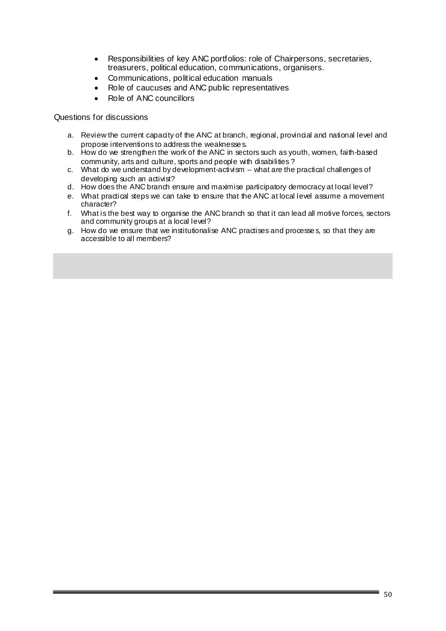- Responsibilities of key ANC portfolios: role of Chairpersons, secretaries, treasurers, political education, communications, organisers.
- Communications, political education manuals
- Role of caucuses and ANC public representatives
- Role of ANC councillors

Questions for discussions

- a. Review the current capacity of the ANC at branch, regional, provincial and national level and propose interventions to address the weaknesse s.
- b. How do we strengthen the work of the ANC in sectors such as youth, women, faith-based community, arts and culture, sports and people with disabilities ?
- c. What do we understand by development-activism what are the practical challenges of developing such an activist?
- d. How does the ANC branch ensure and maximise participatory democracy at local level?
- e. What practical steps we can take to ensure that the ANC at local level assume a movement character?
- f. What is the best way to organise the ANC branch so that it can lead all motive forces, sectors and community groups at a local level?
- g. How do we ensure that we institutionalise ANC practises and processe s, so that they are accessible to all members?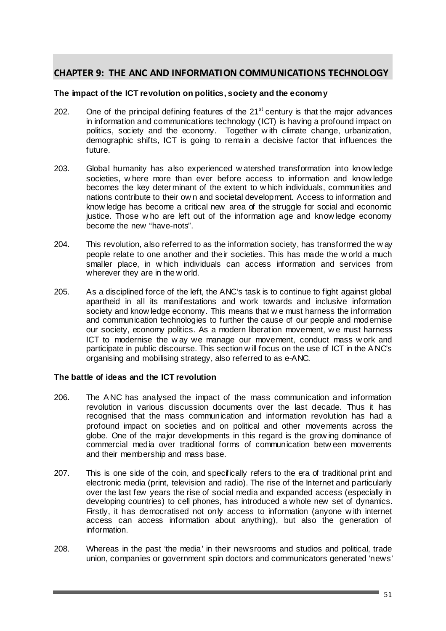# **CHAPTER 9: THE ANC AND INFORMATION COMMUNICATIONS TECHNOLOGY**

#### **The impact of the ICT revolution on politics, society and the economy**

- 202. One of the principal defining features of the  $21<sup>st</sup>$  century is that the major advances in information and communications technology (ICT) is having a profound impact on politics, society and the economy. Together w ith climate change, urbanization, demographic shifts, ICT is going to remain a decisive factor that influences the future.
- 203. Global humanity has also experienced w atershed transformation into know ledge societies, w here more than ever before access to information and know ledge becomes the key determinant of the extent to w hich individuals, communities and nations contribute to their ow n and societal development. Access to information and know ledge has become a critical new area of the struggle for social and economic justice. Those w ho are left out of the information age and know ledge economy become the new "have-nots".
- 204. This revolution, also referred to as the information society, has transformed the w ay people relate to one another and their societies. This has made the w orld a much smaller place, in w hich individuals can access information and services from wherever they are in the w orld.
- 205. As a disciplined force of the left, the ANC's task is to continue to fight against global apartheid in all its manifestations and work towards and inclusive information society and know ledge economy. This means that w e must harness the information and communication technologies to further the cause of our people and modernise our society, economy politics. As a modern liberation movement, w e must harness ICT to modernise the w ay we manage our movement, conduct mass w ork and participate in public discourse. This section w ill focus on the use of ICT in the A NC's organising and mobilising strategy, also referred to as e-ANC.

# **The battle of ideas and the ICT revolution**

- 206. The A NC has analysed the impact of the mass communication and information revolution in various discussion documents over the last decade. Thus it has recognised that the mass communication and information revolution has had a profound impact on societies and on political and other movements across the globe. One of the major developments in this regard is the grow ing dominance of commercial media over traditional forms of communication betw een movements and their membership and mass base.
- 207. This is one side of the coin, and specifically refers to the era of traditional print and electronic media (print, television and radio). The rise of the Internet and particularly over the last few years the rise of social media and expanded access (especially in developing countries) to cell phones, has introduced a whole new set of dynamics. Firstly, it has democratised not only access to information (anyone w ith internet access can access information about anything), but also the generation of information.
- 208. Whereas in the past 'the media' in their newsrooms and studios and political, trade union, companies or government spin doctors and communicators generated 'news'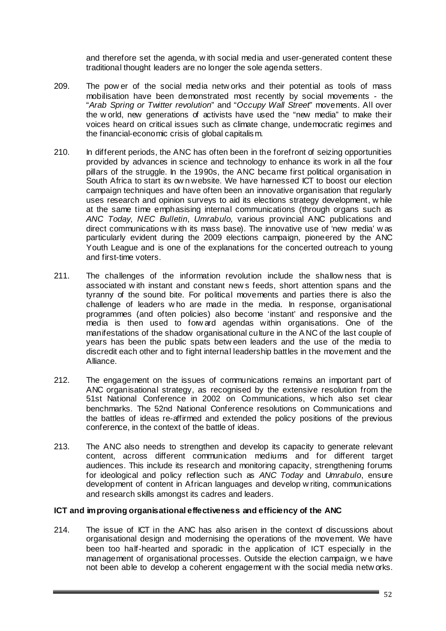and therefore set the agenda, w ith social media and user-generated content these traditional thought leaders are no longer the sole agenda setters.

- 209. The pow er of the social media netw orks and their potential as tools of mass mobilisation have been demonstrated most recently by social movements - the "*Arab Spring or Twitter revolution*" and "*Occupy Wall Street*" movements. All over the w orld, new generations of activists have used the "new media" to make their voices heard on critical issues such as climate change, undemocratic regimes and the financial-economic crisis of global capitalism.
- 210. In different periods, the ANC has often been in the forefront of seizing opportunities provided by advances in science and technology to enhance its work in all the four pillars of the struggle. In the 1990s, the ANC became first political organisation in South Africa to start its ow n website. We have harnessed ICT to boost our election campaign techniques and have often been an innovative organisation that regularly uses research and opinion surveys to aid its elections strategy development, w hile at the same time emphasising internal communications (through organs such as *ANC Today*, *NEC Bulletin*, *Umrabulo,* various provincial ANC publications and direct communications w ith its mass base). The innovative use of 'new media' w as particularly evident during the 2009 elections campaign, pioneered by the ANC Youth League and is one of the explanations for the concerted outreach to young and first-time voters.
- 211. The challenges of the information revolution include the shallow ness that is associated w ith instant and constant new s feeds, short attention spans and the tyranny of the sound bite. For political movements and parties there is also the challenge of leaders w ho are made in the media. In response, organisational programmes (and often policies) also become 'instant' and responsive and the media is then used to forw ard agendas within organisations. One of the manifestations of the shadow organisational culture in the A NC of the last couple of years has been the public spats betw een leaders and the use of the media to discredit each other and to fight internal leadership battles in the movement and the Alliance.
- 212. The engagement on the issues of communications remains an important part of ANC organisational strategy, as recognised by the extensive resolution from the 51st National Conference in 2002 on Communications, w hich also set clear benchmarks. The 52nd National Conference resolutions on Communications and the battles of ideas re-affirmed and extended the policy positions of the previous conference, in the context of the battle of ideas.
- 213. The ANC also needs to strengthen and develop its capacity to generate relevant content, across different communication mediums and for different target audiences. This include its research and monitoring capacity, strengthening forums for ideological and policy reflection such as *ANC Today* and *Umrabulo*, ensure development of content in African languages and develop w riting, communications and research skills amongst its cadres and leaders.

# **ICT and improving organisational effectiveness and efficiency of the ANC**

214. The issue of ICT in the ANC has also arisen in the context of discussions about organisational design and modernising the operations of the movement. We have been too half-hearted and sporadic in the application of ICT especially in the management of organisational processes. Outside the election campaign, w e have not been able to develop a coherent engagement w ith the social media netw orks.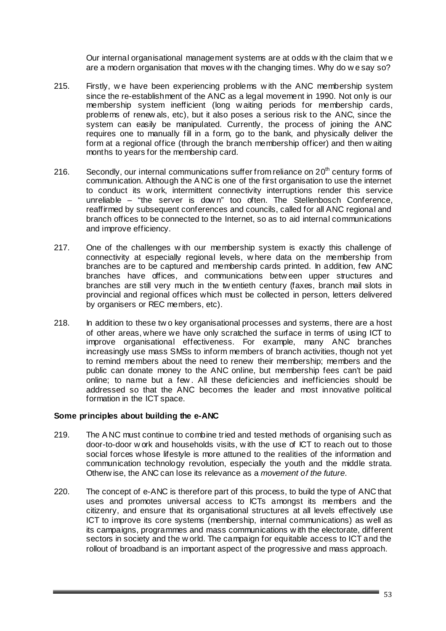Our internal organisational management systems are at odds w ith the claim that w e are a modern organisation that moves w ith the changing times. Why do w e say so?

- 215. Firstly, w e have been experiencing problems w ith the ANC membership system since the re-establishment of the ANC as a legal movement in 1990. Not only is our membership system inefficient (long w aiting periods for membership cards, problems of renew als, etc), but it also poses a serious risk to the ANC, since the system can easily be manipulated. Currently, the process of joining the ANC requires one to manually fill in a form, go to the bank, and physically deliver the form at a regional office (through the branch membership officer) and then w aiting months to years for the membership card.
- 216. Secondly, our internal communications suffer from reliance on  $20<sup>th</sup>$  century forms of communication. Although the A NC is one of the first organisation to use the internet to conduct its w ork, intermittent connectivity interruptions render this service unreliable – "the server is dow n" too often. The Stellenbosch Conference, reaffirmed by subsequent conferences and councils, called for all ANC regional and branch offices to be connected to the Internet, so as to aid internal communications and improve efficiency.
- 217. One of the challenges w ith our membership system is exactly this challenge of connectivity at especially regional levels, w here data on the membership from branches are to be captured and membership cards printed. In addition, few ANC branches have offices, and communications betw een upper structures and branches are still very much in the tw entieth century (faxes, branch mail slots in provincial and regional offices which must be collected in person, letters delivered by organisers or REC members, etc).
- 218. In addition to these tw o key organisational processes and systems, there are a host of other areas, where we have only scratched the surface in terms of using ICT to improve organisational effectiveness. For example, many ANC branches increasingly use mass SMSs to inform members of branch activities, though not yet to remind members about the need to renew their membership; members and the public can donate money to the ANC online, but membership fees can't be paid online; to name but a few . All these deficiencies and inefficiencies should be addressed so that the ANC becomes the leader and most innovative political formation in the ICT space.

# **Some principles about building the e-ANC**

- 219. The A NC must continue to combine tried and tested methods of organising such as door-to-door w ork and households visits, w ith the use of ICT to reach out to those social forces whose lifestyle is more attuned to the realities of the information and communication technology revolution, especially the youth and the middle strata. Otherw ise, the ANC can lose its relevance as a *movement of the future*.
- 220. The concept of e-ANC is therefore part of this process, to build the type of ANC that uses and promotes universal access to ICTs amongst its members and the citizenry, and ensure that its organisational structures at all levels effectively use ICT to improve its core systems (membership, internal communications) as well as its campaigns, programmes and mass communications w ith the electorate, different sectors in society and the w orld. The campaign for equitable access to ICT and the rollout of broadband is an important aspect of the progressive and mass approach.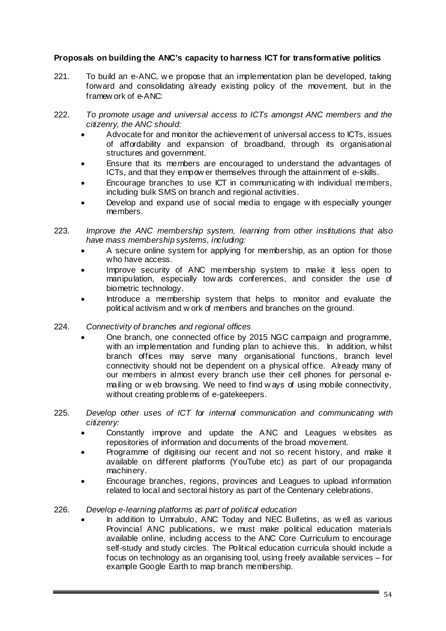# **Proposals on building the ANC's capacity to harness ICT for transformative politics**

- 221. To build an e-ANC, w e propose that an implementation plan be developed, taking forward and consolidating already existing policy of the movement, but in the framew ork of e-ANC:
- 222. *To promote usage and universal access to ICTs amongst ANC members and the citizenry, the ANC should:* 
	- Advocate for and monitor the achievement of universal access to ICTs, issues of affordability and expansion of broadband, through its organisational structures and government.
	- Ensure that its members are encouraged to understand the advantages of ICTs, and that they empow er themselves through the attainment of e-skills.
	- Encourage branches to use ICT in communicating w ith individual members, including bulk SMS on branch and regional activities.
	- Develop and expand use of social media to engage w ith especially younger members.
- 223. *Improve the ANC membership system, learning from other institutions that also have mass membership systems, including:* 
	- A secure online system for applying for membership, as an option for those who have access.
	- Improve security of ANC membership system to make it less open to manipulation, especially tow ards conferences, and consider the use of biometric technology.
	- Introduce a membership system that helps to monitor and evaluate the political activism and w ork of members and branches on the ground.
- 224. *Connectivity of branches and regional offices* 
	- One branch, one connected office by 2015 NGC campaign and programme, with an implementation and funding plan to achieve this. In addition, whilst branch offices may serve many organisational functions, branch level connectivity should not be dependent on a physical office. Already many of our members in almost every branch use their cell phones for personal emailing or w eb browsing. We need to find w ays of using mobile connectivity, without creating problems of e-gatekeepers.
- 225. *Develop other uses of ICT for internal communication and communicating with citizenry:* 
	- Constantly improve and update the A NC and Leagues w ebsites as repositories of information and documents of the broad movement.
	- Programme of digitising our recent and not so recent history, and make it available on different platforms (YouTube etc) as part of our propaganda machinery.
	- Encourage branches, regions, provinces and Leagues to upload information related to local and sectoral history as part of the Centenary celebrations.

# 226. *Develop e-learning platforms as part of political education*

• In addition to Umrabulo, ANC Today and NEC Bulletins, as w ell as various Provincial ANC publications, we must make political education materials available online, including access to the ANC Core Curriculum to encourage self-study and study circles. The Political education curricula should include a focus on technology as an organising tool, using freely available services – for example Google Earth to map branch membership.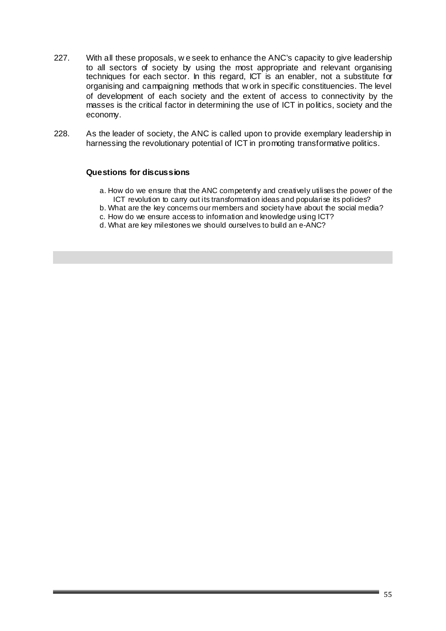- 227. With all these proposals, w e seek to enhance the ANC's capacity to give leadership to all sectors of society by using the most appropriate and relevant organising techniques for each sector. In this regard, ICT is an enabler, not a substitute for organising and campaigning methods that w ork in specific constituencies. The level of development of each society and the extent of access to connectivity by the masses is the critical factor in determining the use of ICT in politics, society and the economy.
- 228. As the leader of society, the ANC is called upon to provide exemplary leadership in harnessing the revolutionary potential of ICT in promoting transformative politics.

#### **Questions for discussions**

- a. How do we ensure that the ANC competently and creatively utilises the power of the ICT revolution to carry out its transformation ideas and popularise its policies?
- b. What are the key concerns our members and society have about the social media?
- c. How do we ensure access to information and knowledge using ICT?
- d. What are key milestones we should ourselves to build an e-ANC?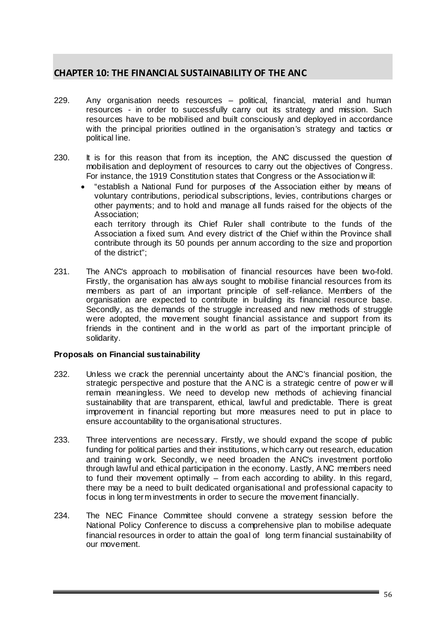# **CHAPTER 10: THE FINANCIAL SUSTAINABILITY OF THE ANC**

- 229. Any organisation needs resources political, financial, material and human resources - in order to successfully carry out its strategy and mission. Such resources have to be mobilised and built consciously and deployed in accordance with the principal priorities outlined in the organisation's strategy and tactics or political line.
- 230. It is for this reason that from its inception, the ANC discussed the question of mobilisation and deployment of resources to carry out the objectives of Congress. For instance, the 1919 Constitution states that Congress or the Association w ill:
	- "establish a National Fund for purposes of the Association either by means of voluntary contributions, periodical subscriptions, levies, contributions charges or other payments; and to hold and manage all funds raised for the objects of the Association; each territory through its Chief Ruler shall contribute to the funds of the Association a fixed sum. And every district of the Chief w ithin the Province shall

contribute through its 50 pounds per annum according to the size and proportion of the district";

231. The ANC's approach to mobilisation of financial resources have been two-fold. Firstly, the organisation has alw ays sought to mobilise financial resources from its members as part of an important principle of self-reliance. Members of the organisation are expected to contribute in building its financial resource base. Secondly, as the demands of the struggle increased and new methods of struggle were adopted, the movement sought financial assistance and support from its friends in the continent and in the w orld as part of the important principle of solidarity.

# **Proposals on Financial sustainability**

- 232. Unless we crack the perennial uncertainty about the ANC's financial position, the strategic perspective and posture that the A NC is a strategic centre of pow er w ill remain meaningless. We need to develop new methods of achieving financial sustainability that are transparent, ethical, lawful and predictable. There is great improvement in financial reporting but more measures need to put in place to ensure accountability to the organisational structures.
- 233. Three interventions are necessary. Firstly, we should expand the scope of public funding for political parties and their institutions, w hich carry out research, education and training w ork. Secondly, w e need broaden the ANC's investment portfolio through lawful and ethical participation in the economy. Lastly, A NC members need to fund their movement optimally – from each according to ability. In this regard, there may be a need to built dedicated organisational and professional capacity to focus in long term investments in order to secure the movement financially.
- 234. The NEC Finance Committee should convene a strategy session before the National Policy Conference to discuss a comprehensive plan to mobilise adequate financial resources in order to attain the goal of long term financial sustainability of our movement.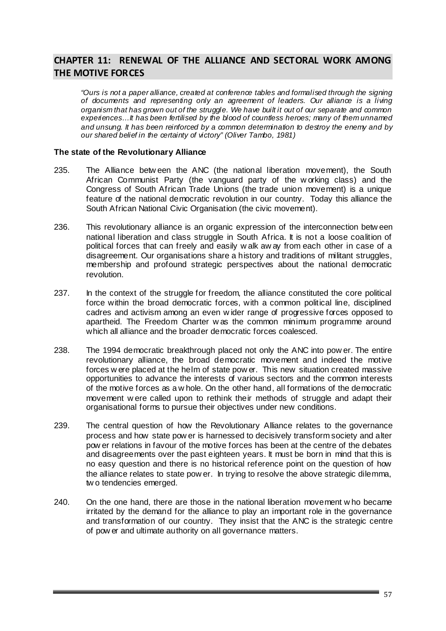# **CHAPTER 11: RENEWAL OF THE ALLIANCE AND SECTORAL WORK AMONG THE MOTIVE FORCES**

*"Ours is not a paper alliance, created at conference tables and formalised through the signing of documents and representing only an agreement of leaders. Our alliance is a living organism that has grown out of the struggle. We have built it out of our separate and common experiences…It has been fertilised by the blood of countless heroes; many of them unnamed and unsung. It has been reinforced by a common determination to destroy the enemy and by our shared belief in the certainty of victory" (Oliver Tambo, 1981)*

#### **The state of the Revolutionary Alliance**

- 235. The Alliance betw een the ANC (the national liberation movement), the South African Communist Party (the vanguard party of the w orking class) and the Congress of South African Trade Unions (the trade union movement) is a unique feature of the national democratic revolution in our country. Today this alliance the South African National Civic Organisation (the civic movement).
- 236. This revolutionary alliance is an organic expression of the interconnection betw een national liberation and class struggle in South Africa. It is not a loose coalition of political forces that can freely and easily w alk aw ay from each other in case of a disagreement. Our organisations share a history and traditions of militant struggles, membership and profound strategic perspectives about the national democratic revolution.
- 237. In the context of the struggle for freedom, the alliance constituted the core political force within the broad democratic forces, with a common political line, disciplined cadres and activism among an even w ider range of progressive forces opposed to apartheid. The Freedom Charter w as the common minimum programme around which all alliance and the broader democratic forces coalesced.
- 238. The 1994 democratic breakthrough placed not only the ANC into pow er. The entire revolutionary alliance, the broad democratic movement and indeed the motive forces w ere placed at the helm of state pow er. This new situation created massive opportunities to advance the interests of various sectors and the common interests of the motive forces as a w hole. On the other hand, all formations of the democratic movement w ere called upon to rethink their methods of struggle and adapt their organisational forms to pursue their objectives under new conditions.
- 239. The central question of how the Revolutionary Alliance relates to the governance process and how state pow er is harnessed to decisively transform society and alter pow er relations in favour of the motive forces has been at the centre of the debates and disagreements over the past eighteen years. It must be born in mind that this is no easy question and there is no historical reference point on the question of how the alliance relates to state pow er. In trying to resolve the above strategic dilemma, tw o tendencies emerged.
- 240. On the one hand, there are those in the national liberation movement w ho became irritated by the demand for the alliance to play an important role in the governance and transformation of our country. They insist that the ANC is the strategic centre of pow er and ultimate authority on all governance matters.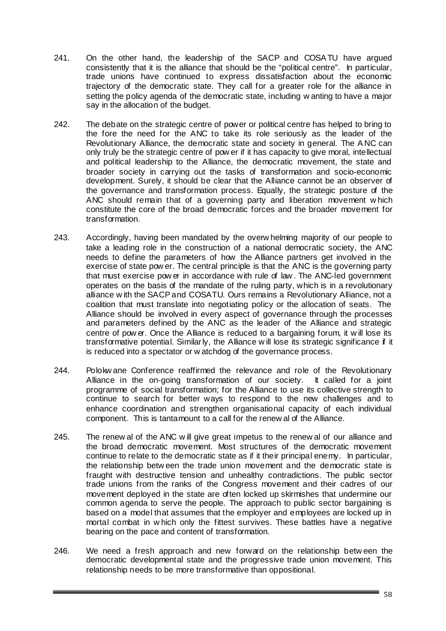- 241. On the other hand, the leadership of the SACP and COSA TU have argued consistently that it is the alliance that should be the "political centre". In particular, trade unions have continued to express dissatisfaction about the economic trajectory of the democratic state. They call for a greater role for the alliance in setting the policy agenda of the democratic state, including w anting to have a major say in the allocation of the budget.
- 242. The debate on the strategic centre of power or political centre has helped to bring to the fore the need for the ANC to take its role seriously as the leader of the Revolutionary Alliance, the democratic state and society in general. The A NC can only truly be the strategic centre of pow er if it has capacity to give moral, intellectual and political leadership to the Alliance, the democratic movement, the state and broader society in carrying out the tasks of transformation and socio-economic development. Surely, it should be clear that the Alliance cannot be an observer of the governance and transformation process. Equally, the strategic posture of the ANC should remain that of a governing party and liberation movement w hich constitute the core of the broad democratic forces and the broader movement for transformation.
- 243. Accordingly, having been mandated by the overw helming majority of our people to take a leading role in the construction of a national democratic society, the ANC needs to define the parameters of how the Alliance partners get involved in the exercise of state pow er. The central principle is that the ANC is the governing party that must exercise pow er in accordance with rule of law . The ANC-led government operates on the basis of the mandate of the ruling party, which is in a revolutionary alliance w ith the SACP and COSATU. Ours remains a Revolutionary Alliance, not a coalition that must translate into negotiating policy or the allocation of seats. The Alliance should be involved in every aspect of governance through the processes and parameters defined by the ANC as the leader of the Alliance and strategic centre of pow er. Once the Alliance is reduced to a bargaining forum, it w ill lose its transformative potential. Similarly, the Alliance w ill lose its strategic significance if it is reduced into a spectator or w atchdog of the governance process.
- 244. Polokw ane Conference reaffirmed the relevance and role of the Revolutionary Alliance in the on-going transformation of our society. It called for a joint programme of social transformation; for the Alliance to use its collective strength to continue to search for better ways to respond to the new challenges and to enhance coordination and strengthen organisational capacity of each individual component. This is tantamount to a call for the renew al of the Alliance.
- 245. The renew al of the ANC w ill give great impetus to the renew al of our alliance and the broad democratic movement. Most structures of the democratic movement continue to relate to the democratic state as if it their principal enemy. In particular, the relationship betw een the trade union movement and the democratic state is fraught with destructive tension and unhealthy contradictions. The public sector trade unions from the ranks of the Congress movement and their cadres of our movement deployed in the state are often locked up skirmishes that undermine our common agenda to serve the people. The approach to public sector bargaining is based on a model that assumes that the employer and employees are locked up in mortal combat in w hich only the fittest survives. These battles have a negative bearing on the pace and content of transformation.
- 246. We need a fresh approach and new forward on the relationship betw een the democratic developmental state and the progressive trade union movement. This relationship needs to be more transformative than oppositional.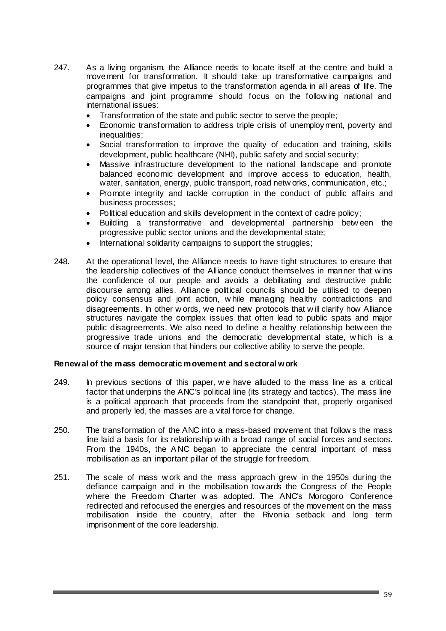- 247. As a living organism, the Alliance needs to locate itself at the centre and build a movement for transformation. It should take up transformative campaigns and programmes that give impetus to the transformation agenda in all areas of life. The campaigns and joint programme should focus on the follow ing national and international issues:
	- Transformation of the state and public sector to serve the people;
	- Economic transformation to address triple crisis of unemployment, poverty and inequalities;
	- Social transformation to improve the quality of education and training, skills development, public healthcare (NHI), public safety and social security;
	- Massive infrastructure development to the national landscape and promote balanced economic development and improve access to education, health, water, sanitation, energy, public transport, road netw orks, communication, etc.;
	- Promote integrity and tackle corruption in the conduct of public affairs and business processes;
	- Political education and skills development in the context of cadre policy;
	- Building a transformative and developmental partnership betw een the progressive public sector unions and the developmental state;
	- International solidarity campaigns to support the struggles;
- 248. At the operational level, the Alliance needs to have tight structures to ensure that the leadership collectives of the Alliance conduct themselves in manner that w ins the confidence of our people and avoids a debilitating and destructive public discourse among allies. Alliance political councils should be utilised to deepen policy consensus and joint action, w hile managing healthy contradictions and disagreements. In other w ords, we need new protocols that w ill clarify how Alliance structures navigate the complex issues that often lead to public spats and major public disagreements. We also need to define a healthy relationship betw een the progressive trade unions and the democratic developmental state, w hich is a source of major tension that hinders our collective ability to serve the people.

#### **Renewal of the mass democratic movement and sectoral work**

- 249. In previous sections of this paper, w e have alluded to the mass line as a critical factor that underpins the ANC's political line (its strategy and tactics). The mass line is a political approach that proceeds from the standpoint that, properly organised and properly led, the masses are a vital force for change.
- 250. The transformation of the ANC into a mass-based movement that follow s the mass line laid a basis for its relationship w ith a broad range of social forces and sectors. From the 1940s, the A NC began to appreciate the central important of mass mobilisation as an important pillar of the struggle for freedom.
- 251. The scale of mass w ork and the mass approach grew in the 1950s during the defiance campaign and in the mobilisation tow ards the Congress of the People where the Freedom Charter w as adopted. The ANC's Morogoro Conference redirected and refocused the energies and resources of the movement on the mass mobilisation inside the country, after the Rivonia setback and long term imprisonment of the core leadership.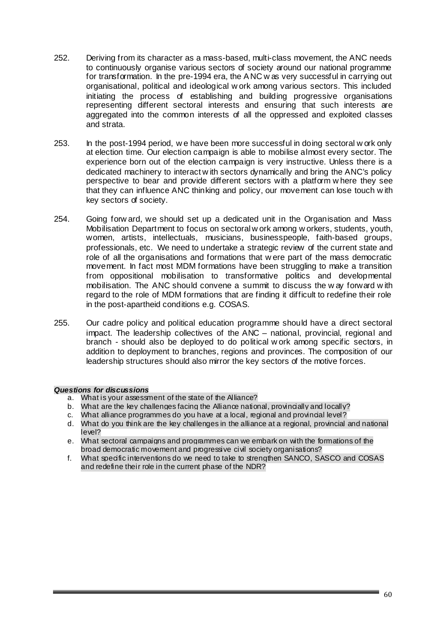- 252. Deriving from its character as a mass-based, multi-class movement, the ANC needs to continuously organise various sectors of society around our national programme for transformation. In the pre-1994 era, the A NC w as very successful in carrying out organisational, political and ideological w ork among various sectors. This included initiating the process of establishing and building progressive organisations representing different sectoral interests and ensuring that such interests are aggregated into the common interests of all the oppressed and exploited classes and strata.
- 253. In the post-1994 period, w e have been more successful in doing sectoral w ork only at election time. Our election campaign is able to mobilise almost every sector. The experience born out of the election campaign is very instructive. Unless there is a dedicated machinery to interact w ith sectors dynamically and bring the ANC's policy perspective to bear and provide different sectors with a platform w here they see that they can influence ANC thinking and policy, our movement can lose touch w ith key sectors of society.
- 254. Going forw ard, we should set up a dedicated unit in the Organisation and Mass Mobilisation Department to focus on sectoral w ork among w orkers, students, youth, women, artists, intellectuals, musicians, businesspeople, faith-based groups, professionals, etc. We need to undertake a strategic review of the current state and role of all the organisations and formations that w ere part of the mass democratic movement. In fact most MDM formations have been struggling to make a transition from oppositional mobilisation to transformative politics and developmental mobilisation. The ANC should convene a summit to discuss the w ay forward w ith regard to the role of MDM formations that are finding it difficult to redefine their role in the post-apartheid conditions e.g. COSAS.
- 255. Our cadre policy and political education programme should have a direct sectoral impact. The leadership collectives of the ANC – national, provincial, regional and branch - should also be deployed to do political w ork among specific sectors, in addition to deployment to branches, regions and provinces. The composition of our leadership structures should also mirror the key sectors of the motive forces.

#### *Questions for discussions*

- a. What is your assessment of the state of the Alliance?
- b. What are the key challenges facing the Alliance national, provincially and locally?
- c. What alliance programmes do you have at a local, regional and provincial level?
- d. What do you think are the key challenges in the alliance at a regional, provincial and national level?
- e. What sectoral campaigns and programmes can we embark on with the formations of the broad democratic movement and progressive civil society organisations?
- f. What specific interventions do we need to take to strengthen SANCO, SASCO and COSAS and redefine their role in the current phase of the NDR?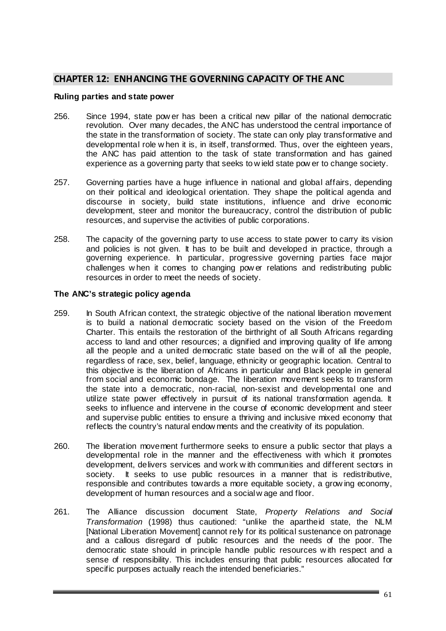# **CHAPTER 12: ENHANCING THE GOVERNING CAPACITY OF THE ANC**

#### **Ruling parties and state power**

- 256. Since 1994, state pow er has been a critical new pillar of the national democratic revolution. Over many decades, the ANC has understood the central importance of the state in the transformation of society. The state can only play transformative and developmental role w hen it is, in itself, transformed. Thus, over the eighteen years, the ANC has paid attention to the task of state transformation and has gained experience as a governing party that seeks to w ield state pow er to change society.
- 257. Governing parties have a huge influence in national and global affairs, depending on their political and ideological orientation. They shape the political agenda and discourse in society, build state institutions, influence and drive economic development, steer and monitor the bureaucracy, control the distribution of public resources, and supervise the activities of public corporations.
- 258. The capacity of the governing party to use access to state power to carry its vision and policies is not given. It has to be built and developed in practice, through a governing experience. In particular, progressive governing parties face major challenges w hen it comes to changing pow er relations and redistributing public resources in order to meet the needs of society.

#### **The ANC's strategic policy agenda**

- 259. In South African context, the strategic objective of the national liberation movement is to build a national democratic society based on the vision of the Freedom Charter. This entails the restoration of the birthright of all South Africans regarding access to land and other resources; a dignified and improving quality of life among all the people and a united democratic state based on the w ill of all the people, regardless of race, sex, belief, language, ethnicity or geographic location. Central to this objective is the liberation of Africans in particular and Black people in general from social and economic bondage. The liberation movement seeks to transform the state into a democratic, non-racial, non-sexist and developmental one and utilize state power effectively in pursuit of its national transformation agenda. It seeks to influence and intervene in the course of economic development and steer and supervise public entities to ensure a thriving and inclusive mixed economy that reflects the country's natural endow ments and the creativity of its population.
- 260. The liberation movement furthermore seeks to ensure a public sector that plays a developmental role in the manner and the effectiveness with which it promotes development, delivers services and work w ith communities and different sectors in society. It seeks to use public resources in a manner that is redistributive, responsible and contributes towards a more equitable society, a grow ing economy, development of human resources and a social w age and floor.
- 261. The Alliance discussion document State, *Property Relations and Social Transformation* (1998) thus cautioned: "unlike the apartheid state, the NLM [National Liberation Movement] cannot rely for its political sustenance on patronage and a callous disregard of public resources and the needs of the poor. The democratic state should in principle handle public resources w ith respect and a sense of responsibility. This includes ensuring that public resources allocated for specific purposes actually reach the intended beneficiaries."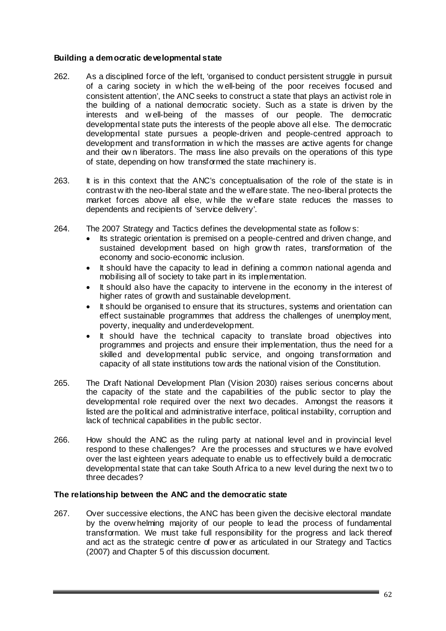# **Building a democratic developmental state**

- 262. As a disciplined force of the left, 'organised to conduct persistent struggle in pursuit of a caring society in w hich the w ell-being of the poor receives focused and consistent attention', the ANC seeks to construct a state that plays an activist role in the building of a national democratic society. Such as a state is driven by the interests and w ell-being of the masses of our people. The democratic developmental state puts the interests of the people above all else. The democratic developmental state pursues a people-driven and people-centred approach to development and transformation in w hich the masses are active agents for change and their ow n liberators. The mass line also prevails on the operations of this type of state, depending on how transformed the state machinery is.
- 263. It is in this context that the ANC's conceptualisation of the role of the state is in contrast w ith the neo-liberal state and the w elfare state. The neo-liberal protects the market forces above all else, w hile the w elfare state reduces the masses to dependents and recipients of 'service delivery'.
- 264. The 2007 Strategy and Tactics defines the developmental state as follow s:
	- Its strategic orientation is premised on a people-centred and driven change, and sustained development based on high grow th rates, transformation of the economy and socio-economic inclusion.
	- It should have the capacity to lead in defining a common national agenda and mobilising all of society to take part in its implementation.
	- It should also have the capacity to intervene in the economy in the interest of higher rates of growth and sustainable development.
	- It should be organised to ensure that its structures, systems and orientation can effect sustainable programmes that address the challenges of unemployment, poverty, inequality and underdevelopment.
	- It should have the technical capacity to translate broad objectives into programmes and projects and ensure their implementation, thus the need for a skilled and developmental public service, and ongoing transformation and capacity of all state institutions tow ards the national vision of the Constitution.
- 265. The Draft National Development Plan (Vision 2030) raises serious concerns about the capacity of the state and the capabilities of the public sector to play the developmental role required over the next two decades. Amongst the reasons it listed are the political and administrative interface, political instability, corruption and lack of technical capabilities in the public sector.
- 266. How should the ANC as the ruling party at national level and in provincial level respond to these challenges? Are the processes and structures w e have evolved over the last eighteen years adequate to enable us to effectively build a democratic developmental state that can take South Africa to a new level during the next tw o to three decades?

#### **The relationship between the ANC and the democratic state**

267. Over successive elections, the ANC has been given the decisive electoral mandate by the overw helming majority of our people to lead the process of fundamental transformation. We must take full responsibility for the progress and lack thereof and act as the strategic centre of pow er as articulated in our Strategy and Tactics (2007) and Chapter 5 of this discussion document.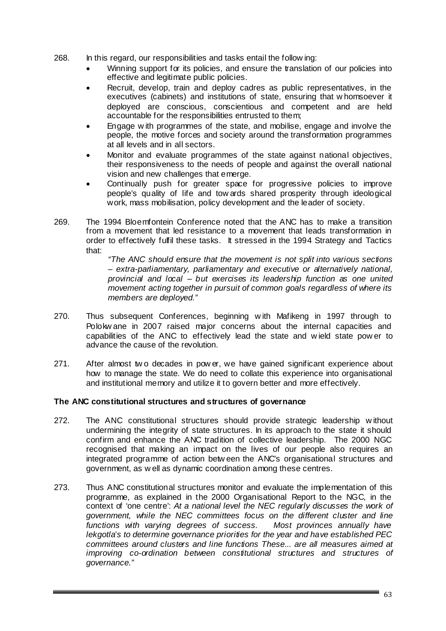- 268. In this regard, our responsibilities and tasks entail the follow ing:
	- Winning support for its policies, and ensure the translation of our policies into effective and legitimate public policies.
	- Recruit, develop, train and deploy cadres as public representatives, in the executives (cabinets) and institutions of state, ensuring that w homsoever it deployed are conscious, conscientious and competent and are held accountable for the responsibilities entrusted to them;
	- Engage w ith programmes of the state, and mobilise, engage and involve the people, the motive forces and society around the transformation programmes at all levels and in all sectors.
	- Monitor and evaluate programmes of the state against national objectives, their responsiveness to the needs of people and against the overall national vision and new challenges that emerge.
	- Continually push for greater space for progressive policies to improve people's quality of life and tow ards shared prosperity through ideological work, mass mobilisation, policy development and the leader of society.
- 269. The 1994 Bloemfontein Conference noted that the ANC has to make a transition from a movement that led resistance to a movement that leads transformation in order to effectively fulfil these tasks. It stressed in the 1994 Strategy and Tactics that:

*"The ANC should ensure that the movement is not split into various sections – extra-parliamentary, parliamentary and executive or alternatively national, provincial and local – but exercises its leadership function as one united movement acting together in pursuit of common goals regardless of where its members are deployed."* 

- 270. Thus subsequent Conferences, beginning w ith Mafikeng in 1997 through to Polokw ane in 2007 raised major concerns about the internal capacities and capabilities of the ANC to effectively lead the state and w ield state pow er to advance the cause of the revolution.
- 271. After almost tw o decades in pow er, we have gained significant experience about how to manage the state. We do need to collate this experience into organisational and institutional memory and utilize it to govern better and more effectively.

# **The ANC constitutional structures and structures of governance**

- 272. The ANC constitutional structures should provide strategic leadership w ithout undermining the integrity of state structures. In its approach to the state it should confirm and enhance the ANC tradition of collective leadership. The 2000 NGC recognised that making an impact on the lives of our people also requires an integrated programme of action betw een the ANC's organisational structures and government, as w ell as dynamic coordination among these centres.
- 273. Thus ANC constitutional structures monitor and evaluate the implementation of this programme, as explained in the 2000 Organisational Report to the NGC, in the context of 'one centre': *At a national level the NEC regularly discusses the work of government, while the NEC committees focus on the different cluster and line functions with varying degrees of success. Most provinces annually have lekgotla's to determine governance priorities for the year and have established PEC committees around clusters and line functions These... are all measures aimed at improving co-ordination between constitutional structures and structures of governance."*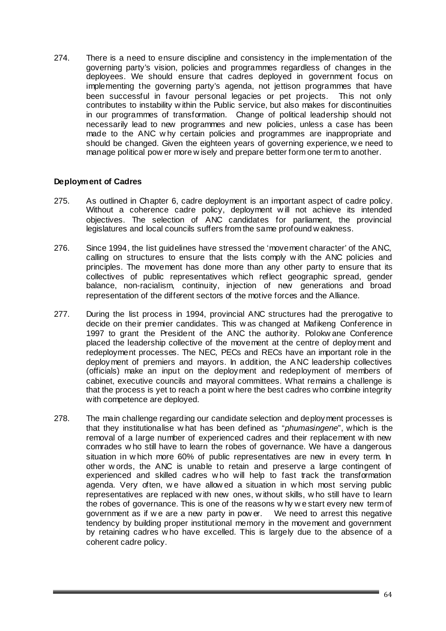274. There is a need to ensure discipline and consistency in the implementation of the governing party's vision, policies and programmes regardless of changes in the deployees. We should ensure that cadres deployed in government focus on implementing the governing party's agenda, not jettison programmes that have been successful in favour personal legacies or pet projects. This not only contributes to instability w ithin the Public service, but also makes for discontinuities in our programmes of transformation. Change of political leadership should not necessarily lead to new programmes and new policies, unless a case has been made to the ANC w hy certain policies and programmes are inappropriate and should be changed. Given the eighteen years of governing experience, w e need to manage political pow er more w isely and prepare better form one term to another.

# **Deployment of Cadres**

- 275. As outlined in Chapter 6, cadre deployment is an important aspect of cadre policy. Without a coherence cadre policy, deployment w ill not achieve its intended objectives. The selection of ANC candidates for parliament, the provincial legislatures and local councils suffers from the same profound w eakness.
- 276. Since 1994, the list guidelines have stressed the 'movement character' of the ANC, calling on structures to ensure that the lists comply w ith the ANC policies and principles. The movement has done more than any other party to ensure that its collectives of public representatives which reflect geographic spread, gender balance, non-racialism, continuity, injection of new generations and broad representation of the different sectors of the motive forces and the Alliance.
- 277. During the list process in 1994, provincial ANC structures had the prerogative to decide on their premier candidates. This w as changed at Mafikeng Conference in 1997 to grant the President of the ANC the authority. Polokw ane Conference placed the leadership collective of the movement at the centre of deployment and redeployment processes. The NEC, PECs and RECs have an important role in the deployment of premiers and mayors. In addition, the A NC leadership collectives (officials) make an input on the deployment and redeployment of members of cabinet, executive councils and mayoral committees. What remains a challenge is that the process is yet to reach a point w here the best cadres who combine integrity with competence are deployed.
- 278. The main challenge regarding our candidate selection and deployment processes is that they institutionalise w hat has been defined as "*phumasingene*", which is the removal of a large number of experienced cadres and their replacement w ith new comrades w ho still have to learn the robes of governance. We have a dangerous situation in w hich more 60% of public representatives are new in every term. In other w ords, the ANC is unable to retain and preserve a large contingent of experienced and skilled cadres w ho will help to fast track the transformation agenda. Very often, w e have allow ed a situation in w hich most serving public representatives are replaced w ith new ones, w ithout skills, w ho still have to learn the robes of governance. This is one of the reasons w hy w e start every new term of government as if w e are a new party in pow er. We need to arrest this negative tendency by building proper institutional memory in the movement and government by retaining cadres w ho have excelled. This is largely due to the absence of a coherent cadre policy.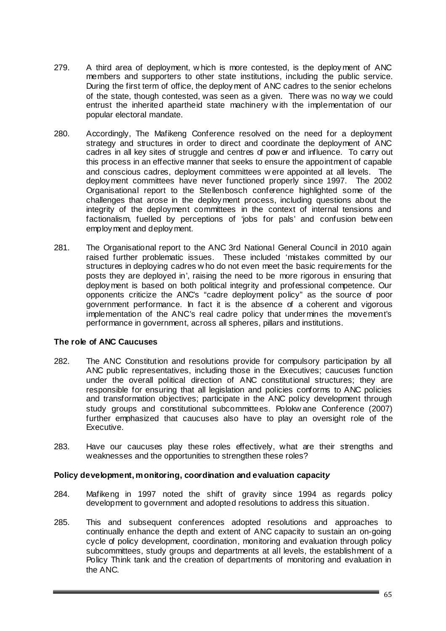- 279. A third area of deployment, w hich is more contested, is the deployment of ANC members and supporters to other state institutions, including the public service. During the first term of office, the deployment of ANC cadres to the senior echelons of the state, though contested, was seen as a given. There was no way we could entrust the inherited apartheid state machinery w ith the implementation of our popular electoral mandate.
- 280. Accordingly, The Mafikeng Conference resolved on the need for a deployment strategy and structures in order to direct and coordinate the deployment of ANC cadres in all key sites of struggle and centres of pow er and influence. To carry out this process in an effective manner that seeks to ensure the appointment of capable and conscious cadres, deployment committees w ere appointed at all levels. The deployment committees have never functioned properly since 1997. The 2002 Organisational report to the Stellenbosch conference highlighted some of the challenges that arose in the deployment process, including questions about the integrity of the deployment committees in the context of internal tensions and factionalism, fuelled by perceptions of 'jobs for pals' and confusion betw een employment and deployment.
- 281. The Organisational report to the ANC 3rd National General Council in 2010 again raised further problematic issues. These included 'mistakes committed by our structures in deploying cadres w ho do not even meet the basic requirements for the posts they are deployed in', raising the need to be more rigorous in ensuring that deployment is based on both political integrity and professional competence. Our opponents criticize the ANC's "cadre deployment policy" as the source of poor government performance. In fact it is the absence of a coherent and vigorous implementation of the ANC's real cadre policy that undermines the movement's performance in government, across all spheres, pillars and institutions.

# **The role of ANC Caucuses**

- 282. The ANC Constitution and resolutions provide for compulsory participation by all ANC public representatives, including those in the Executives; caucuses function under the overall political direction of ANC constitutional structures; they are responsible for ensuring that all legislation and policies conforms to ANC policies and transformation objectives; participate in the ANC policy development through study groups and constitutional subcommittees. Polokw ane Conference (2007) further emphasized that caucuses also have to play an oversight role of the Executive.
- 283. Have our caucuses play these roles effectively, what are their strengths and weaknesses and the opportunities to strengthen these roles?

# **Policy development, monitoring, coordination and evaluation capacit***y*

- 284. Mafikeng in 1997 noted the shift of gravity since 1994 as regards policy development to government and adopted resolutions to address this situation.
- 285. This and subsequent conferences adopted resolutions and approaches to continually enhance the depth and extent of ANC capacity to sustain an on-going cycle of policy development, coordination, monitoring and evaluation through policy subcommittees, study groups and departments at all levels, the establishment of a Policy Think tank and the creation of departments of monitoring and evaluation in the ANC.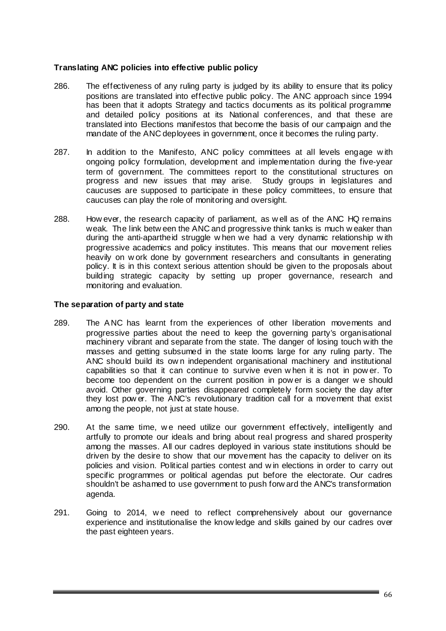# **Translating ANC policies into effective public policy**

- 286. The effectiveness of any ruling party is judged by its ability to ensure that its policy positions are translated into effective public policy. The ANC approach since 1994 has been that it adopts Strategy and tactics documents as its political programme and detailed policy positions at its National conferences, and that these are translated into Elections manifestos that become the basis of our campaign and the mandate of the ANC deployees in government, once it becomes the ruling party.
- 287. In addition to the Manifesto, ANC policy committees at all levels engage w ith ongoing policy formulation, development and implementation during the five-year term of government. The committees report to the constitutional structures on progress and new issues that may arise. Study groups in legislatures and caucuses are supposed to participate in these policy committees, to ensure that caucuses can play the role of monitoring and oversight.
- 288. How ever, the research capacity of parliament, as w ell as of the ANC HQ remains weak. The link betw een the ANC and progressive think tanks is much w eaker than during the anti-apartheid struggle w hen we had a very dynamic relationship w ith progressive academics and policy institutes. This means that our movement relies heavily on w ork done by government researchers and consultants in generating policy. It is in this context serious attention should be given to the proposals about building strategic capacity by setting up proper governance, research and monitoring and evaluation.

# **The separation of party and state**

- 289. The A NC has learnt from the experiences of other liberation movements and progressive parties about the need to keep the governing party's organisational machinery vibrant and separate from the state. The danger of losing touch with the masses and getting subsumed in the state looms large for any ruling party. The ANC should build its ow n independent organisational machinery and institutional capabilities so that it can continue to survive even w hen it is not in pow er. To become too dependent on the current position in pow er is a danger w e should avoid. Other governing parties disappeared completely form society the day after they lost pow er. The ANC's revolutionary tradition call for a movement that exist among the people, not just at state house.
- 290. At the same time, we need utilize our government effectively, intelligently and artfully to promote our ideals and bring about real progress and shared prosperity among the masses. All our cadres deployed in various state institutions should be driven by the desire to show that our movement has the capacity to deliver on its policies and vision. Political parties contest and w in elections in order to carry out specific programmes or political agendas put before the electorate. Our cadres shouldn't be ashamed to use government to push forw ard the ANC's transformation agenda.
- 291. Going to 2014, we need to reflect comprehensively about our governance experience and institutionalise the know ledge and skills gained by our cadres over the past eighteen years.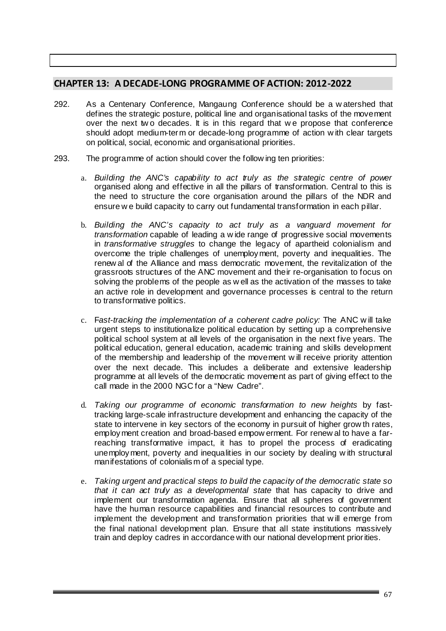# **CHAPTER 13: A DECADE‐LONG PROGRAMME OF ACTION: 2012‐2022**

- 292. As a Centenary Conference, Mangaung Conference should be a w atershed that defines the strategic posture, political line and organisational tasks of the movement over the next tw o decades. It is in this regard that w e propose that conference should adopt medium-term or decade-long programme of action w ith clear targets on political, social, economic and organisational priorities.
- 293. The programme of action should cover the follow ing ten priorities:
	- a. *Building the ANC's capability to act truly as the strategic centre of power* organised along and effective in all the pillars of transformation. Central to this is the need to structure the core organisation around the pillars of the NDR and ensure w e build capacity to carry out fundamental transformation in each pillar.
	- b. *Building the ANC's capacity to act truly as a vanguard movement for transformation* capable of leading a w ide range of progressive social movements in *transformative struggles* to change the legacy of apartheid colonialism and overcome the triple challenges of unemployment, poverty and inequalities. The renew al of the Alliance and mass democratic movement, the revitalization of the grassroots structures of the ANC movement and their re-organisation to focus on solving the problems of the people as w ell as the activation of the masses to take an active role in development and governance processes is central to the return to transformative politics.
	- c. F*ast-tracking the implementation of a coherent cadre policy:* The ANC w ill take urgent steps to institutionalize political education by setting up a comprehensive political school system at all levels of the organisation in the next five years. The political education, general education, academic training and skills development of the membership and leadership of the movement w ill receive priority attention over the next decade. This includes a deliberate and extensive leadership programme at all levels of the democratic movement as part of giving effect to the call made in the 2000 NGC for a "New Cadre".
	- d. *Taking our programme of economic transformation to new heights* by fasttracking large-scale infrastructure development and enhancing the capacity of the state to intervene in key sectors of the economy in pursuit of higher grow th rates, employment creation and broad-based empow erment. For renew al to have a farreaching transformative impact, it has to propel the process of eradicating unemployment, poverty and inequalities in our society by dealing w ith structural manifestations of colonialism of a special type.
	- e. *Taking urgent and practical steps to build the capacity of the democratic state so that it can act truly as a developmental state* that has capacity to drive and implement our transformation agenda. Ensure that all spheres of government have the human resource capabilities and financial resources to contribute and implement the development and transformation priorities that w ill emerge from the final national development plan. Ensure that all state institutions massively train and deploy cadres in accordance with our national development priorities.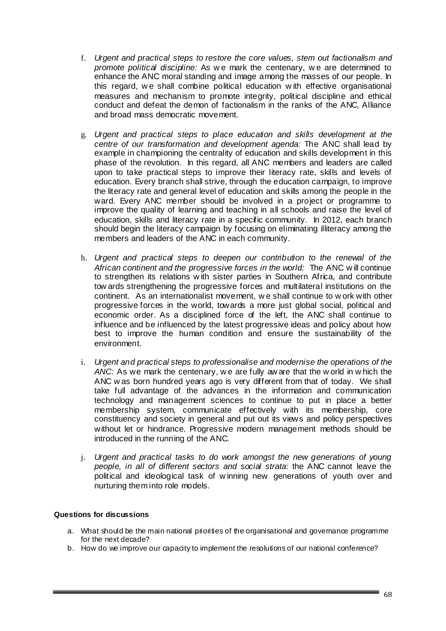- f. *Urgent and practical steps to restore the core values, stem out factionalism and promote political discipline:* As w e mark the centenary, w e are determined to enhance the ANC moral standing and image among the masses of our people. In this regard, w e shall combine political education w ith effective organisational measures and mechanism to promote integrity, political discipline and ethical conduct and defeat the demon of factionalism in the ranks of the ANC, Alliance and broad mass democratic movement.
- g. *Urgent and practical steps to place education and skills development at the centre of our transformation and development agenda:* The ANC shall lead by example in championing the centrality of education and skills development in this phase of the revolution. In this regard, all ANC members and leaders are called upon to take practical steps to improve their literacy rate, skills and levels of education. Every branch shall strive, through the education campaign, to improve the literacy rate and general level of education and skills among the people in the ward. Every ANC member should be involved in a project or programme to improve the quality of learning and teaching in all schools and raise the level of education, skills and literacy rate in a specific community. In 2012, each branch should begin the literacy campaign by focusing on eliminating illiteracy among the members and leaders of the ANC in each community.
- h. *Urgent and practical steps to deepen our contribution to the renewal of the African continent and the progressive forces in the world:* The ANC w ill continue to strengthen its relations w ith sister parties in Southern Africa, and contribute tow ards strengthening the progressive forces and multilateral institutions on the continent. As an internationalist movement, w e shall continue to w ork with other progressive forces in the world, towards a more just global social, political and economic order. As a disciplined force of the left, the ANC shall continue to influence and be influenced by the latest progressive ideas and policy about how best to improve the human condition and ensure the sustainability of the environment.
- i. *Urgent and practical steps to professionalise and modernise the operations of the ANC*: As we mark the centenary, w e are fully aw are that the w orld in w hich the ANC w as born hundred years ago is very different from that of today. We shall take full advantage of the advances in the information and communication technology and management sciences to continue to put in place a better membership system, communicate effectively with its membership, core constituency and society in general and put out its views and policy perspectives without let or hindrance. Progressive modern management methods should be introduced in the running of the ANC.
- j. *Urgent and practical tasks to do work amongst the new generations of young people, in all of different sectors and social strata*: the ANC cannot leave the political and ideological task of w inning new generations of youth over and nurturing them into role models.

# **Questions for discussions**

- a. What should be the main national priorities of the organisational and governance programme for the next decade?
- b. How do we improve our capacity to implement the resolutions of our national conference?